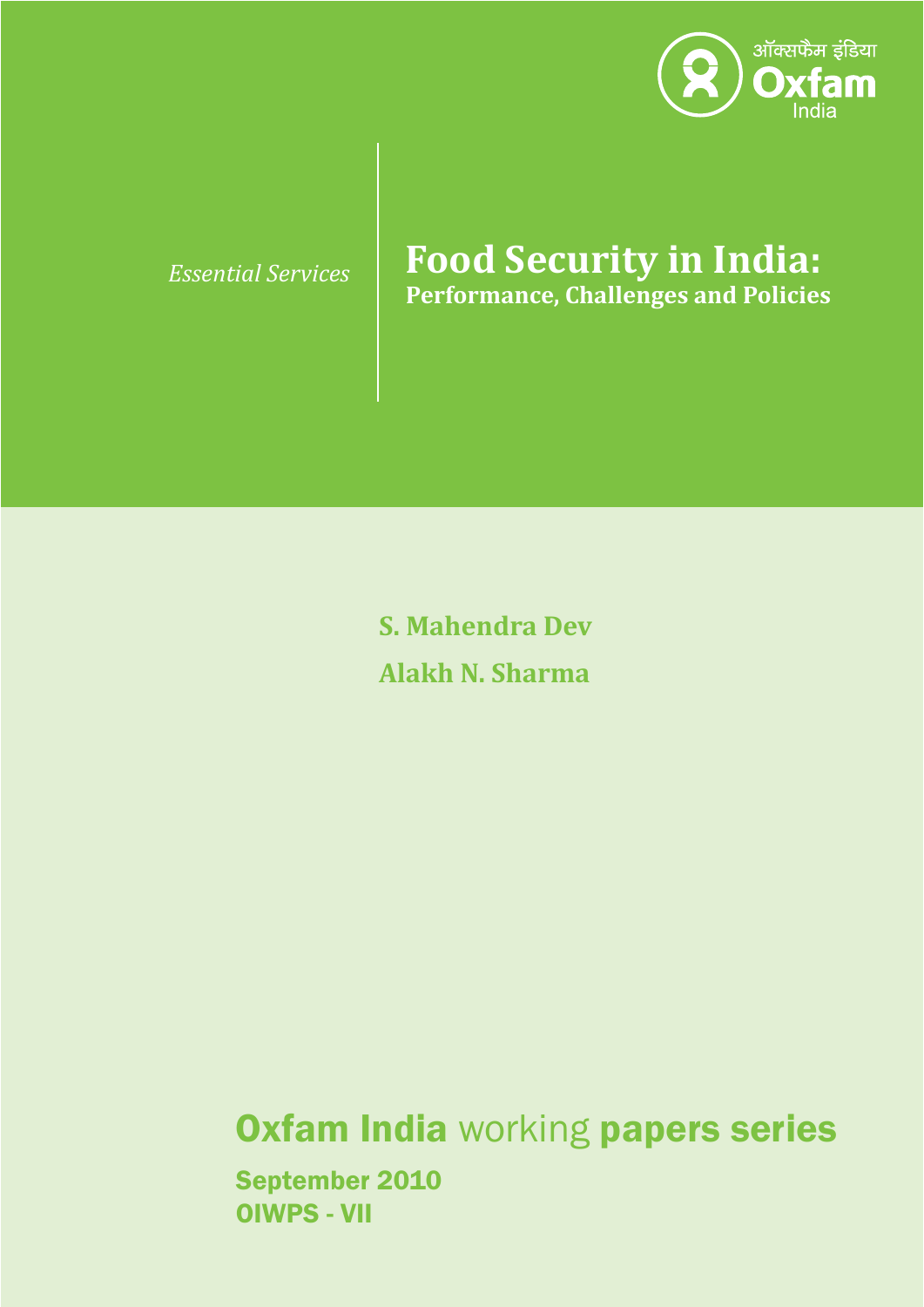

## *Essential Services* **Food Security in India: Performance, Challenges and Policies**

**S. Mahendra Dev Alakh N. Sharma**

## **Oxfam India working papers series** September 2010 OIWPS - VII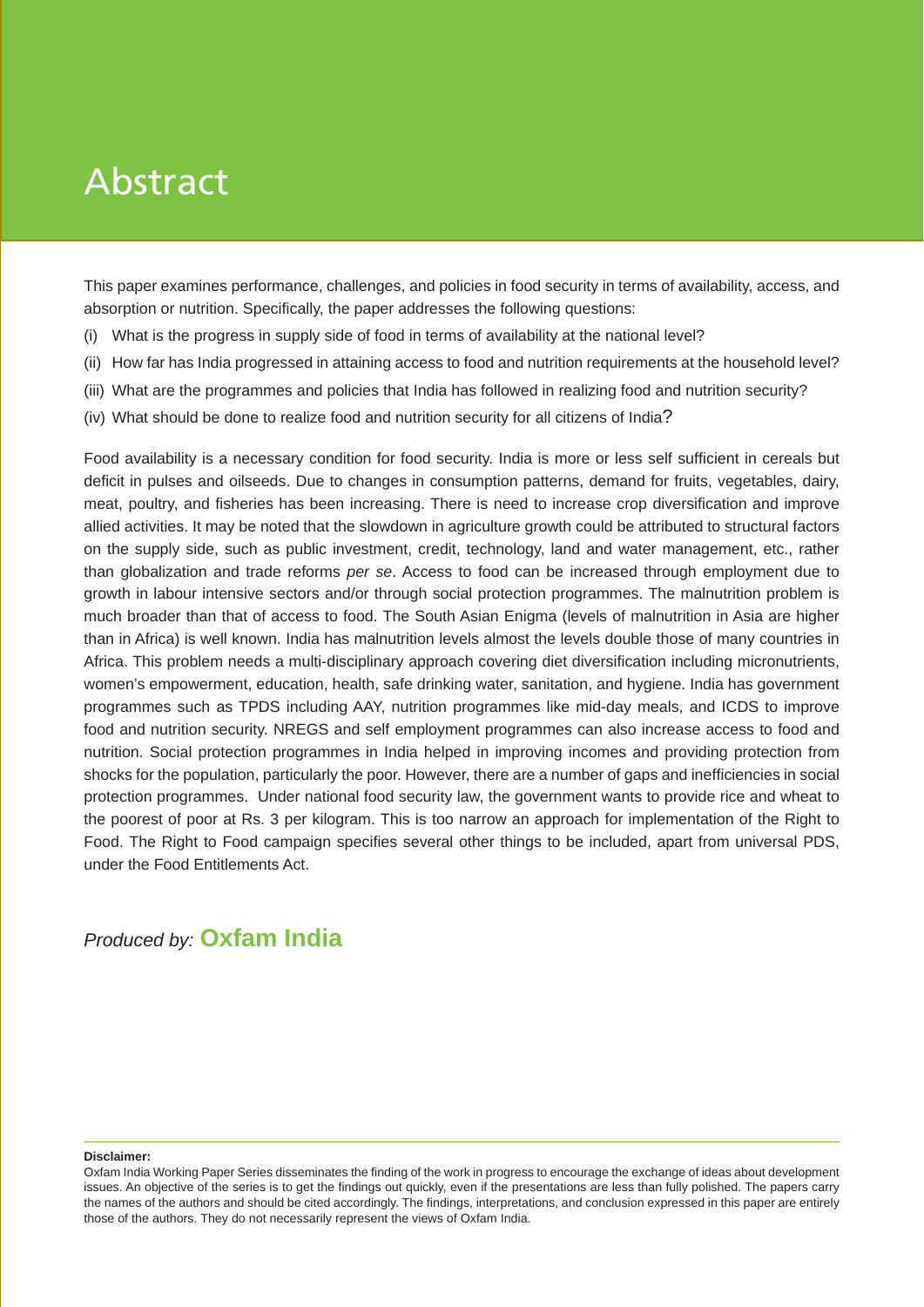# Abstract

This paper examines performance, challenges, and policies in food security in terms of availability, access, and absorption or nutrition. Specifically, the paper addresses the following questions:

- (i) What is the progress in supply side of food in terms of availability at the national level?
- (ii) How far has India progressed in attaining access to food and nutrition requirements at the household level?
- (iii) What are the programmes and policies that India has followed in realizing food and nutrition security?
- (iv) What should be done to realize food and nutrition security for all citizens of India?

Food availability is a necessary condition for food security. India is more or less self sufficient in cereals but deficit in pulses and oilseeds. Due to changes in consumption patterns, demand for fruits, vegetables, dairy, meat, poultry, and fisheries has been increasing. There is need to increase crop diversification and improve allied activities. It may be noted that the slowdown in agriculture growth could be attributed to structural factors on the supply side, such as public investment, credit, technology, land and water management, etc., rather than globalization and trade reforms *per se*. Access to food can be increased through employment due to growth in labour intensive sectors and/or through social protection programmes. The malnutrition problem is much broader than that of access to food. The South Asian Enigma (levels of malnutrition in Asia are higher than in Africa) is well known. India has malnutrition levels almost the levels double those of many countries in Africa. This problem needs a multi-disciplinary approach covering diet diversification including micronutrients, women's empowerment, education, health, safe drinking water, sanitation, and hygiene. India has government programmes such as TPDS including AAY, nutrition programmes like mid-day meals, and ICDS to improve food and nutrition security. NREGS and self employment programmes can also increase access to food and nutrition. Social protection programmes in India helped in improving incomes and providing protection from shocks for the population, particularly the poor. However, there are a number of gaps and inefficiencies in social protection programmes. Under national food security law, the government wants to provide rice and wheat to the poorest of poor at Rs. 3 per kilogram. This is too narrow an approach for implementation of the Right to Food. The Right to Food campaign specifies several other things to be included, apart from universal PDS, under the Food Entitlements Act.

## *Produced by:* **Oxfam India**

#### **Disclaimer:**

Oxfam India Working Paper Series disseminates the finding of the work in progress to encourage the exchange of ideas about development issues. An objective of the series is to get the findings out quickly, even if the presentations are less than fully polished. The papers carry the names of the authors and should be cited accordingly. The findings, interpretations, and conclusion expressed in this paper are entirely those of the authors. They do not necessarily represent the views of Oxfam India.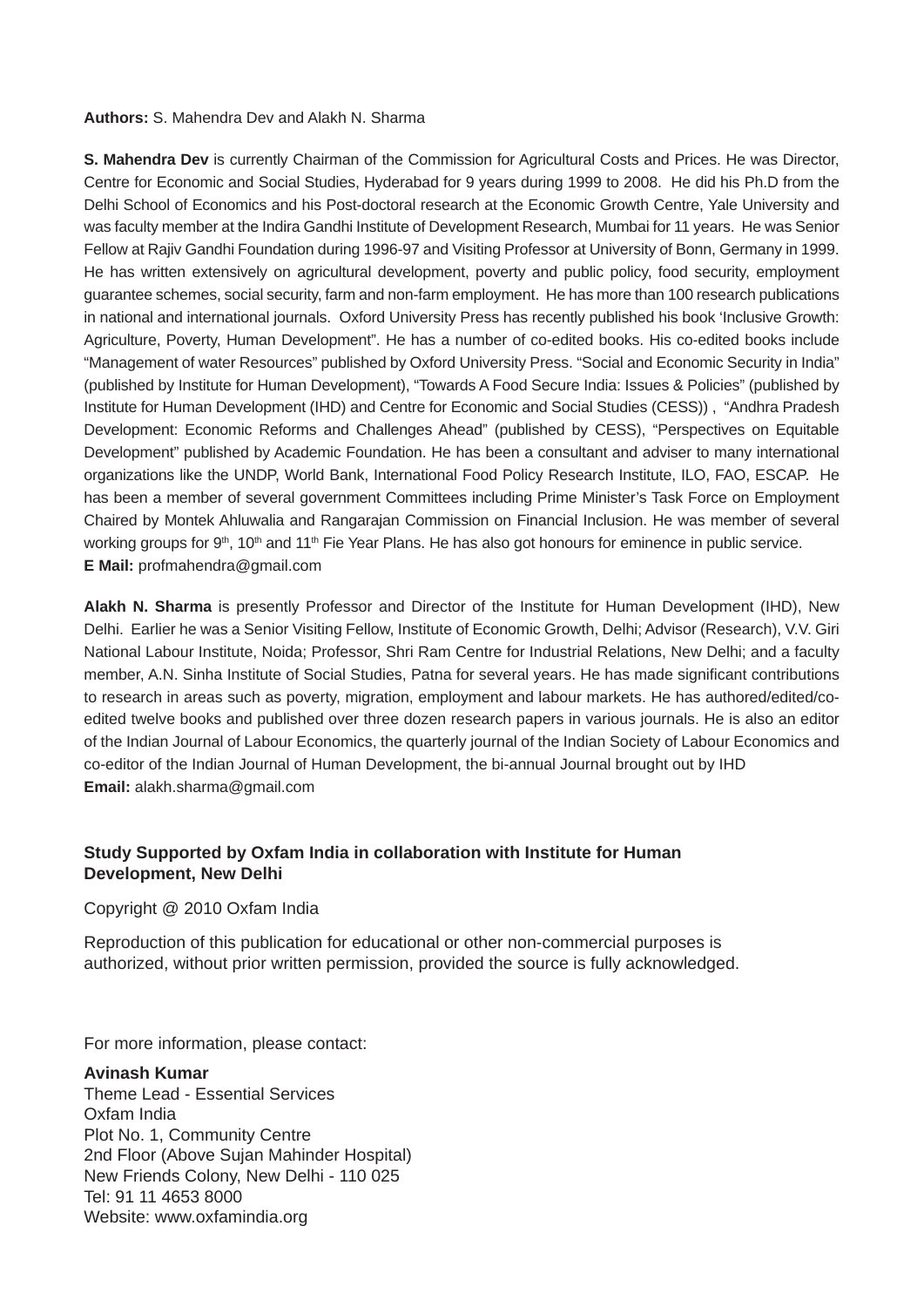#### **Authors:** S. Mahendra Dev and Alakh N. Sharma

**S. Mahendra Dev** is currently Chairman of the Commission for Agricultural Costs and Prices. He was Director, Centre for Economic and Social Studies, Hyderabad for 9 years during 1999 to 2008. He did his Ph.D from the Delhi School of Economics and his Post-doctoral research at the Economic Growth Centre, Yale University and was faculty member at the Indira Gandhi Institute of Development Research, Mumbai for 11 years. He was Senior Fellow at Rajiv Gandhi Foundation during 1996-97 and Visiting Professor at University of Bonn, Germany in 1999. He has written extensively on agricultural development, poverty and public policy, food security, employment guarantee schemes, social security, farm and non-farm employment. He has more than 100 research publications in national and international journals. Oxford University Press has recently published his book 'Inclusive Growth: Agriculture, Poverty, Human Development". He has a number of co-edited books. His co-edited books include "Management of water Resources" published by Oxford University Press. "Social and Economic Security in India" (published by Institute for Human Development), "Towards A Food Secure India: Issues & Policies" (published by Institute for Human Development (IHD) and Centre for Economic and Social Studies (CESS)) , "Andhra Pradesh Development: Economic Reforms and Challenges Ahead" (published by CESS), "Perspectives on Equitable Development" published by Academic Foundation. He has been a consultant and adviser to many international organizations like the UNDP, World Bank, International Food Policy Research Institute, ILO, FAO, ESCAP. He has been a member of several government Committees including Prime Minister's Task Force on Employment Chaired by Montek Ahluwalia and Rangarajan Commission on Financial Inclusion. He was member of several working groups for 9<sup>th</sup>, 10<sup>th</sup> and 11<sup>th</sup> Fie Year Plans. He has also got honours for eminence in public service. **E Mail:** profmahendra@gmail.com

**Alakh N. Sharma** is presently Professor and Director of the Institute for Human Development (IHD), New Delhi. Earlier he was a Senior Visiting Fellow, Institute of Economic Growth, Delhi; Advisor (Research), V.V. Giri National Labour Institute, Noida; Professor, Shri Ram Centre for Industrial Relations, New Delhi; and a faculty member, A.N. Sinha Institute of Social Studies, Patna for several years. He has made significant contributions to research in areas such as poverty, migration, employment and labour markets. He has authored/edited/coedited twelve books and published over three dozen research papers in various journals. He is also an editor of the Indian Journal of Labour Economics, the quarterly journal of the Indian Society of Labour Economics and co-editor of the Indian Journal of Human Development, the bi-annual Journal brought out by IHD **Email:** alakh.sharma@gmail.com

#### **Study Supported by Oxfam India in collaboration with Institute for Human Development, New Delhi**

Copyright @ 2010 Oxfam India

Reproduction of this publication for educational or other non-commercial purposes is authorized, without prior written permission, provided the source is fully acknowledged.

For more information, please contact:

**Avinash Kumar** Theme Lead - Essential Services Oxfam India Plot No. 1, Community Centre 2nd Floor (Above Sujan Mahinder Hospital) New Friends Colony, New Delhi - 110 025 Tel: 91 11 4653 8000 Website: www.oxfamindia.org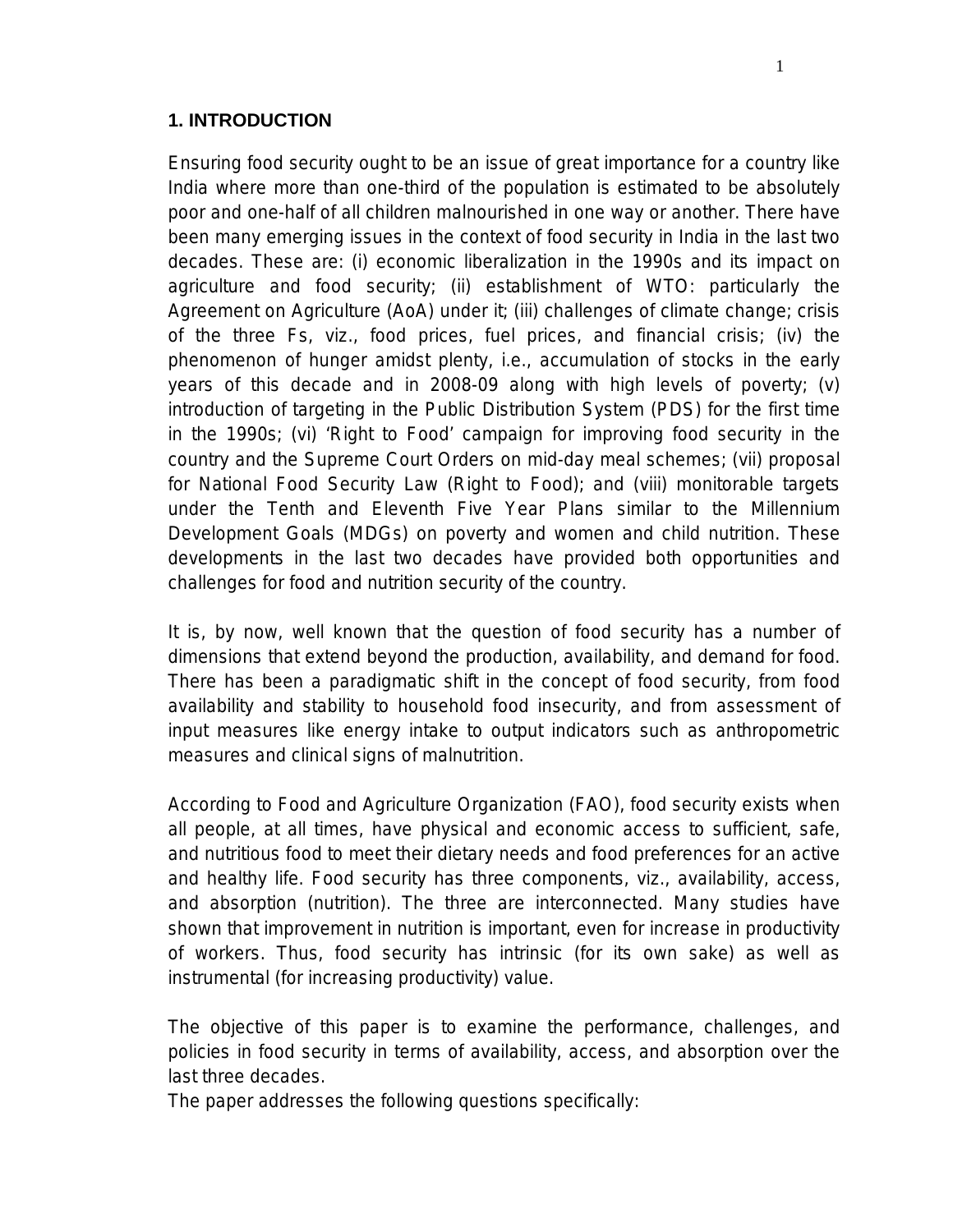#### **1. INTRODUCTION**

Ensuring food security ought to be an issue of great importance for a country like India where more than one-third of the population is estimated to be absolutely poor and one-half of all children malnourished in one way or another. There have been many emerging issues in the context of food security in India in the last two decades. These are: (i) economic liberalization in the 1990s and its impact on agriculture and food security; (ii) establishment of WTO: particularly the Agreement on Agriculture (AoA) under it; (iii) challenges of climate change; crisis of the three Fs, viz., food prices, fuel prices, and financial crisis; (iv) the phenomenon of hunger amidst plenty, i.e., accumulation of stocks in the early years of this decade and in 2008-09 along with high levels of poverty; (v) introduction of targeting in the Public Distribution System (PDS) for the first time in the 1990s; (vi) 'Right to Food' campaign for improving food security in the country and the Supreme Court Orders on mid-day meal schemes; (vii) proposal for National Food Security Law (Right to Food); and (viii) monitorable targets under the Tenth and Eleventh Five Year Plans similar to the Millennium Development Goals (MDGs) on poverty and women and child nutrition. These developments in the last two decades have provided both opportunities and challenges for food and nutrition security of the country.

It is, by now, well known that the question of food security has a number of dimensions that extend beyond the production, availability, and demand for food. There has been a paradigmatic shift in the concept of food security, from food availability and stability to household food insecurity, and from assessment of input measures like energy intake to output indicators such as anthropometric measures and clinical signs of malnutrition.

According to Food and Agriculture Organization (FAO), food security exists when all people, at all times, have physical and economic access to sufficient, safe, and nutritious food to meet their dietary needs and food preferences for an active and healthy life. Food security has three components, viz., availability, access, and absorption (nutrition). The three are interconnected. Many studies have shown that improvement in nutrition is important, even for increase in productivity of workers. Thus, food security has intrinsic (for its own sake) as well as instrumental (for increasing productivity) value.

The objective of this paper is to examine the performance, challenges, and policies in food security in terms of availability, access, and absorption over the last three decades.

The paper addresses the following questions specifically: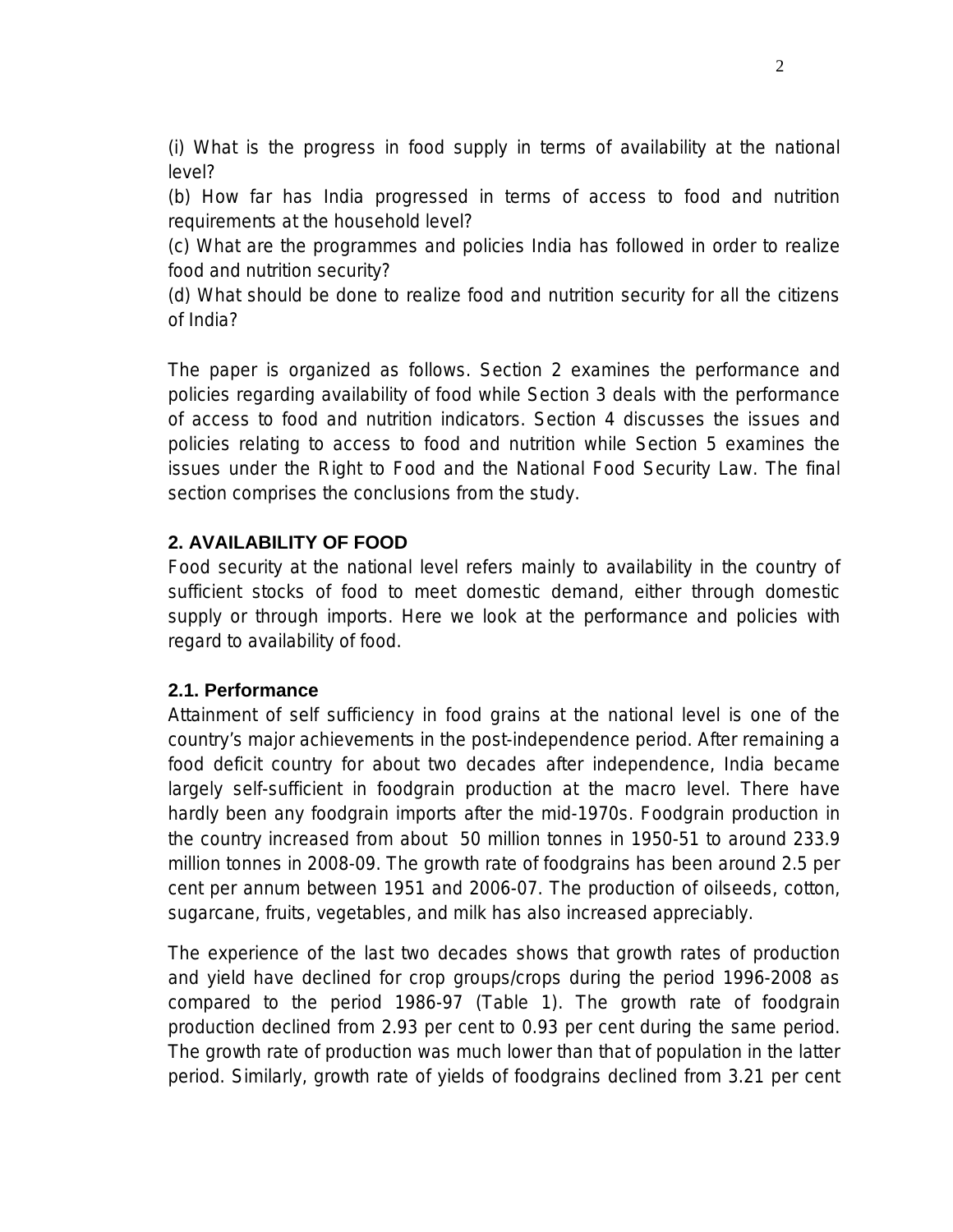(i) What is the progress in food supply in terms of availability at the national level?

(b) How far has India progressed in terms of access to food and nutrition requirements at the household level?

(c) What are the programmes and policies India has followed in order to realize food and nutrition security?

(d) What should be done to realize food and nutrition security for all the citizens of India?

The paper is organized as follows. Section 2 examines the performance and policies regarding availability of food while Section 3 deals with the performance of access to food and nutrition indicators. Section 4 discusses the issues and policies relating to access to food and nutrition while Section 5 examines the issues under the Right to Food and the National Food Security Law. The final section comprises the conclusions from the study.

## **2. AVAILABILITY OF FOOD**

Food security at the national level refers mainly to availability in the country of sufficient stocks of food to meet domestic demand, either through domestic supply or through imports. Here we look at the performance and policies with regard to availability of food.

### **2.1. Performance**

Attainment of self sufficiency in food grains at the national level is one of the country's major achievements in the post-independence period. After remaining a food deficit country for about two decades after independence, India became largely self-sufficient in foodgrain production at the macro level. There have hardly been any foodgrain imports after the mid-1970s. Foodgrain production in the country increased from about 50 million tonnes in 1950-51 to around 233.9 million tonnes in 2008-09. The growth rate of foodgrains has been around 2.5 per cent per annum between 1951 and 2006-07. The production of oilseeds, cotton, sugarcane, fruits, vegetables, and milk has also increased appreciably.

The experience of the last two decades shows that growth rates of production and yield have declined for crop groups/crops during the period 1996-2008 as compared to the period 1986-97 (Table 1). The growth rate of foodgrain production declined from 2.93 per cent to 0.93 per cent during the same period. The growth rate of production was much lower than that of population in the latter period. Similarly, growth rate of yields of foodgrains declined from 3.21 per cent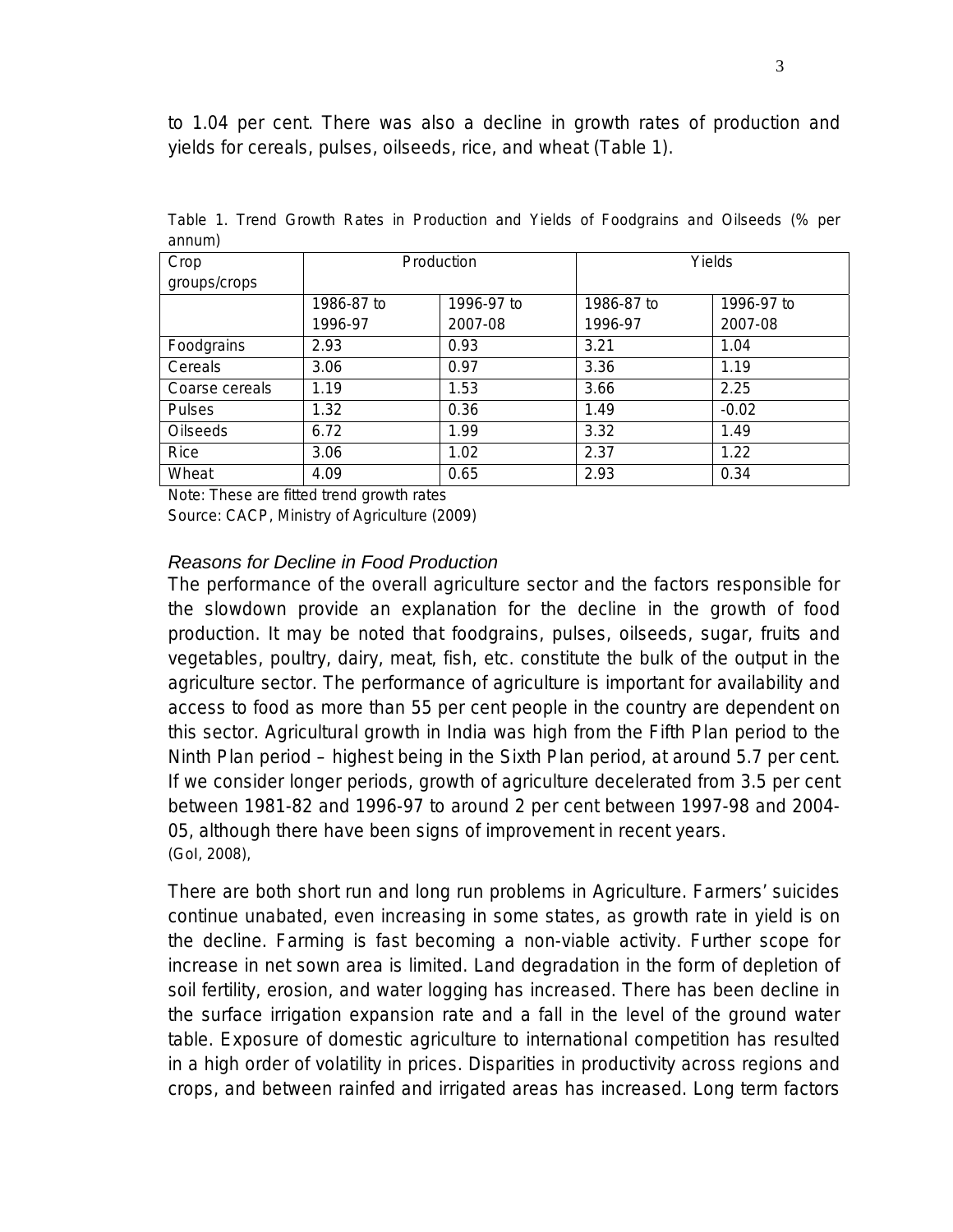to 1.04 per cent. There was also a decline in growth rates of production and yields for cereals, pulses, oilseeds, rice, and wheat (Table 1).

| Crop            |            | Production | Yields     |            |
|-----------------|------------|------------|------------|------------|
| groups/crops    |            |            |            |            |
|                 | 1986-87 to | 1996-97 to | 1986-87 to | 1996-97 to |
|                 | 1996-97    | 2007-08    | 1996-97    | 2007-08    |
| Foodgrains      | 2.93       | 0.93       | 3.21       | 1.04       |
| Cereals         | 3.06       | 0.97       | 3.36       | 1.19       |
| Coarse cereals  | 1.19       | 1.53       | 3.66       | 2.25       |
| <b>Pulses</b>   | 1.32       | 0.36       | 1.49       | $-0.02$    |
| <b>Oilseeds</b> | 6.72       | 1.99       | 3.32       | 1.49       |
| Rice            | 3.06       | 1.02       | 2.37       | 1.22       |
| Wheat           | 4.09       | 0.65       | 2.93       | 0.34       |

Table 1. Trend Growth Rates in Production and Yields of Foodgrains and Oilseeds (% per annum)

Note: These are fitted trend growth rates

Source: CACP, Ministry of Agriculture (2009)

#### *Reasons for Decline in Food Production*

The performance of the overall agriculture sector and the factors responsible for the slowdown provide an explanation for the decline in the growth of food production. It may be noted that foodgrains, pulses, oilseeds, sugar, fruits and vegetables, poultry, dairy, meat, fish, etc. constitute the bulk of the output in the agriculture sector. The performance of agriculture is important for availability and access to food as more than 55 per cent people in the country are dependent on this sector. Agricultural growth in India was high from the Fifth Plan period to the Ninth Plan period – highest being in the Sixth Plan period, at around 5.7 per cent. If we consider longer periods, growth of agriculture decelerated from 3.5 per cent between 1981-82 and 1996-97 to around 2 per cent between 1997-98 and 2004- 05, although there have been signs of improvement in recent years. (GoI, 2008),

There are both short run and long run problems in Agriculture. Farmers' suicides continue unabated, even increasing in some states, as growth rate in yield is on the decline. Farming is fast becoming a non-viable activity. Further scope for increase in net sown area is limited. Land degradation in the form of depletion of soil fertility, erosion, and water logging has increased. There has been decline in the surface irrigation expansion rate and a fall in the level of the ground water table. Exposure of domestic agriculture to international competition has resulted in a high order of volatility in prices. Disparities in productivity across regions and crops, and between rainfed and irrigated areas has increased. Long term factors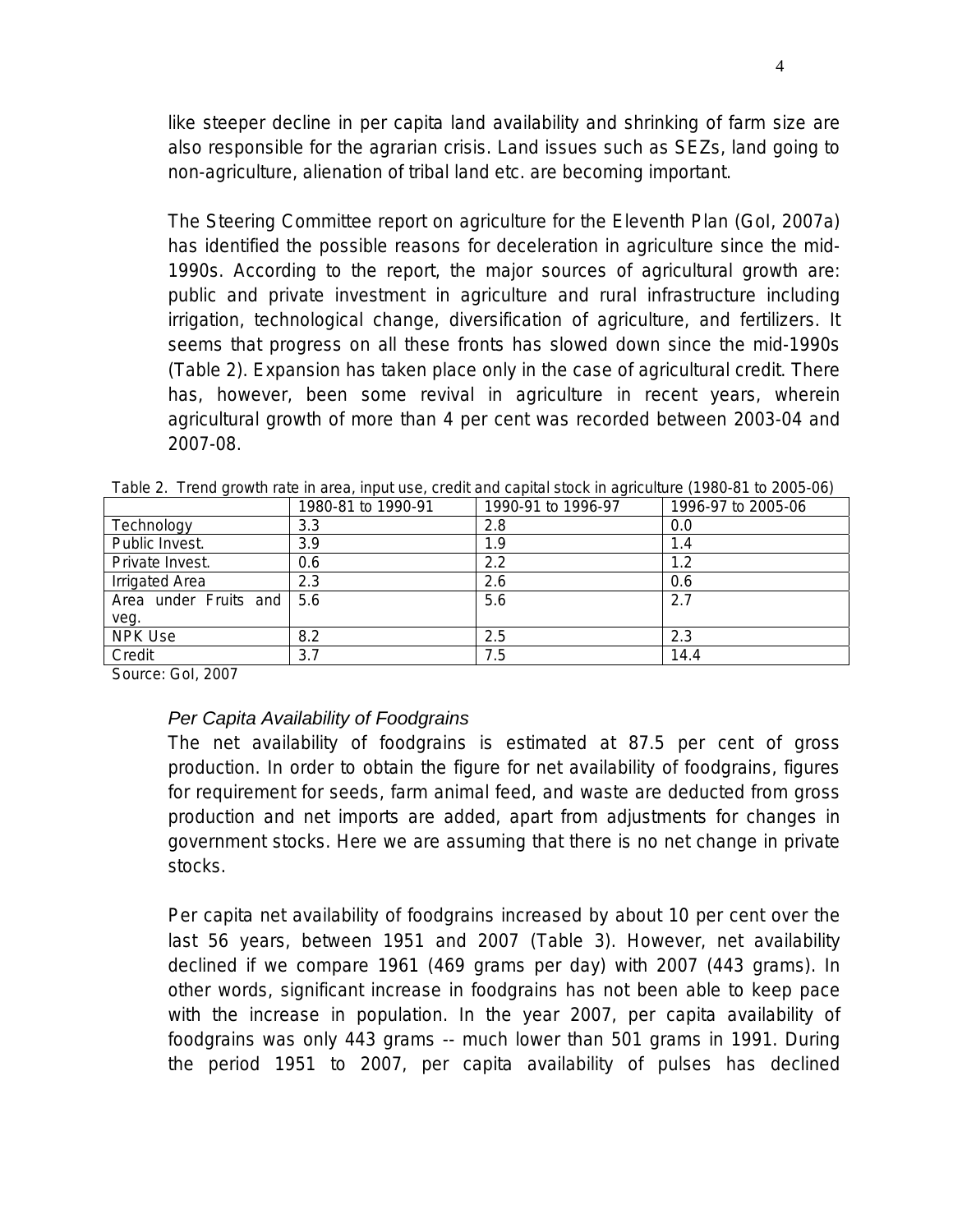like steeper decline in per capita land availability and shrinking of farm size are also responsible for the agrarian crisis. Land issues such as SEZs, land going to non-agriculture, alienation of tribal land etc. are becoming important.

The Steering Committee report on agriculture for the Eleventh Plan (GoI, 2007a) has identified the possible reasons for deceleration in agriculture since the mid-1990s. According to the report, the major sources of agricultural growth are: public and private investment in agriculture and rural infrastructure including irrigation, technological change, diversification of agriculture, and fertilizers. It seems that progress on all these fronts has slowed down since the mid-1990s (Table 2). Expansion has taken place only in the case of agricultural credit. There has, however, been some revival in agriculture in recent years, wherein agricultural growth of more than 4 per cent was recorded between 2003-04 and 2007-08.

|                       | 1980-81 to 1990-91 | 1990-91 to 1996-97 | 1996-97 to 2005-06 |
|-----------------------|--------------------|--------------------|--------------------|
| Technology            | 3.3                | 2.8                | 0.0                |
| Public Invest.        | 3.9                | 1.9                | 1.4                |
| Private Invest.       | 0.6                | 2.2                | 1.2                |
| <b>Irrigated Area</b> | 2.3                | 2.6                | 0.6                |
| Area under Fruits and | 5.6                | 5.6                | 2.7                |
| veg.                  |                    |                    |                    |
| NPK Use               | 8.2                | 2.5                | 2.3                |
| Credit                | 3.7                | 7.5                | 14.4               |

Table 2. Trend growth rate in area, input use, credit and capital stock in agriculture (1980-81 to 2005-06)

Source: GoI, 2007

#### *Per Capita Availability of Foodgrains*

The net availability of foodgrains is estimated at 87.5 per cent of gross production. In order to obtain the figure for net availability of foodgrains, figures for requirement for seeds, farm animal feed, and waste are deducted from gross production and net imports are added, apart from adjustments for changes in government stocks. Here we are assuming that there is no net change in private stocks.

Per capita net availability of foodgrains increased by about 10 per cent over the last 56 years, between 1951 and 2007 (Table 3). However, net availability declined if we compare 1961 (469 grams per day) with 2007 (443 grams). In other words, significant increase in foodgrains has not been able to keep pace with the increase in population. In the year 2007, per capita availability of foodgrains was only 443 grams -- much lower than 501 grams in 1991. During the period 1951 to 2007, per capita availability of pulses has declined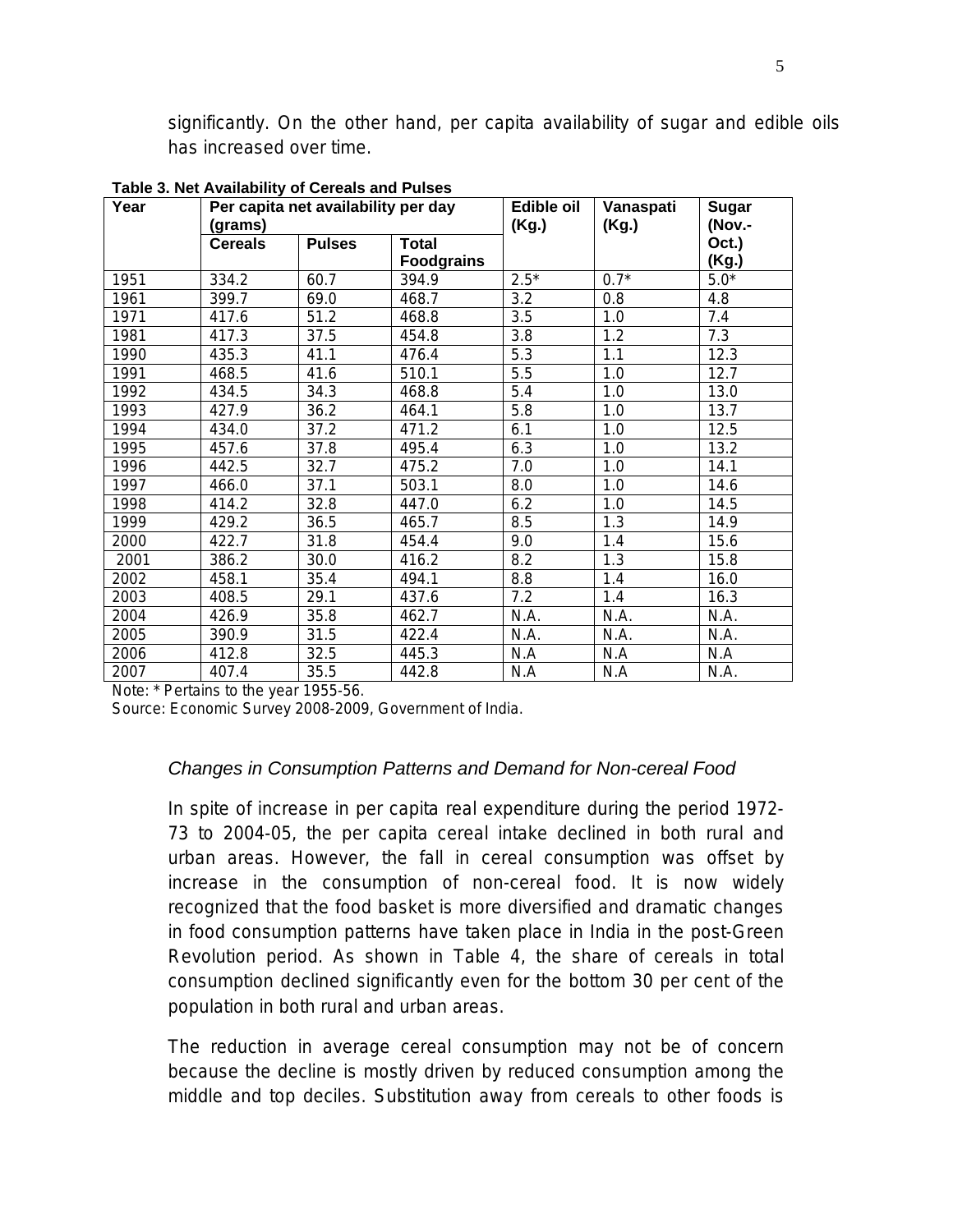significantly. On the other hand, per capita availability of sugar and edible oils has increased over time.

| Per capita net availability per day<br>Year<br>(grams) |                |               |                                   | <b>Edible oil</b><br>(Kg.) | Vanaspati<br>(Kg.) | <b>Sugar</b><br>(Nov.- |
|--------------------------------------------------------|----------------|---------------|-----------------------------------|----------------------------|--------------------|------------------------|
|                                                        | <b>Cereals</b> | <b>Pulses</b> | <b>Total</b><br><b>Foodgrains</b> |                            |                    | Oct.)<br>(Kg.)         |
| 1951                                                   | 334.2          | 60.7          | 394.9                             | $2.5*$                     | $0.7*$             | $5.0*$                 |
| 1961                                                   | 399.7          | 69.0          | 468.7                             | 3.2                        | 0.8                | 4.8                    |
| 1971                                                   | 417.6          | 51.2          | 468.8                             | 3.5                        | 1.0                | 7.4                    |
| 1981                                                   | 417.3          | 37.5          | 454.8                             | 3.8                        | 1.2                | 7.3                    |
| 1990                                                   | 435.3          | 41.1          | 476.4                             | 5.3                        | 1.1                | 12.3                   |
| 1991                                                   | 468.5          | 41.6          | 510.1                             | 5.5                        | 1.0                | 12.7                   |
| 1992                                                   | 434.5          | 34.3          | 468.8                             | 5.4                        | 1.0                | 13.0                   |
| 1993                                                   | 427.9          | 36.2          | 464.1                             | 5.8                        | 1.0                | 13.7                   |
| 1994                                                   | 434.0          | 37.2          | 471.2                             | 6.1                        | 1.0                | 12.5                   |
| 1995                                                   | 457.6          | 37.8          | 495.4                             | 6.3                        | 1.0                | 13.2                   |
| 1996                                                   | 442.5          | 32.7          | 475.2                             | 7.0                        | 1.0                | 14.1                   |
| 1997                                                   | 466.0          | 37.1          | 503.1                             | 8.0                        | 1.0                | 14.6                   |
| 1998                                                   | 414.2          | 32.8          | 447.0                             | 6.2                        | 1.0                | 14.5                   |
| 1999                                                   | 429.2          | 36.5          | 465.7                             | 8.5                        | 1.3                | 14.9                   |
| 2000                                                   | 422.7          | 31.8          | 454.4                             | 9.0                        | 1.4                | 15.6                   |
| 2001                                                   | 386.2          | 30.0          | 416.2                             | 8.2                        | 1.3                | 15.8                   |
| 2002                                                   | 458.1          | 35.4          | 494.1                             | 8.8                        | 1.4                | 16.0                   |
| 2003                                                   | 408.5          | 29.1          | 437.6                             | 7.2                        | 1.4                | 16.3                   |
| 2004                                                   | 426.9          | 35.8          | 462.7                             | N.A.                       | N.A.               | N.A.                   |
| 2005                                                   | 390.9          | 31.5          | 422.4                             | N.A.                       | N.A.               | N.A.                   |
| 2006                                                   | 412.8          | 32.5          | 445.3                             | N.A                        | N.A                | N.A                    |
| 2007                                                   | 407.4          | 35.5          | 442.8                             | N.A                        | N.A                | N.A.                   |

**Table 3. Net Availability of Cereals and Pulses** 

Note: \* Pertains to the year 1955-56.

Source: Economic Survey 2008-2009, Government of India.

### *Changes in Consumption Patterns and Demand for Non-cereal Food*

In spite of increase in per capita real expenditure during the period 1972- 73 to 2004-05, the per capita cereal intake declined in both rural and urban areas. However, the fall in cereal consumption was offset by increase in the consumption of non-cereal food. It is now widely recognized that the food basket is more diversified and dramatic changes in food consumption patterns have taken place in India in the post-Green Revolution period. As shown in Table 4, the share of cereals in total consumption declined significantly even for the bottom 30 per cent of the population in both rural and urban areas.

The reduction in average cereal consumption may not be of concern because the decline is mostly driven by reduced consumption among the middle and top deciles. Substitution away from cereals to other foods is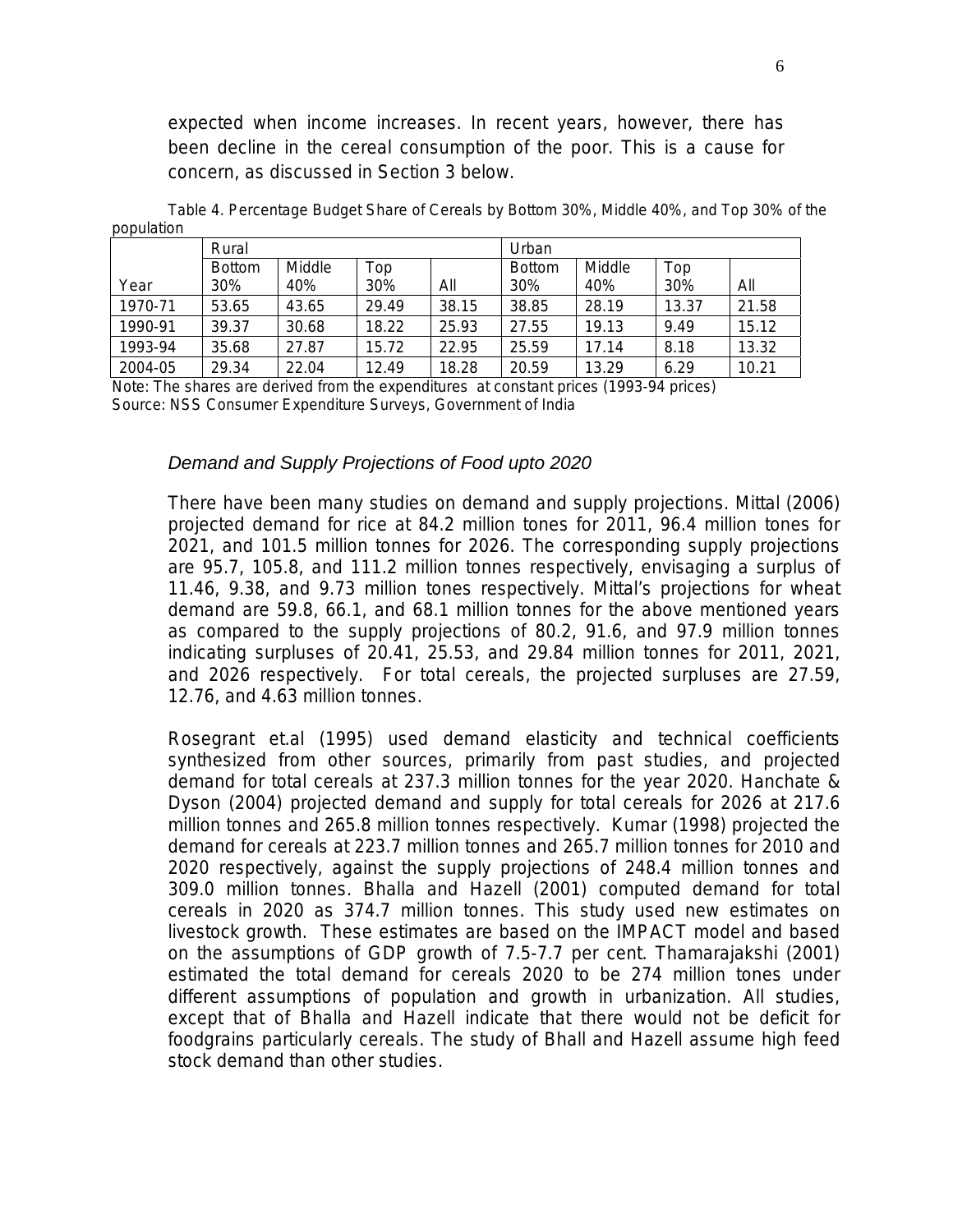expected when income increases. In recent years, however, there has been decline in the cereal consumption of the poor. This is a cause for concern, as discussed in Section 3 below.

Table 4. Percentage Budget Share of Cereals by Bottom 30%, Middle 40%, and Top 30% of the population

|         | Rural         |        |       | Urban |               |        |       |       |
|---------|---------------|--------|-------|-------|---------------|--------|-------|-------|
|         | <b>Bottom</b> | Middle | Top   |       | <b>Bottom</b> | Middle | Top   |       |
| Year    | 30%           | 40%    | 30%   | Αll   | 30%           | 40%    | 30%   | All   |
| 1970-71 | 53.65         | 43.65  | 29.49 | 38.15 | 38.85         | 28.19  | 13.37 | 21.58 |
| 1990-91 | 39.37         | 30.68  | 18.22 | 25.93 | 27.55         | 19.13  | 9.49  | 15.12 |
| 1993-94 | 35.68         | 27.87  | 15.72 | 22.95 | 25.59         | 17.14  | 8.18  | 13.32 |
| 2004-05 | 29.34         | 22.04  | 12.49 | 18.28 | 20.59         | 13.29  | 6.29  | 10.21 |

Note: The shares are derived from the expenditures at constant prices (1993-94 prices) Source: NSS Consumer Expenditure Surveys, Government of India

#### *Demand and Supply Projections of Food upto 2020*

There have been many studies on demand and supply projections. Mittal (2006) projected demand for rice at 84.2 million tones for 2011, 96.4 million tones for 2021, and 101.5 million tonnes for 2026. The corresponding supply projections are 95.7, 105.8, and 111.2 million tonnes respectively, envisaging a surplus of 11.46, 9.38, and 9.73 million tones respectively. Mittal's projections for wheat demand are 59.8, 66.1, and 68.1 million tonnes for the above mentioned years as compared to the supply projections of 80.2, 91.6, and 97.9 million tonnes indicating surpluses of 20.41, 25.53, and 29.84 million tonnes for 2011, 2021, and 2026 respectively. For total cereals, the projected surpluses are 27.59, 12.76, and 4.63 million tonnes.

Rosegrant et.al (1995) used demand elasticity and technical coefficients synthesized from other sources, primarily from past studies, and projected demand for total cereals at 237.3 million tonnes for the year 2020. Hanchate & Dyson (2004) projected demand and supply for total cereals for 2026 at 217.6 million tonnes and 265.8 million tonnes respectively. Kumar (1998) projected the demand for cereals at 223.7 million tonnes and 265.7 million tonnes for 2010 and 2020 respectively, against the supply projections of 248.4 million tonnes and 309.0 million tonnes. Bhalla and Hazell (2001) computed demand for total cereals in 2020 as 374.7 million tonnes. This study used new estimates on livestock growth. These estimates are based on the IMPACT model and based on the assumptions of GDP growth of 7.5-7.7 per cent. Thamarajakshi (2001) estimated the total demand for cereals 2020 to be 274 million tones under different assumptions of population and growth in urbanization. All studies, except that of Bhalla and Hazell indicate that there would not be deficit for foodgrains particularly cereals. The study of Bhall and Hazell assume high feed stock demand than other studies.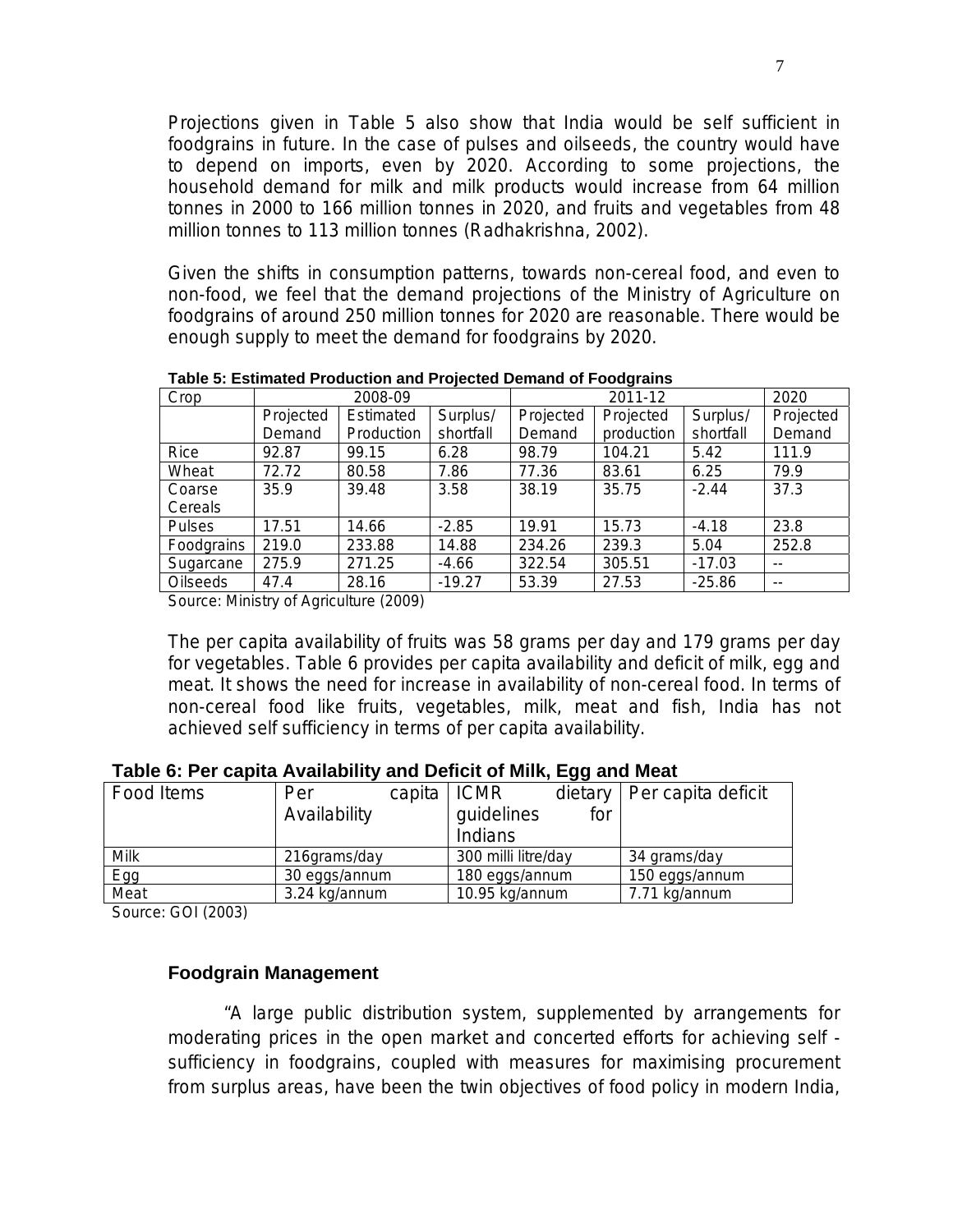Projections given in Table 5 also show that India would be self sufficient in foodgrains in future. In the case of pulses and oilseeds, the country would have to depend on imports, even by 2020. According to some projections, the household demand for milk and milk products would increase from 64 million tonnes in 2000 to 166 million tonnes in 2020, and fruits and vegetables from 48 million tonnes to 113 million tonnes (Radhakrishna, 2002).

Given the shifts in consumption patterns, towards non-cereal food, and even to non-food, we feel that the demand projections of the Ministry of Agriculture on foodgrains of around 250 million tonnes for 2020 are reasonable. There would be enough supply to meet the demand for foodgrains by 2020.

| Crop            | 2008-09   |            |           |           | 2020       |           |           |
|-----------------|-----------|------------|-----------|-----------|------------|-----------|-----------|
|                 | Projected | Estimated  | Surplus/  | Projected | Projected  | Surplus/  | Projected |
|                 | Demand    | Production | shortfall | Demand    | production | shortfall | Demand    |
| Rice            | 92.87     | 99.15      | 6.28      | 98.79     | 104.21     | 5.42      | 111.9     |
| Wheat           | 72.72     | 80.58      | 7.86      | 77.36     | 83.61      | 6.25      | 79.9      |
| Coarse          | 35.9      | 39.48      | 3.58      | 38.19     | 35.75      | $-2.44$   | 37.3      |
| Cereals         |           |            |           |           |            |           |           |
| <b>Pulses</b>   | 17.51     | 14.66      | $-2.85$   | 19.91     | 15.73      | $-4.18$   | 23.8      |
| Foodgrains      | 219.0     | 233.88     | 14.88     | 234.26    | 239.3      | 5.04      | 252.8     |
| Sugarcane       | 275.9     | 271.25     | -4.66     | 322.54    | 305.51     | $-17.03$  | $- -$     |
| <b>Oilseeds</b> | 47.4      | 28.16      | $-19.27$  | 53.39     | 27.53      | $-25.86$  | $- -$     |

**Table 5: Estimated Production and Projected Demand of Foodgrains** 

Source: Ministry of Agriculture (2009)

The per capita availability of fruits was 58 grams per day and 179 grams per day for vegetables. Table 6 provides per capita availability and deficit of milk, egg and meat. It shows the need for increase in availability of non-cereal food. In terms of non-cereal food like fruits, vegetables, milk, meat and fish, India has not achieved self sufficiency in terms of per capita availability.

#### **Table 6: Per capita Availability and Deficit of Milk, Egg and Meat**

|            |               | ---                 |                              |
|------------|---------------|---------------------|------------------------------|
| Food Items | capita<br>Per | <b>ICMR</b>         | dietary   Per capita deficit |
|            | Availability  | guidelines<br>for   |                              |
|            |               | Indians             |                              |
| Milk       | 216grams/day  | 300 milli litre/day | 34 grams/day                 |
| <b>Egg</b> | 30 eggs/annum | 180 eggs/annum      | 150 eggs/annum               |
| Meat       | 3.24 kg/annum | 10.95 kg/annum      | 7.71 kg/annum                |

Source: GOI (2003)

### **Foodgrain Management**

"A large public distribution system, supplemented by arrangements for moderating prices in the open market and concerted efforts for achieving self sufficiency in foodgrains, coupled with measures for maximising procurement from surplus areas, have been the twin objectives of food policy in modern India,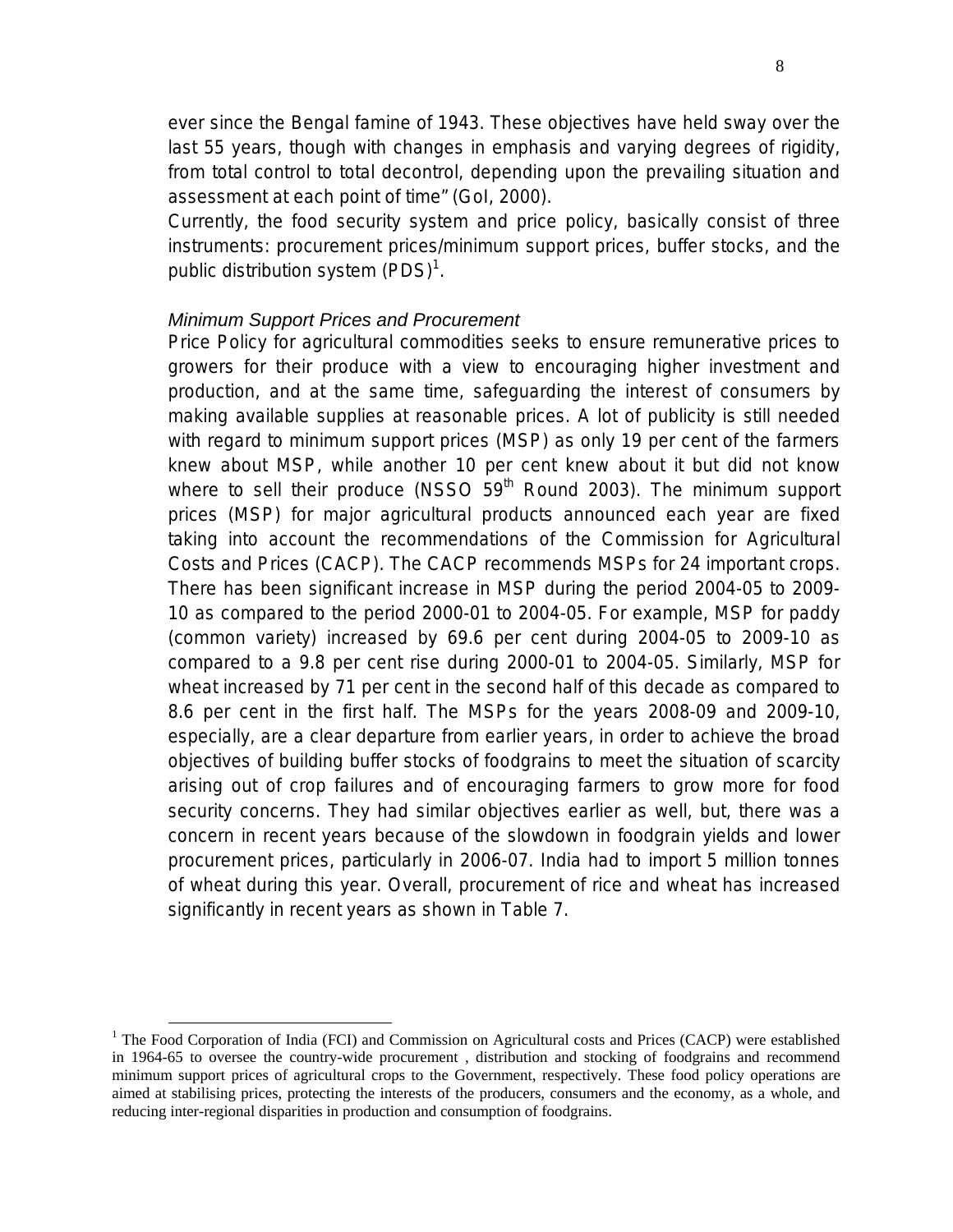ever since the Bengal famine of 1943. These objectives have held sway over the last 55 years, though with changes in emphasis and varying degrees of rigidity, from total control to total decontrol, depending upon the prevailing situation and assessment at each point of time" (GoI, 2000).

Currently, the food security system and price policy, basically consist of three instruments: procurement prices/minimum support prices, buffer stocks, and the public distribution system  $(PDS)^1$ .

#### *Minimum Support Prices and Procurement*

Price Policy for agricultural commodities seeks to ensure remunerative prices to growers for their produce with a view to encouraging higher investment and production, and at the same time, safeguarding the interest of consumers by making available supplies at reasonable prices. A lot of publicity is still needed with regard to minimum support prices (MSP) as only 19 per cent of the farmers knew about MSP, while another 10 per cent knew about it but did not know where to sell their produce (NSSO  $59<sup>th</sup>$  Round 2003). The minimum support prices (MSP) for major agricultural products announced each year are fixed taking into account the recommendations of the Commission for Agricultural Costs and Prices (CACP). The CACP recommends MSPs for 24 important crops. There has been significant increase in MSP during the period 2004-05 to 2009- 10 as compared to the period 2000-01 to 2004-05. For example, MSP for paddy (common variety) increased by 69.6 per cent during 2004-05 to 2009-10 as compared to a 9.8 per cent rise during 2000-01 to 2004-05. Similarly, MSP for wheat increased by 71 per cent in the second half of this decade as compared to 8.6 per cent in the first half. The MSPs for the years 2008-09 and 2009-10, especially, are a clear departure from earlier years, in order to achieve the broad objectives of building buffer stocks of foodgrains to meet the situation of scarcity arising out of crop failures and of encouraging farmers to grow more for food security concerns. They had similar objectives earlier as well, but, there was a concern in recent years because of the slowdown in foodgrain yields and lower procurement prices, particularly in 2006-07. India had to import 5 million tonnes of wheat during this year. Overall, procurement of rice and wheat has increased significantly in recent years as shown in Table 7.

<sup>&</sup>lt;sup>1</sup> The Food Corporation of India (FCI) and Commission on Agricultural costs and Prices (CACP) were established in 1964-65 to oversee the country-wide procurement , distribution and stocking of foodgrains and recommend minimum support prices of agricultural crops to the Government, respectively. These food policy operations are aimed at stabilising prices, protecting the interests of the producers, consumers and the economy, as a whole, and reducing inter-regional disparities in production and consumption of foodgrains.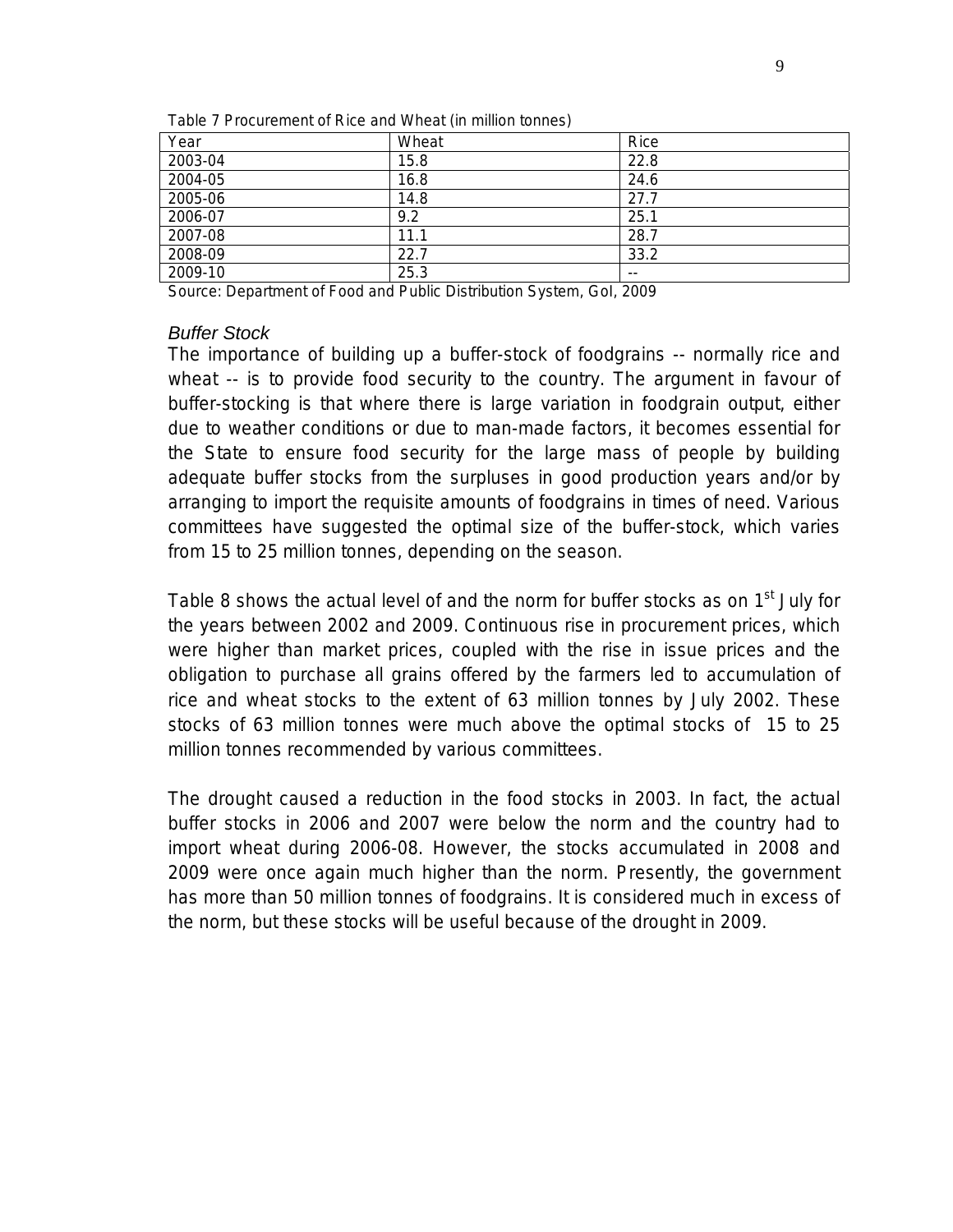| Year    | Wheat | Rice  |
|---------|-------|-------|
| 2003-04 | 15.8  | 22.8  |
| 2004-05 | 16.8  | 24.6  |
| 2005-06 | 14.8  | 27.7  |
| 2006-07 | 9.2   | 25.1  |
| 2007-08 | 11.1  | 28.7  |
| 2008-09 | 22.7  | 33.2  |
| 2009-10 | 25.3  | $- -$ |

Table 7 Procurement of Rice and Wheat (in million tonnes)

Source: Department of Food and Public Distribution System, GoI, 2009

#### *Buffer Stock*

The importance of building up a buffer-stock of foodgrains -- normally rice and wheat -- is to provide food security to the country. The argument in favour of buffer-stocking is that where there is large variation in foodgrain output, either due to weather conditions or due to man-made factors, it becomes essential for the State to ensure food security for the large mass of people by building adequate buffer stocks from the surpluses in good production years and/or by arranging to import the requisite amounts of foodgrains in times of need. Various committees have suggested the optimal size of the buffer-stock, which varies from 15 to 25 million tonnes, depending on the season.

Table 8 shows the actual level of and the norm for buffer stocks as on 1<sup>st</sup> July for the years between 2002 and 2009. Continuous rise in procurement prices, which were higher than market prices, coupled with the rise in issue prices and the obligation to purchase all grains offered by the farmers led to accumulation of rice and wheat stocks to the extent of 63 million tonnes by July 2002. These stocks of 63 million tonnes were much above the optimal stocks of 15 to 25 million tonnes recommended by various committees.

The drought caused a reduction in the food stocks in 2003. In fact, the actual buffer stocks in 2006 and 2007 were below the norm and the country had to import wheat during 2006-08. However, the stocks accumulated in 2008 and 2009 were once again much higher than the norm. Presently, the government has more than 50 million tonnes of foodgrains. It is considered much in excess of the norm, but these stocks will be useful because of the drought in 2009.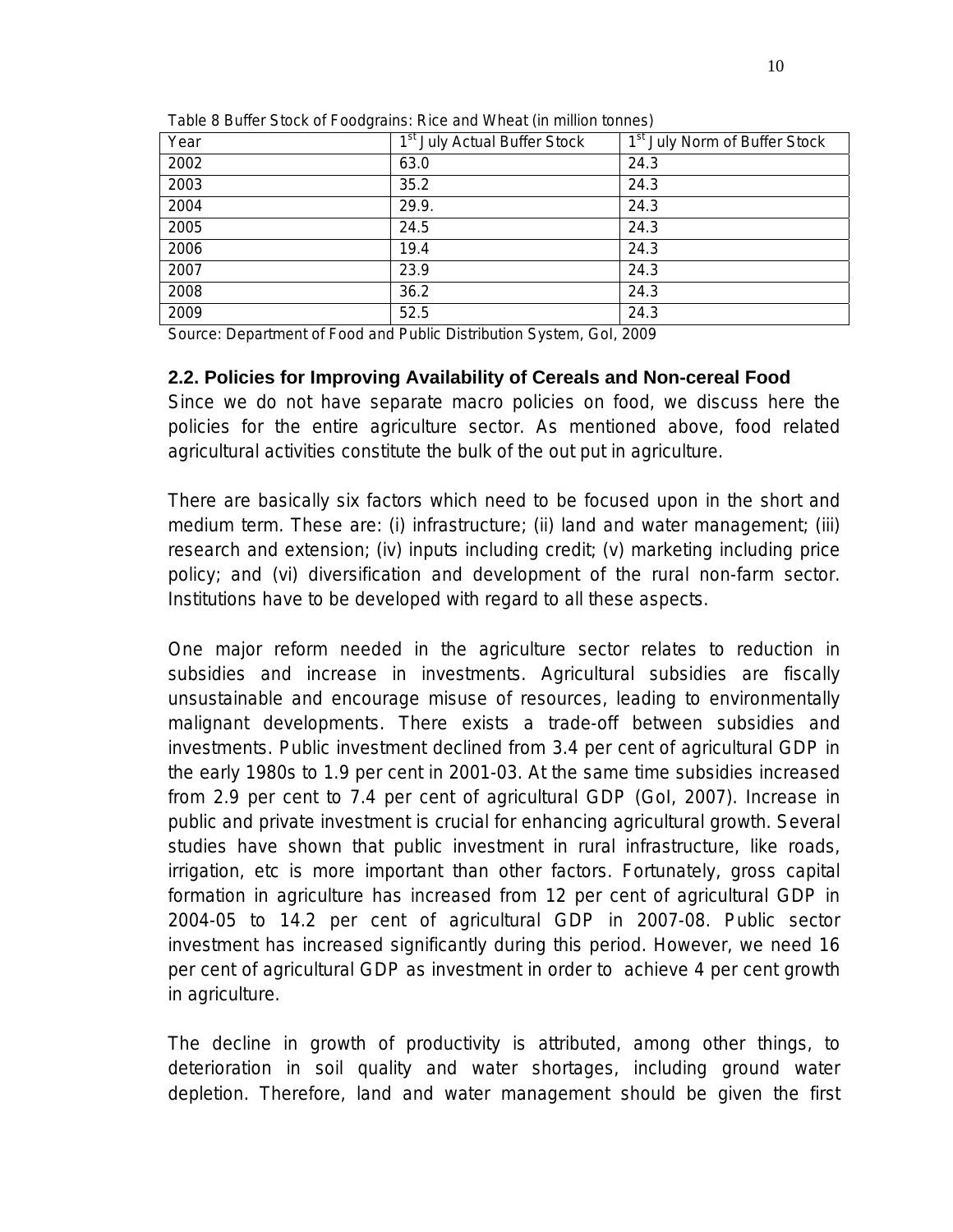| Year | 1 <sup>st</sup> July Actual Buffer Stock | 1 <sup>st</sup> July Norm of Buffer Stock |
|------|------------------------------------------|-------------------------------------------|
| 2002 | 63.0                                     | 24.3                                      |
| 2003 | 35.2                                     | 24.3                                      |
| 2004 | 29.9.                                    | 24.3                                      |
| 2005 | 24.5                                     | 24.3                                      |
| 2006 | 19.4                                     | 24.3                                      |
| 2007 | 23.9                                     | 24.3                                      |
| 2008 | 36.2                                     | 24.3                                      |
| 2009 | 52.5                                     | 24.3                                      |

Table 8 Buffer Stock of Foodgrains: Rice and Wheat (in million tonnes)

Source: Department of Food and Public Distribution System, GoI, 2009

## **2.2. Policies for Improving Availability of Cereals and Non-cereal Food**

Since we do not have separate macro policies on food, we discuss here the policies for the entire agriculture sector. As mentioned above, food related agricultural activities constitute the bulk of the out put in agriculture.

There are basically six factors which need to be focused upon in the short and medium term. These are: (i) infrastructure; (ii) land and water management; (iii) research and extension; (iv) inputs including credit; (v) marketing including price policy; and (vi) diversification and development of the rural non-farm sector. Institutions have to be developed with regard to all these aspects.

One major reform needed in the agriculture sector relates to reduction in subsidies and increase in investments. Agricultural subsidies are fiscally unsustainable and encourage misuse of resources, leading to environmentally malignant developments. There exists a trade-off between subsidies and investments. Public investment declined from 3.4 per cent of agricultural GDP in the early 1980s to 1.9 per cent in 2001-03. At the same time subsidies increased from 2.9 per cent to 7.4 per cent of agricultural GDP (GoI, 2007). Increase in public and private investment is crucial for enhancing agricultural growth. Several studies have shown that public investment in rural infrastructure, like roads, irrigation, etc is more important than other factors. Fortunately, gross capital formation in agriculture has increased from 12 per cent of agricultural GDP in 2004-05 to 14.2 per cent of agricultural GDP in 2007-08. Public sector investment has increased significantly during this period. However, we need 16 per cent of agricultural GDP as investment in order to achieve 4 per cent growth in agriculture.

The decline in growth of productivity is attributed, among other things, to deterioration in soil quality and water shortages, including ground water depletion. Therefore, land and water management should be given the first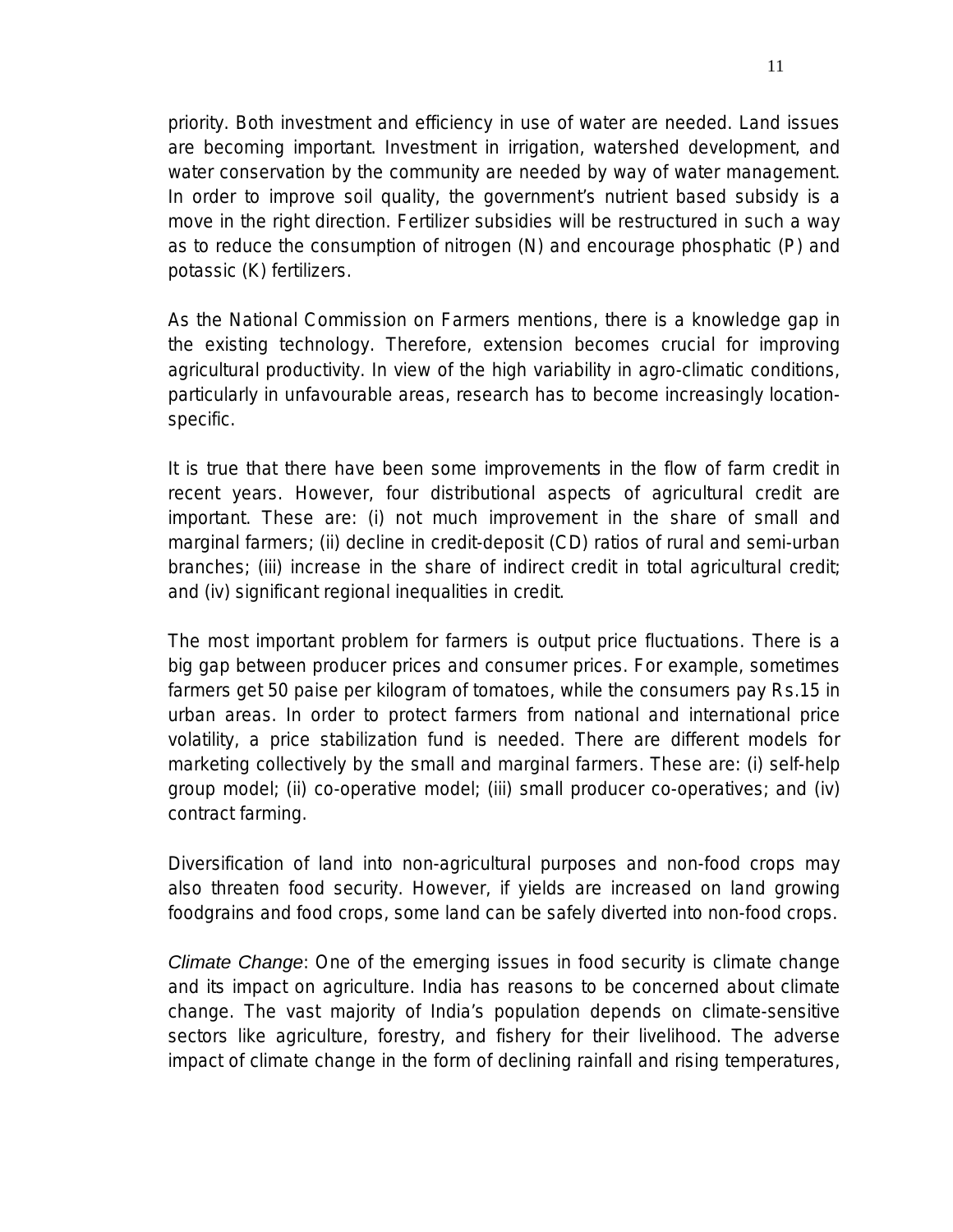11

priority. Both investment and efficiency in use of water are needed. Land issues are becoming important. Investment in irrigation, watershed development, and water conservation by the community are needed by way of water management. In order to improve soil quality, the government's nutrient based subsidy is a move in the right direction. Fertilizer subsidies will be restructured in such a way as to reduce the consumption of nitrogen (N) and encourage phosphatic (P) and potassic (K) fertilizers.

As the National Commission on Farmers mentions, there is a knowledge gap in the existing technology. Therefore, extension becomes crucial for improving agricultural productivity. In view of the high variability in agro-climatic conditions, particularly in unfavourable areas, research has to become increasingly locationspecific.

It is true that there have been some improvements in the flow of farm credit in recent years. However, four distributional aspects of agricultural credit are important. These are: (i) not much improvement in the share of small and marginal farmers; (ii) decline in credit-deposit (CD) ratios of rural and semi-urban branches; (iii) increase in the share of indirect credit in total agricultural credit; and (iv) significant regional inequalities in credit.

The most important problem for farmers is output price fluctuations. There is a big gap between producer prices and consumer prices. For example, sometimes farmers get 50 paise per kilogram of tomatoes, while the consumers pay Rs.15 in urban areas. In order to protect farmers from national and international price volatility, a price stabilization fund is needed. There are different models for marketing collectively by the small and marginal farmers. These are: (i) self-help group model; (ii) co-operative model; (iii) small producer co-operatives; and (iv) contract farming.

Diversification of land into non-agricultural purposes and non-food crops may also threaten food security. However, if yields are increased on land growing foodgrains and food crops, some land can be safely diverted into non-food crops.

*Climate Change*: One of the emerging issues in food security is climate change and its impact on agriculture. India has reasons to be concerned about climate change. The vast majority of India's population depends on climate-sensitive sectors like agriculture, forestry, and fishery for their livelihood. The adverse impact of climate change in the form of declining rainfall and rising temperatures,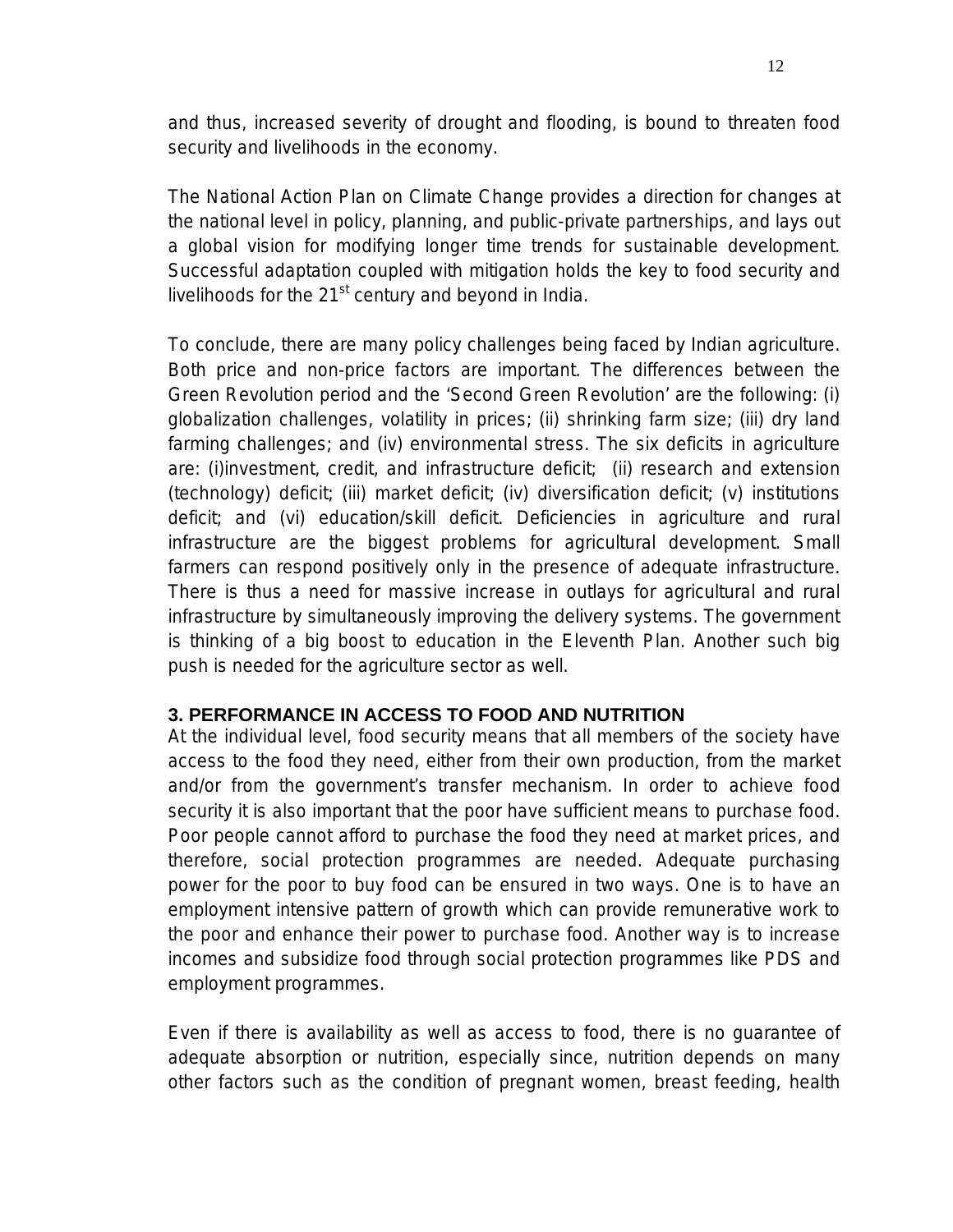and thus, increased severity of drought and flooding, is bound to threaten food security and livelihoods in the economy.

The National Action Plan on Climate Change provides a direction for changes at the national level in policy, planning, and public-private partnerships, and lays out a global vision for modifying longer time trends for sustainable development. Successful adaptation coupled with mitigation holds the key to food security and livelihoods for the  $21<sup>st</sup>$  century and beyond in India.

To conclude, there are many policy challenges being faced by Indian agriculture. Both price and non-price factors are important. The differences between the Green Revolution period and the 'Second Green Revolution' are the following: (i) globalization challenges, volatility in prices; (ii) shrinking farm size; (iii) dry land farming challenges; and (iv) environmental stress. The six deficits in agriculture are: (i)investment, credit, and infrastructure deficit; (ii) research and extension (technology) deficit; (iii) market deficit; (iv) diversification deficit; (v) institutions deficit; and (vi) education/skill deficit. Deficiencies in agriculture and rural infrastructure are the biggest problems for agricultural development. Small farmers can respond positively only in the presence of adequate infrastructure. There is thus a need for massive increase in outlays for agricultural and rural infrastructure by simultaneously improving the delivery systems. The government is thinking of a big boost to education in the Eleventh Plan. Another such big push is needed for the agriculture sector as well.

### **3. PERFORMANCE IN ACCESS TO FOOD AND NUTRITION**

At the individual level, food security means that all members of the society have access to the food they need, either from their own production, from the market and/or from the government's transfer mechanism. In order to achieve food security it is also important that the poor have sufficient means to purchase food. Poor people cannot afford to purchase the food they need at market prices, and therefore, social protection programmes are needed. Adequate purchasing power for the poor to buy food can be ensured in two ways. One is to have an employment intensive pattern of growth which can provide remunerative work to the poor and enhance their power to purchase food. Another way is to increase incomes and subsidize food through social protection programmes like PDS and employment programmes.

Even if there is availability as well as access to food, there is no guarantee of adequate absorption or nutrition, especially since, nutrition depends on many other factors such as the condition of pregnant women, breast feeding, health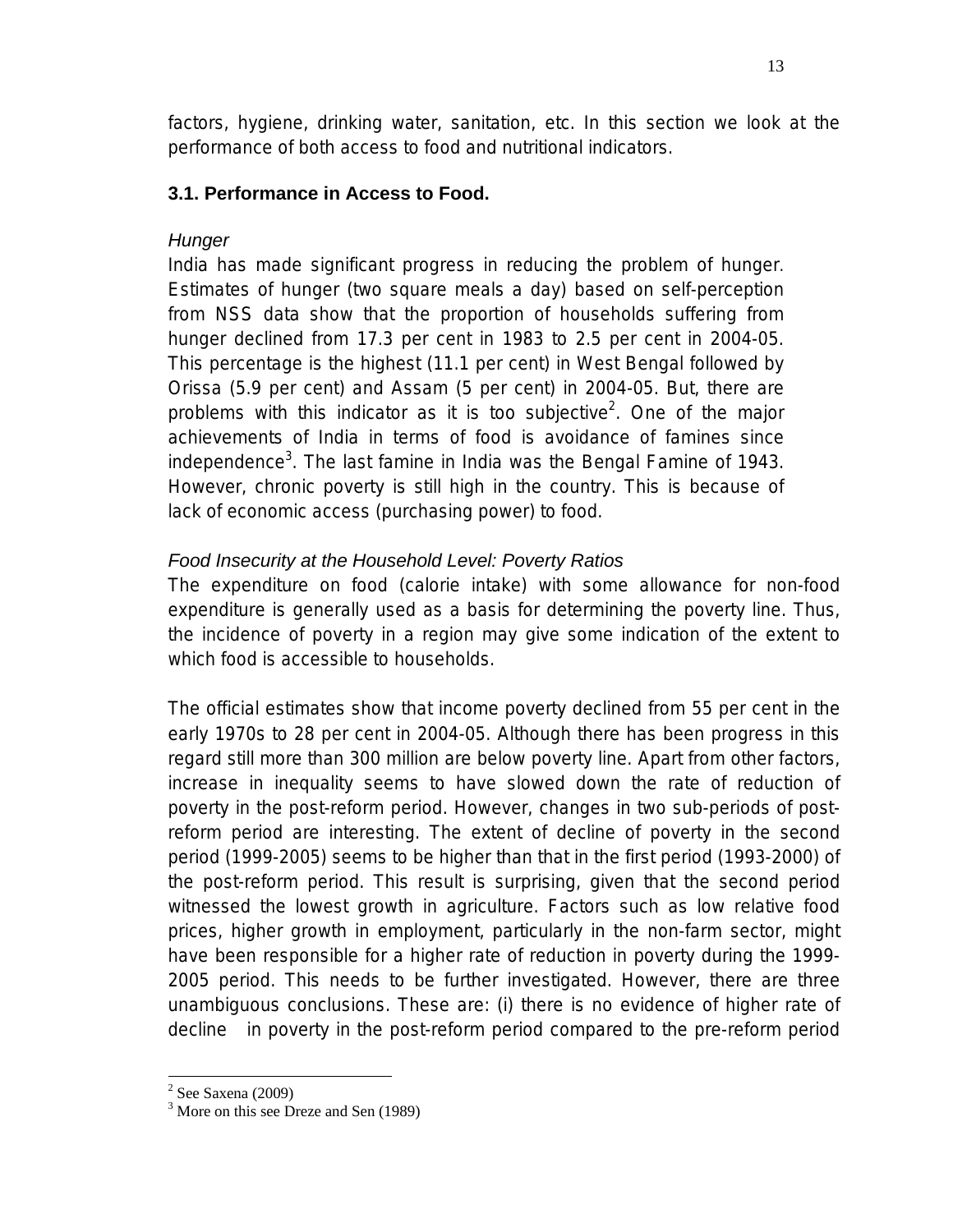factors, hygiene, drinking water, sanitation, etc. In this section we look at the performance of both access to food and nutritional indicators.

## **3.1. Performance in Access to Food.**

## *Hunger*

India has made significant progress in reducing the problem of hunger. Estimates of hunger (two square meals a day) based on self-perception from NSS data show that the proportion of households suffering from hunger declined from 17.3 per cent in 1983 to 2.5 per cent in 2004-05. This percentage is the highest (11.1 per cent) in West Bengal followed by Orissa (5.9 per cent) and Assam (5 per cent) in 2004-05. But, there are problems with this indicator as it is too subjective<sup>2</sup>. One of the major achievements of India in terms of food is avoidance of famines since independence<sup>3</sup>. The last famine in India was the Bengal Famine of 1943. However, chronic poverty is still high in the country. This is because of lack of economic access (purchasing power) to food.

## *Food Insecurity at the Household Level: Poverty Ratios*

The expenditure on food (calorie intake) with some allowance for non-food expenditure is generally used as a basis for determining the poverty line. Thus, the incidence of poverty in a region may give some indication of the extent to which food is accessible to households.

The official estimates show that income poverty declined from 55 per cent in the early 1970s to 28 per cent in 2004-05. Although there has been progress in this regard still more than 300 million are below poverty line. Apart from other factors, increase in inequality seems to have slowed down the rate of reduction of poverty in the post-reform period. However, changes in two sub-periods of postreform period are interesting. The extent of decline of poverty in the second period (1999-2005) seems to be higher than that in the first period (1993-2000) of the post-reform period. This result is surprising, given that the second period witnessed the lowest growth in agriculture. Factors such as low relative food prices, higher growth in employment, particularly in the non-farm sector, might have been responsible for a higher rate of reduction in poverty during the 1999- 2005 period. This needs to be further investigated. However, there are three unambiguous conclusions. These are: (i) there is no evidence of higher rate of decline in poverty in the post-reform period compared to the pre-reform period

l  $2$  See Saxena (2009)

<sup>&</sup>lt;sup>3</sup> More on this see Dreze and Sen (1989)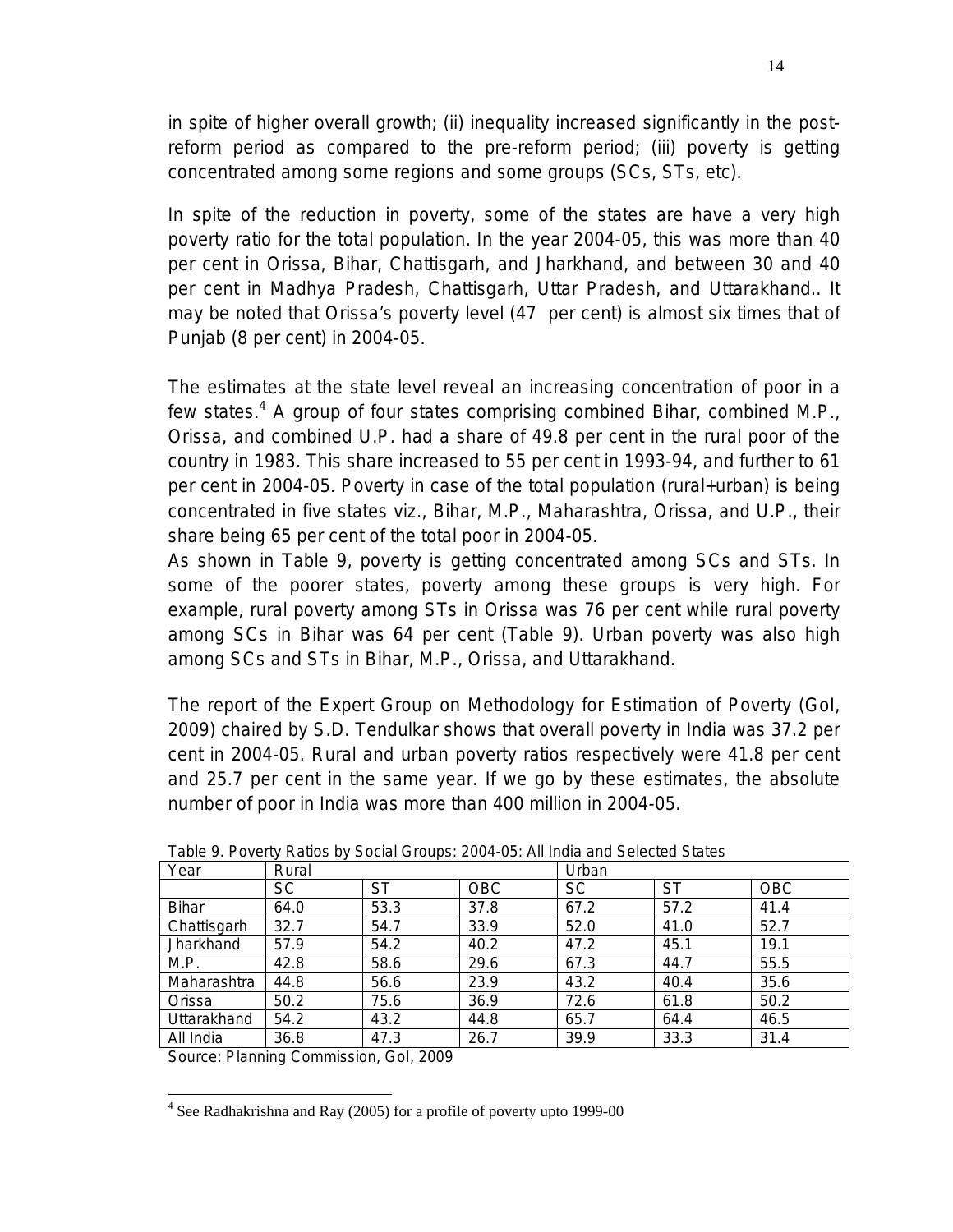in spite of higher overall growth; (ii) inequality increased significantly in the postreform period as compared to the pre-reform period; (iii) poverty is getting concentrated among some regions and some groups (SCs, STs, etc).

In spite of the reduction in poverty, some of the states are have a very high poverty ratio for the total population. In the year 2004-05, this was more than 40 per cent in Orissa, Bihar, Chattisgarh, and Jharkhand, and between 30 and 40 per cent in Madhya Pradesh, Chattisgarh, Uttar Pradesh, and Uttarakhand.. It may be noted that Orissa's poverty level (47 per cent) is almost six times that of Punjab (8 per cent) in 2004-05.

The estimates at the state level reveal an increasing concentration of poor in a few states.<sup>4</sup> A group of four states comprising combined Bihar, combined M.P., Orissa, and combined U.P. had a share of 49.8 per cent in the rural poor of the country in 1983. This share increased to 55 per cent in 1993-94, and further to 61 per cent in 2004-05. Poverty in case of the total population (rural+urban) is being concentrated in five states viz., Bihar, M.P., Maharashtra, Orissa, and U.P., their share being 65 per cent of the total poor in 2004-05.

As shown in Table 9, poverty is getting concentrated among SCs and STs. In some of the poorer states, poverty among these groups is very high. For example, rural poverty among STs in Orissa was 76 per cent while rural poverty among SCs in Bihar was 64 per cent (Table 9). Urban poverty was also high among SCs and STs in Bihar, M.P., Orissa, and Uttarakhand.

The report of the Expert Group on Methodology for Estimation of Poverty (GoI, 2009) chaired by S.D. Tendulkar shows that overall poverty in India was 37.2 per cent in 2004-05. Rural and urban poverty ratios respectively were 41.8 per cent and 25.7 per cent in the same year. If we go by these estimates, the absolute number of poor in India was more than 400 million in 2004-05.

| Year         | Rural     |           |            | Urban |           |            |
|--------------|-----------|-----------|------------|-------|-----------|------------|
|              | <b>SC</b> | <b>ST</b> | <b>OBC</b> | SC    | <b>ST</b> | <b>OBC</b> |
| <b>Bihar</b> | 64.0      | 53.3      | 37.8       | 67.2  | 57.2      | 41.4       |
| Chattisgarh  | 32.7      | 54.7      | 33.9       | 52.0  | 41.0      | 52.7       |
| Jharkhand    | 57.9      | 54.2      | 40.2       | 47.2  | 45.1      | 19.1       |
| M.P.         | 42.8      | 58.6      | 29.6       | 67.3  | 44.7      | 55.5       |
| Maharashtra  | 44.8      | 56.6      | 23.9       | 43.2  | 40.4      | 35.6       |
| Orissa       | 50.2      | 75.6      | 36.9       | 72.6  | 61.8      | 50.2       |
| Uttarakhand  | 54.2      | 43.2      | 44.8       | 65.7  | 64.4      | 46.5       |
| All India    | 36.8      | 47.3      | 26.7       | 39.9  | 33.3      | 31.4       |

Table 9. Poverty Ratios by Social Groups: 2004-05: All India and Selected States

Source: Planning Commission, GoI, 2009

l <sup>4</sup> See Radhakrishna and Ray (2005) for a profile of poverty upto 1999-00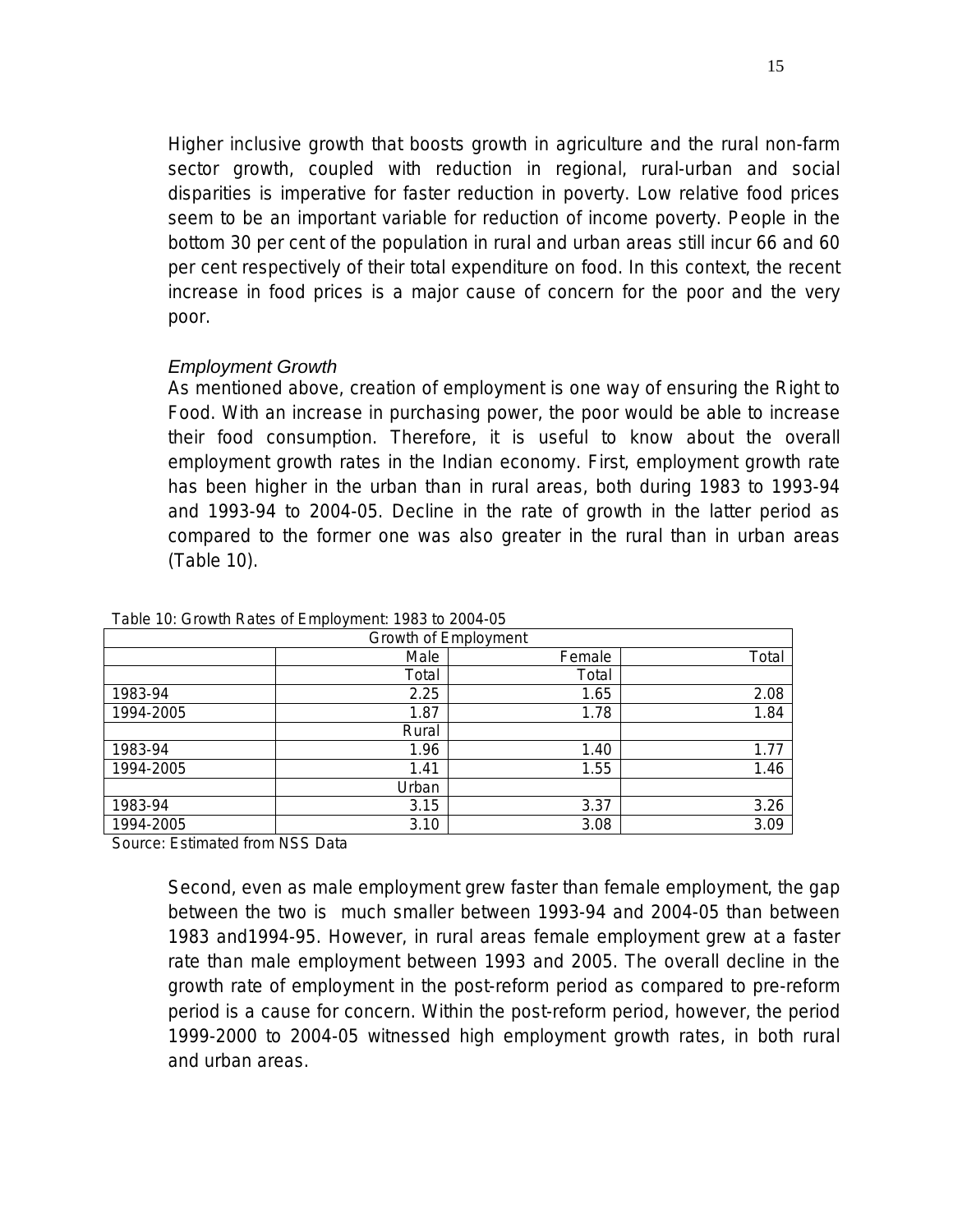Higher inclusive growth that boosts growth in agriculture and the rural non-farm sector growth, coupled with reduction in regional, rural-urban and social disparities is imperative for faster reduction in poverty. Low relative food prices seem to be an important variable for reduction of income poverty. People in the bottom 30 per cent of the population in rural and urban areas still incur 66 and 60 per cent respectively of their total expenditure on food. In this context, the recent increase in food prices is a major cause of concern for the poor and the very poor.

#### *Employment Growth*

As mentioned above, creation of employment is one way of ensuring the Right to Food. With an increase in purchasing power, the poor would be able to increase their food consumption. Therefore, it is useful to know about the overall employment growth rates in the Indian economy. First, employment growth rate has been higher in the urban than in rural areas, both during 1983 to 1993-94 and 1993-94 to 2004-05. Decline in the rate of growth in the latter period as compared to the former one was also greater in the rural than in urban areas (Table 10).

|           | Table To: OTOWITT Rates of Employment. T505 to 2004 05 |        |       |
|-----------|--------------------------------------------------------|--------|-------|
|           | Growth of Employment                                   |        |       |
|           | Male                                                   | Female | Total |
|           | Total                                                  | Total  |       |
| 1983-94   | 2.25                                                   | 1.65   | 2.08  |
| 1994-2005 | 1.87                                                   | 1.78   | 1.84  |
|           | Rural                                                  |        |       |
| 1983-94   | 1.96                                                   | 1.40   | 1.77  |
| 1994-2005 | 1.41                                                   | 1.55   | 1.46  |
|           | Urban                                                  |        |       |
| 1983-94   | 3.15                                                   | 3.37   | 3.26  |
| 1994-2005 | 3.10                                                   | 3.08   | 3.09  |

Table 10: Growth Rates of Employment: 1983 to 2004-05

Source: Estimated from NSS Data

Second, even as male employment grew faster than female employment, the gap between the two is much smaller between 1993-94 and 2004-05 than between 1983 and1994-95. However, in rural areas female employment grew at a faster rate than male employment between 1993 and 2005. The overall decline in the growth rate of employment in the post-reform period as compared to pre-reform period is a cause for concern. Within the post-reform period, however, the period 1999-2000 to 2004-05 witnessed high employment growth rates, in both rural and urban areas.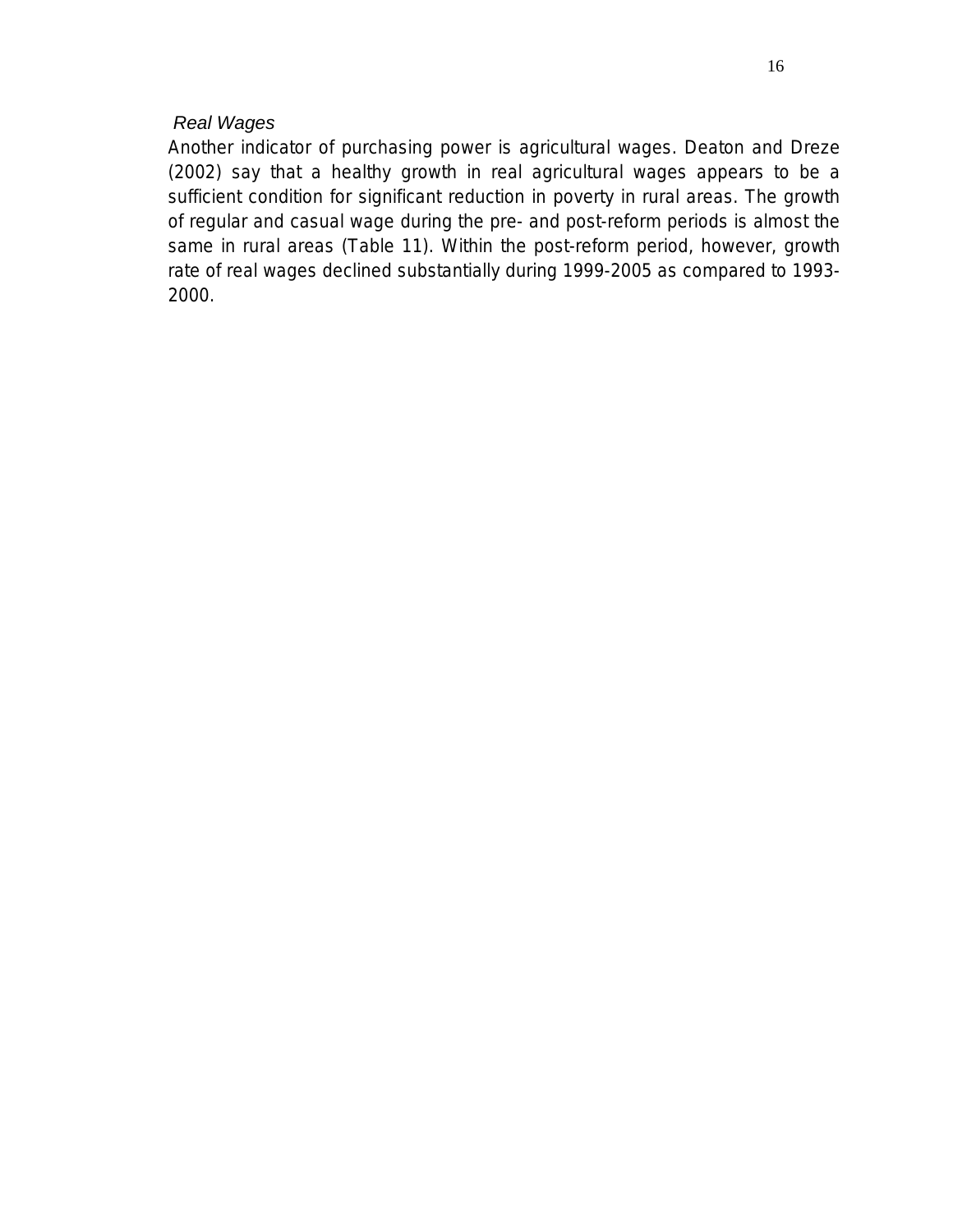## *Real Wages*

Another indicator of purchasing power is agricultural wages. Deaton and Dreze (2002) say that a healthy growth in real agricultural wages appears to be a sufficient condition for significant reduction in poverty in rural areas. The growth of regular and casual wage during the pre- and post-reform periods is almost the same in rural areas (Table 11). Within the post-reform period, however, growth rate of real wages declined substantially during 1999-2005 as compared to 1993- 2000.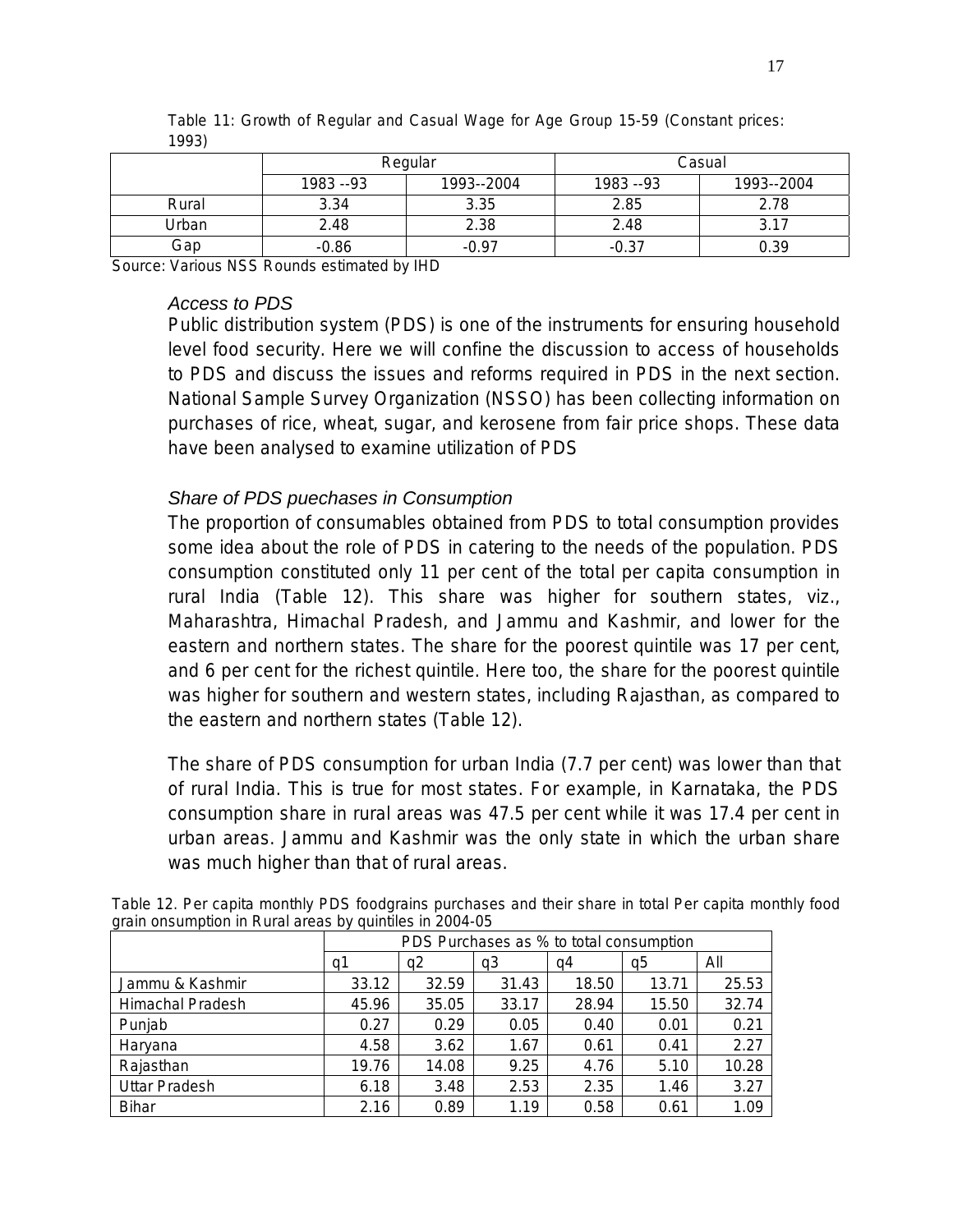| $\cdot\, \cdot\, \cdot\,$ |           |            |           |            |  |
|---------------------------|-----------|------------|-----------|------------|--|
|                           | Regular   |            | Casual    |            |  |
|                           | 1983 --93 | 1993--2004 | 1983 --93 | 1993--2004 |  |
| Rural                     | 3.34      | 3.35       | 2.85      | 2.78       |  |
| Urban                     | 2.48      | 2.38       | 2.48      | 3.17       |  |
| Gap                       | $-0.86$   | $-0.97$    | $-0.37$   | 0.39       |  |

Table 11: Growth of Regular and Casual Wage for Age Group 15-59 (Constant prices: 1993)

Source: Various NSS Rounds estimated by IHD

#### *Access to PDS*

Public distribution system (PDS) is one of the instruments for ensuring household level food security. Here we will confine the discussion to access of households to PDS and discuss the issues and reforms required in PDS in the next section. National Sample Survey Organization (NSSO) has been collecting information on purchases of rice, wheat, sugar, and kerosene from fair price shops. These data have been analysed to examine utilization of PDS

### *Share of PDS puechases in Consumption*

The proportion of consumables obtained from PDS to total consumption provides some idea about the role of PDS in catering to the needs of the population. PDS consumption constituted only 11 per cent of the total per capita consumption in rural India (Table 12). This share was higher for southern states, viz., Maharashtra, Himachal Pradesh, and Jammu and Kashmir, and lower for the eastern and northern states. The share for the poorest quintile was 17 per cent, and 6 per cent for the richest quintile. Here too, the share for the poorest quintile was higher for southern and western states, including Rajasthan, as compared to the eastern and northern states (Table 12).

The share of PDS consumption for urban India (7.7 per cent) was lower than that of rural India. This is true for most states. For example, in Karnataka, the PDS consumption share in rural areas was 47.5 per cent while it was 17.4 per cent in urban areas. Jammu and Kashmir was the only state in which the urban share was much higher than that of rural areas.

|                         | PDS Purchases as % to total consumption |       |       |       |       |       |
|-------------------------|-----------------------------------------|-------|-------|-------|-------|-------|
|                         | q1                                      | q2    | q3    | q4    | q5    | All   |
| Jammu & Kashmir         | 33.12                                   | 32.59 | 31.43 | 18.50 | 13.71 | 25.53 |
| <b>Himachal Pradesh</b> | 45.96                                   | 35.05 | 33.17 | 28.94 | 15.50 | 32.74 |
| Punjab                  | 0.27                                    | 0.29  | 0.05  | 0.40  | 0.01  | 0.21  |
| Haryana                 | 4.58                                    | 3.62  | 1.67  | 0.61  | 0.41  | 2.27  |
| Rajasthan               | 19.76                                   | 14.08 | 9.25  | 4.76  | 5.10  | 10.28 |
| <b>Uttar Pradesh</b>    | 6.18                                    | 3.48  | 2.53  | 2.35  | 1.46  | 3.27  |
| <b>Bihar</b>            | 2.16                                    | 0.89  | 1.19  | 0.58  | 0.61  | 1.09  |

Table 12. Per capita monthly PDS foodgrains purchases and their share in total Per capita monthly food grain onsumption in Rural areas by quintiles in 2004-05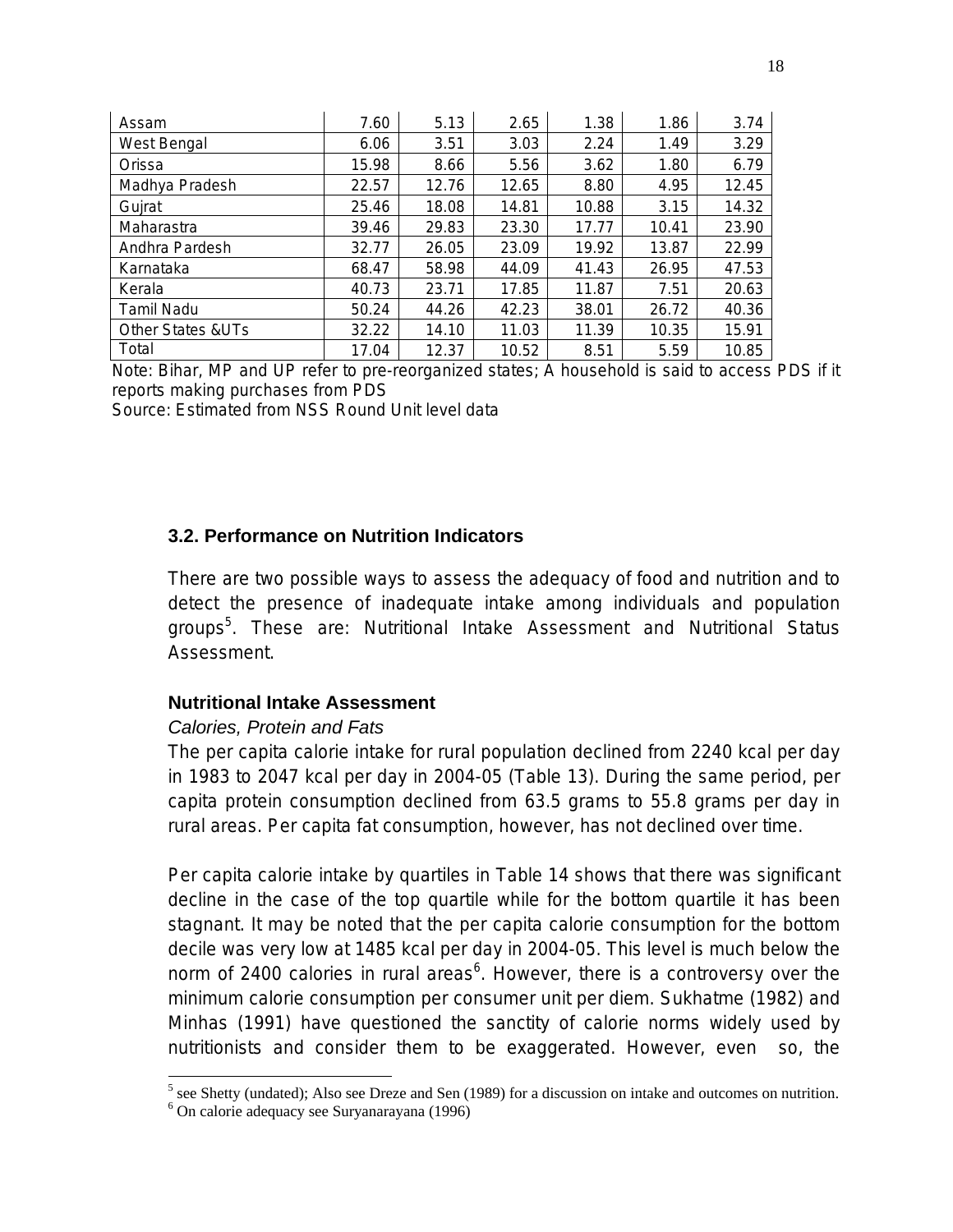| Assam                        | 7.60  | 5.13  | 2.65  | 1.38  | 1.86  | 3.74  |
|------------------------------|-------|-------|-------|-------|-------|-------|
| West Bengal                  | 6.06  | 3.51  | 3.03  | 2.24  | 1.49  | 3.29  |
| Orissa                       | 15.98 | 8.66  | 5.56  | 3.62  | 1.80  | 6.79  |
| Madhya Pradesh               | 22.57 | 12.76 | 12.65 | 8.80  | 4.95  | 12.45 |
| Gujrat                       | 25.46 | 18.08 | 14.81 | 10.88 | 3.15  | 14.32 |
| Maharastra                   | 39.46 | 29.83 | 23.30 | 17.77 | 10.41 | 23.90 |
| Andhra Pardesh               | 32.77 | 26.05 | 23.09 | 19.92 | 13.87 | 22.99 |
| Karnataka                    | 68.47 | 58.98 | 44.09 | 41.43 | 26.95 | 47.53 |
| Kerala                       | 40.73 | 23.71 | 17.85 | 11.87 | 7.51  | 20.63 |
| <b>Tamil Nadu</b>            | 50.24 | 44.26 | 42.23 | 38.01 | 26.72 | 40.36 |
| <b>Other States &amp;UTs</b> | 32.22 | 14.10 | 11.03 | 11.39 | 10.35 | 15.91 |
| Total                        | 17.04 | 12.37 | 10.52 | 8.51  | 5.59  | 10.85 |

Note: Bihar, MP and UP refer to pre-reorganized states; A household is said to access PDS if it reports making purchases from PDS

Source: Estimated from NSS Round Unit level data

#### **3.2. Performance on Nutrition Indicators**

There are two possible ways to assess the adequacy of food and nutrition and to detect the presence of inadequate intake among individuals and population groups<sup>5</sup>. These are: Nutritional Intake Assessment and Nutritional Status Assessment.

#### **Nutritional Intake Assessment**

#### *Calories, Protein and Fats*

The per capita calorie intake for rural population declined from 2240 kcal per day in 1983 to 2047 kcal per day in 2004-05 (Table 13). During the same period, per capita protein consumption declined from 63.5 grams to 55.8 grams per day in rural areas. Per capita fat consumption, however, has not declined over time.

Per capita calorie intake by quartiles in Table 14 shows that there was significant decline in the case of the top quartile while for the bottom quartile it has been stagnant. It may be noted that the per capita calorie consumption for the bottom decile was very low at 1485 kcal per day in 2004-05. This level is much below the norm of 2400 calories in rural areas<sup>6</sup>. However, there is a controversy over the minimum calorie consumption per consumer unit per diem. Sukhatme (1982) and Minhas (1991) have questioned the sanctity of calorie norms widely used by nutritionists and consider them to be exaggerated. However, even so, the

l

<sup>&</sup>lt;sup>5</sup> see Shetty (undated); Also see Dreze and Sen (1989) for a discussion on intake and outcomes on nutrition.

On calorie adequacy see Suryanarayana (1996)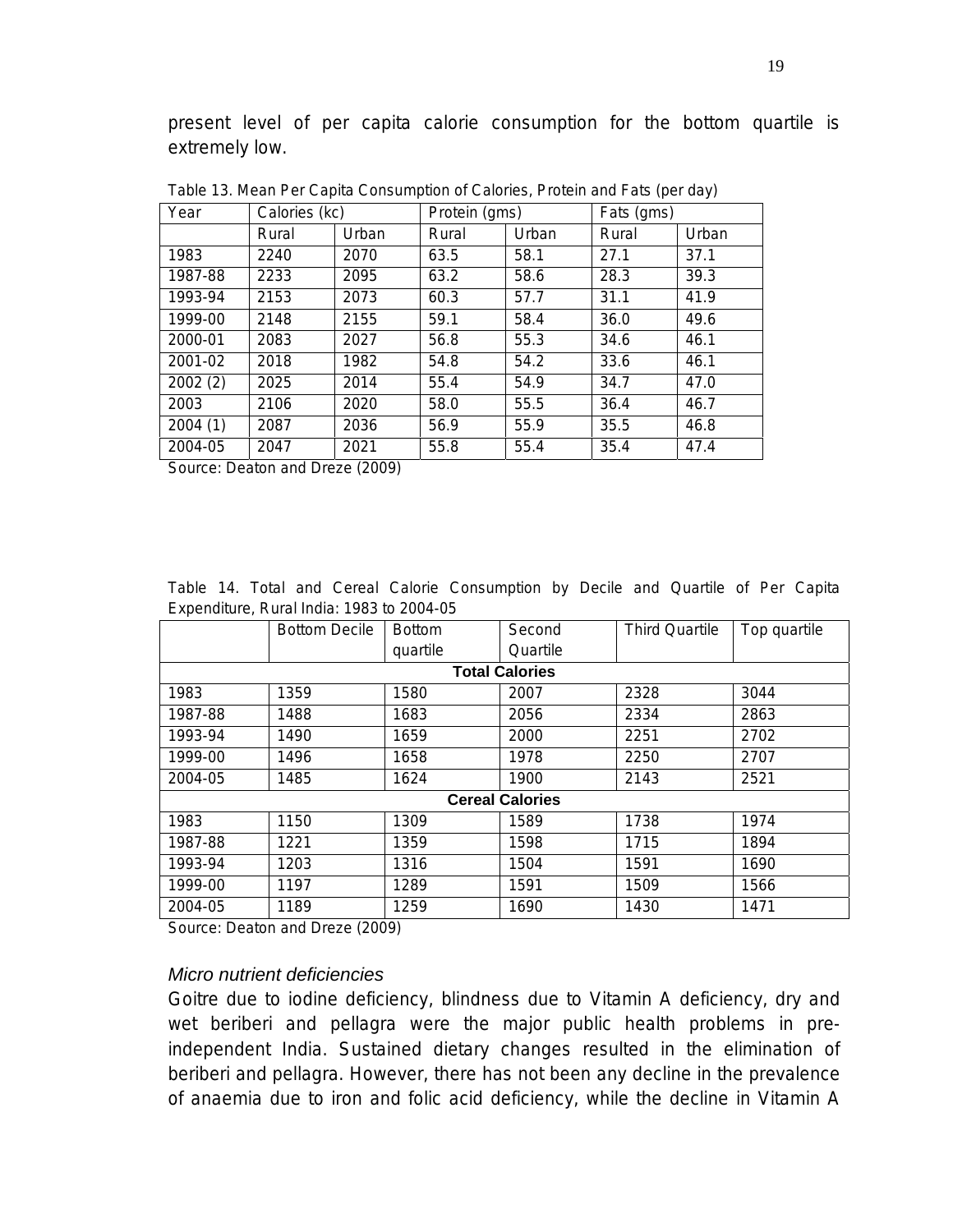present level of per capita calorie consumption for the bottom quartile is extremely low.

| Year    | Calories (kc) |       | Protein (gms) |       | Fats (gms) |       |
|---------|---------------|-------|---------------|-------|------------|-------|
|         | Rural         | Urban | Rural         | Urban | Rural      | Urban |
| 1983    | 2240          | 2070  | 63.5          | 58.1  | 27.1       | 37.1  |
| 1987-88 | 2233          | 2095  | 63.2          | 58.6  | 28.3       | 39.3  |
| 1993-94 | 2153          | 2073  | 60.3          | 57.7  | 31.1       | 41.9  |
| 1999-00 | 2148          | 2155  | 59.1          | 58.4  | 36.0       | 49.6  |
| 2000-01 | 2083          | 2027  | 56.8          | 55.3  | 34.6       | 46.1  |
| 2001-02 | 2018          | 1982  | 54.8          | 54.2  | 33.6       | 46.1  |
| 2002(2) | 2025          | 2014  | 55.4          | 54.9  | 34.7       | 47.0  |
| 2003    | 2106          | 2020  | 58.0          | 55.5  | 36.4       | 46.7  |
| 2004(1) | 2087          | 2036  | 56.9          | 55.9  | 35.5       | 46.8  |
| 2004-05 | 2047          | 2021  | 55.8          | 55.4  | 35.4       | 47.4  |

Table 13. Mean Per Capita Consumption of Calories, Protein and Fats (per day)

Source: Deaton and Dreze (2009)

Table 14. Total and Cereal Calorie Consumption by Decile and Quartile of Per Capita Expenditure, Rural India: 1983 to 2004-05

|                        | <b>Bottom Decile</b> | <b>Bottom</b> | Second                | <b>Third Quartile</b> | Top quartile |
|------------------------|----------------------|---------------|-----------------------|-----------------------|--------------|
|                        |                      | quartile      | Quartile              |                       |              |
|                        |                      |               | <b>Total Calories</b> |                       |              |
| 1983                   | 1359                 | 1580          | 2007                  | 2328                  | 3044         |
| 1987-88                | 1488                 | 1683          | 2056                  | 2334                  | 2863         |
| 1993-94                | 1490                 | 1659          | 2000                  | 2251                  | 2702         |
| 1999-00                | 1496                 | 1658          | 1978                  | 2250                  | 2707         |
| 2004-05                | 1485                 | 1624          | 1900                  | 2143                  | 2521         |
| <b>Cereal Calories</b> |                      |               |                       |                       |              |
| 1983                   | 1150                 | 1309          | 1589                  | 1738                  | 1974         |
| 1987-88                | 1221                 | 1359          | 1598                  | 1715                  | 1894         |
| 1993-94                | 1203                 | 1316          | 1504                  | 1591                  | 1690         |
| 1999-00                | 1197                 | 1289          | 1591                  | 1509                  | 1566         |
| 2004-05                | 1189                 | 1259          | 1690                  | 1430                  | 1471         |

Source: Deaton and Dreze (2009)

#### *Micro nutrient deficiencies*

Goitre due to iodine deficiency, blindness due to Vitamin A deficiency, dry and wet beriberi and pellagra were the major public health problems in preindependent India. Sustained dietary changes resulted in the elimination of beriberi and pellagra. However, there has not been any decline in the prevalence of anaemia due to iron and folic acid deficiency, while the decline in Vitamin A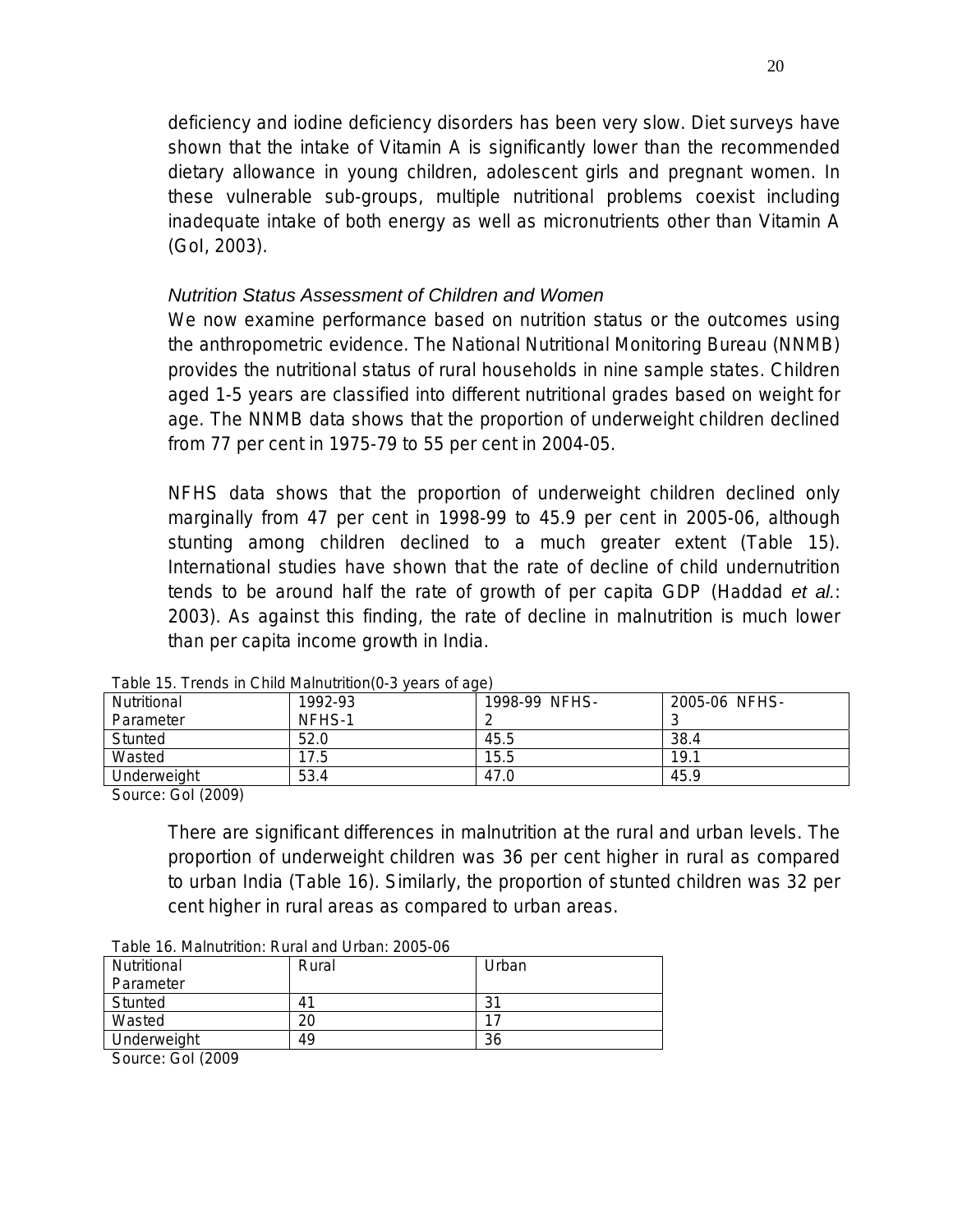deficiency and iodine deficiency disorders has been very slow. Diet surveys have shown that the intake of Vitamin A is significantly lower than the recommended dietary allowance in young children, adolescent girls and pregnant women. In these vulnerable sub-groups, multiple nutritional problems coexist including inadequate intake of both energy as well as micronutrients other than Vitamin A (GoI, 2003).

## *Nutrition Status Assessment of Children and Women*

We now examine performance based on nutrition status or the outcomes using the anthropometric evidence. The National Nutritional Monitoring Bureau (NNMB) provides the nutritional status of rural households in nine sample states. Children aged 1-5 years are classified into different nutritional grades based on weight for age. The NNMB data shows that the proportion of underweight children declined from 77 per cent in 1975-79 to 55 per cent in 2004-05.

NFHS data shows that the proportion of underweight children declined only marginally from 47 per cent in 1998-99 to 45.9 per cent in 2005-06, although stunting among children declined to a much greater extent (Table 15). International studies have shown that the rate of decline of child undernutrition tends to be around half the rate of growth of per capita GDP (Haddad *et al.*: 2003). As against this finding, the rate of decline in malnutrition is much lower than per capita income growth in India.

| Nutritional | 1992-93 | 1998-99 NFHS- | 2005-06 NFHS- |
|-------------|---------|---------------|---------------|
| Parameter   | NFHS-1  |               |               |
| Stunted     | 52.0    | 45.5          | 38.4          |
| Wasted      | 17.5    | 15.5          | 19.1          |
| Underweight | 53.4    | 47.0          | 45.9          |

Table 15. Trends in Child Malnutrition(0-3 years of age)

Source: GoI (2009)

There are significant differences in malnutrition at the rural and urban levels. The proportion of underweight children was 36 per cent higher in rural as compared to urban India (Table 16). Similarly, the proportion of stunted children was 32 per cent higher in rural areas as compared to urban areas.

| $19000$ TV. Maillandinon. I value and Orders 2000 00 |       |       |  |  |
|------------------------------------------------------|-------|-------|--|--|
| Nutritional                                          | Rural | Urban |  |  |
| Parameter                                            |       |       |  |  |
| Stunted                                              | 41    | 31    |  |  |
| Wasted                                               | 20    |       |  |  |
| Underweight                                          | 49    | 36    |  |  |
| $\sim$ $\sim$ $\sim$<br>$\sim$                       |       |       |  |  |

Table 16. Malnutrition: Rural and Urban: 2005-06

Source: GoI (2009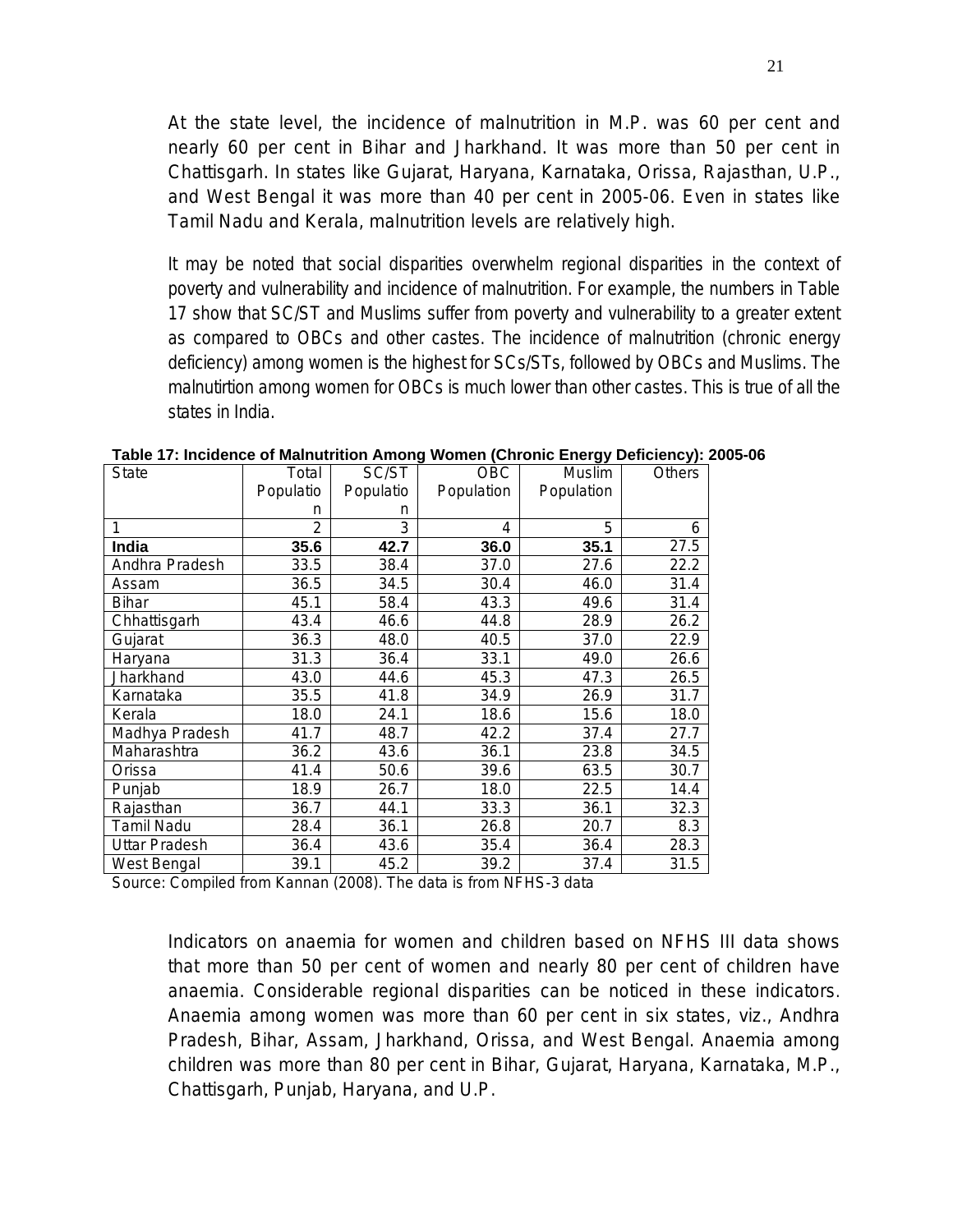At the state level, the incidence of malnutrition in M.P. was 60 per cent and nearly 60 per cent in Bihar and Jharkhand. It was more than 50 per cent in Chattisgarh. In states like Gujarat, Haryana, Karnataka, Orissa, Rajasthan, U.P., and West Bengal it was more than 40 per cent in 2005-06. Even in states like Tamil Nadu and Kerala, malnutrition levels are relatively high.

It may be noted that social disparities overwhelm regional disparities in the context of poverty and vulnerability and incidence of malnutrition. For example, the numbers in Table 17 show that SC/ST and Muslims suffer from poverty and vulnerability to a greater extent as compared to OBCs and other castes. The incidence of malnutrition (chronic energy deficiency) among women is the highest for SCs/STs, followed by OBCs and Muslims. The malnutirtion among women for OBCs is much lower than other castes. This is true of all the states in India.

| <b>State</b>         | Total     | SC/ST     | OBC        | Muslim     | <b>Others</b> |
|----------------------|-----------|-----------|------------|------------|---------------|
|                      | Populatio | Populatio | Population | Population |               |
|                      | n         | n         |            |            |               |
| 1                    | 2         | 3         | 4          | 5          | 6             |
| India                | 35.6      | 42.7      | 36.0       | 35.1       | 27.5          |
| Andhra Pradesh       | 33.5      | 38.4      | 37.0       | 27.6       | 22.2          |
| Assam                | 36.5      | 34.5      | 30.4       | 46.0       | 31.4          |
| Bihar                | 45.1      | 58.4      | 43.3       | 49.6       | 31.4          |
| Chhattisgarh         | 43.4      | 46.6      | 44.8       | 28.9       | 26.2          |
| Gujarat              | 36.3      | 48.0      | 40.5       | 37.0       | 22.9          |
| Haryana              | 31.3      | 36.4      | 33.1       | 49.0       | 26.6          |
| Jharkhand            | 43.0      | 44.6      | 45.3       | 47.3       | 26.5          |
| Karnataka            | 35.5      | 41.8      | 34.9       | 26.9       | 31.7          |
| Kerala               | 18.0      | 24.1      | 18.6       | 15.6       | 18.0          |
| Madhya Pradesh       | 41.7      | 48.7      | 42.2       | 37.4       | 27.7          |
| Maharashtra          | 36.2      | 43.6      | 36.1       | 23.8       | 34.5          |
| Orissa               | 41.4      | 50.6      | 39.6       | 63.5       | 30.7          |
| Punjab               | 18.9      | 26.7      | 18.0       | 22.5       | 14.4          |
| Rajasthan            | 36.7      | 44.1      | 33.3       | 36.1       | 32.3          |
| <b>Tamil Nadu</b>    | 28.4      | 36.1      | 26.8       | 20.7       | 8.3           |
| <b>Uttar Pradesh</b> | 36.4      | 43.6      | 35.4       | 36.4       | 28.3          |
| West Bengal          | 39.1      | 45.2      | 39.2       | 37.4       | 31.5          |

**Table 17: Incidence of Malnutrition Among Women (Chronic Energy Deficiency): 2005-06** 

Source: Compiled from Kannan (2008). The data is from NFHS-3 data

Indicators on anaemia for women and children based on NFHS III data shows that more than 50 per cent of women and nearly 80 per cent of children have anaemia. Considerable regional disparities can be noticed in these indicators. Anaemia among women was more than 60 per cent in six states, viz., Andhra Pradesh, Bihar, Assam, Jharkhand, Orissa, and West Bengal. Anaemia among children was more than 80 per cent in Bihar, Gujarat, Haryana, Karnataka, M.P., Chattisgarh, Punjab, Haryana, and U.P.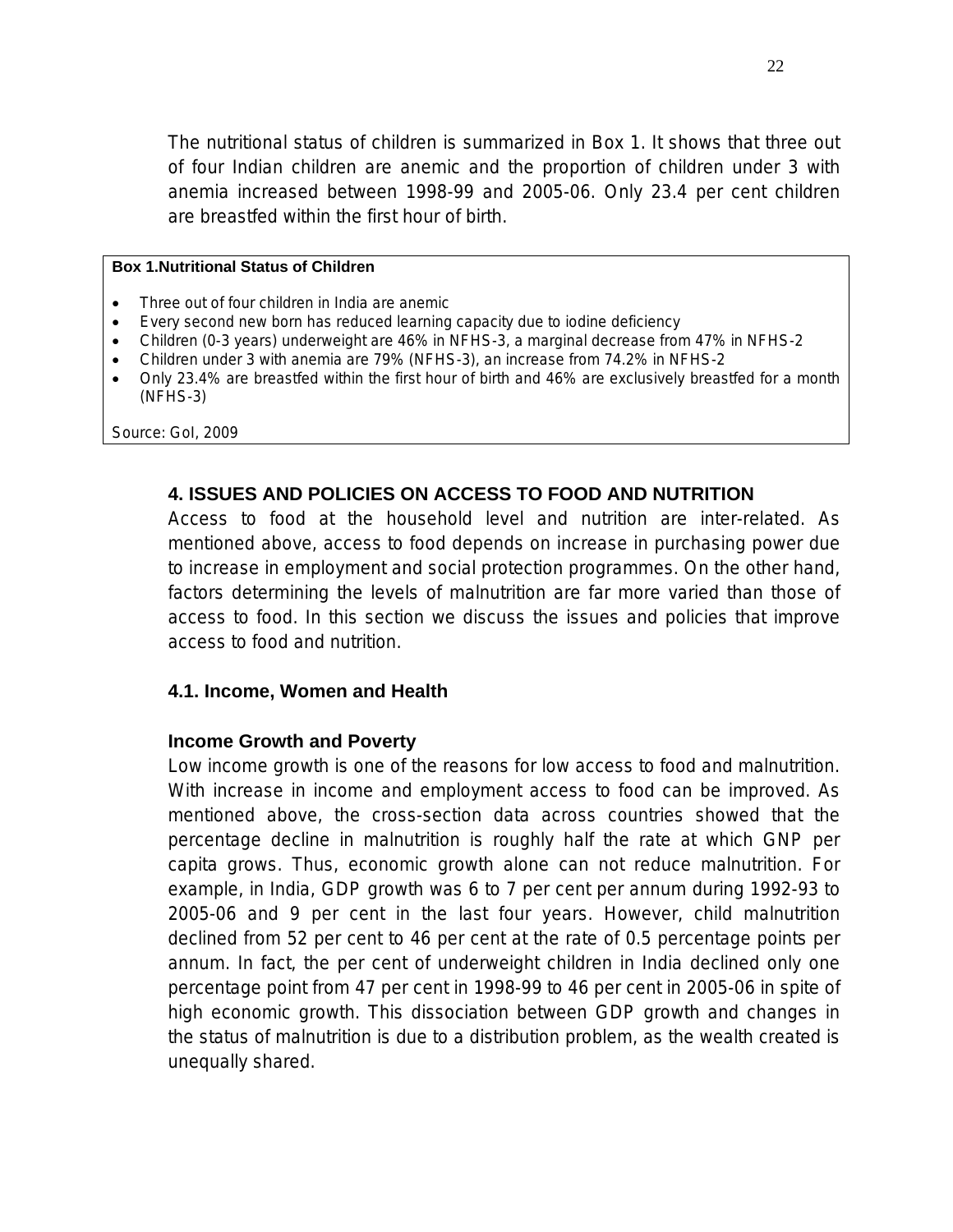The nutritional status of children is summarized in Box 1. It shows that three out of four Indian children are anemic and the proportion of children under 3 with anemia increased between 1998-99 and 2005-06. Only 23.4 per cent children are breastfed within the first hour of birth.

#### **Box 1.Nutritional Status of Children**

- Three out of four children in India are anemic
- Every second new born has reduced learning capacity due to iodine deficiency
- Children (0-3 years) underweight are 46% in NFHS-3, a marginal decrease from 47% in NFHS-2
- Children under 3 with anemia are 79% (NFHS-3), an increase from 74.2% in NFHS-2
- Only 23.4% are breastfed within the first hour of birth and 46% are exclusively breastfed for a month (NFHS-3)

Source: GoI, 2009

#### **4. ISSUES AND POLICIES ON ACCESS TO FOOD AND NUTRITION**

Access to food at the household level and nutrition are inter-related. As mentioned above, access to food depends on increase in purchasing power due to increase in employment and social protection programmes. On the other hand, factors determining the levels of malnutrition are far more varied than those of access to food. In this section we discuss the issues and policies that improve access to food and nutrition.

#### **4.1. Income, Women and Health**

#### **Income Growth and Poverty**

Low income growth is one of the reasons for low access to food and malnutrition. With increase in income and employment access to food can be improved. As mentioned above, the cross-section data across countries showed that the percentage decline in malnutrition is roughly half the rate at which GNP per capita grows. Thus, economic growth alone can not reduce malnutrition. For example, in India, GDP growth was 6 to 7 per cent per annum during 1992-93 to 2005-06 and 9 per cent in the last four years. However, child malnutrition declined from 52 per cent to 46 per cent at the rate of 0.5 percentage points per annum. In fact, the per cent of underweight children in India declined only one percentage point from 47 per cent in 1998-99 to 46 per cent in 2005-06 in spite of high economic growth. This dissociation between GDP growth and changes in the status of malnutrition is due to a distribution problem, as the wealth created is unequally shared.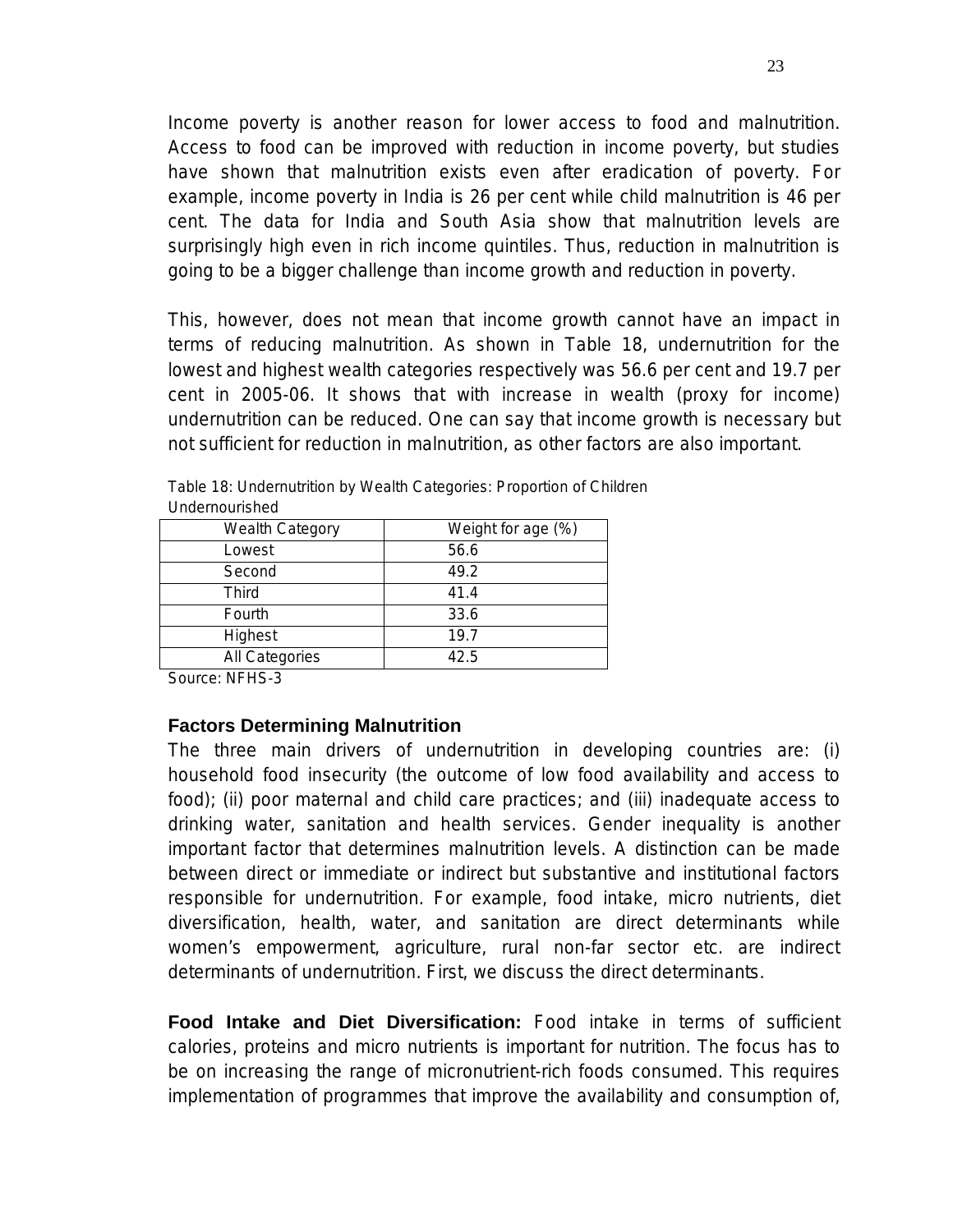Income poverty is another reason for lower access to food and malnutrition. Access to food can be improved with reduction in income poverty, but studies have shown that malnutrition exists even after eradication of poverty. For example, income poverty in India is 26 per cent while child malnutrition is 46 per cent. The data for India and South Asia show that malnutrition levels are surprisingly high even in rich income quintiles. Thus, reduction in malnutrition is going to be a bigger challenge than income growth and reduction in poverty.

This, however, does not mean that income growth cannot have an impact in terms of reducing malnutrition. As shown in Table 18, undernutrition for the lowest and highest wealth categories respectively was 56.6 per cent and 19.7 per cent in 2005-06. It shows that with increase in wealth (proxy for income) undernutrition can be reduced. One can say that income growth is necessary but not sufficient for reduction in malnutrition, as other factors are also important.

| <b>Wealth Category</b> | Weight for age (%) |
|------------------------|--------------------|
| Lowest                 | 56.6               |
| Second                 | 49.2               |
| Third                  | 41.4               |
| Fourth                 | 33.6               |
| Highest                | 19.7               |
| All Categories         | 42.5               |
| . . <u>. .</u>         |                    |

Table 18: Undernutrition by Wealth Categories: Proportion of Children Undernourished

Source: NFHS-3

#### **Factors Determining Malnutrition**

The three main drivers of undernutrition in developing countries are: (i) household food insecurity (the outcome of low food availability and access to food); (ii) poor maternal and child care practices; and (iii) inadequate access to drinking water, sanitation and health services. Gender inequality is another important factor that determines malnutrition levels. A distinction can be made between direct or immediate or indirect but substantive and institutional factors responsible for undernutrition. For example, food intake, micro nutrients, diet diversification, health, water, and sanitation are direct determinants while women's empowerment, agriculture, rural non-far sector etc. are indirect determinants of undernutrition. First, we discuss the direct determinants.

**Food Intake and Diet Diversification:** Food intake in terms of sufficient calories, proteins and micro nutrients is important for nutrition. The focus has to be on increasing the range of micronutrient-rich foods consumed. This requires implementation of programmes that improve the availability and consumption of,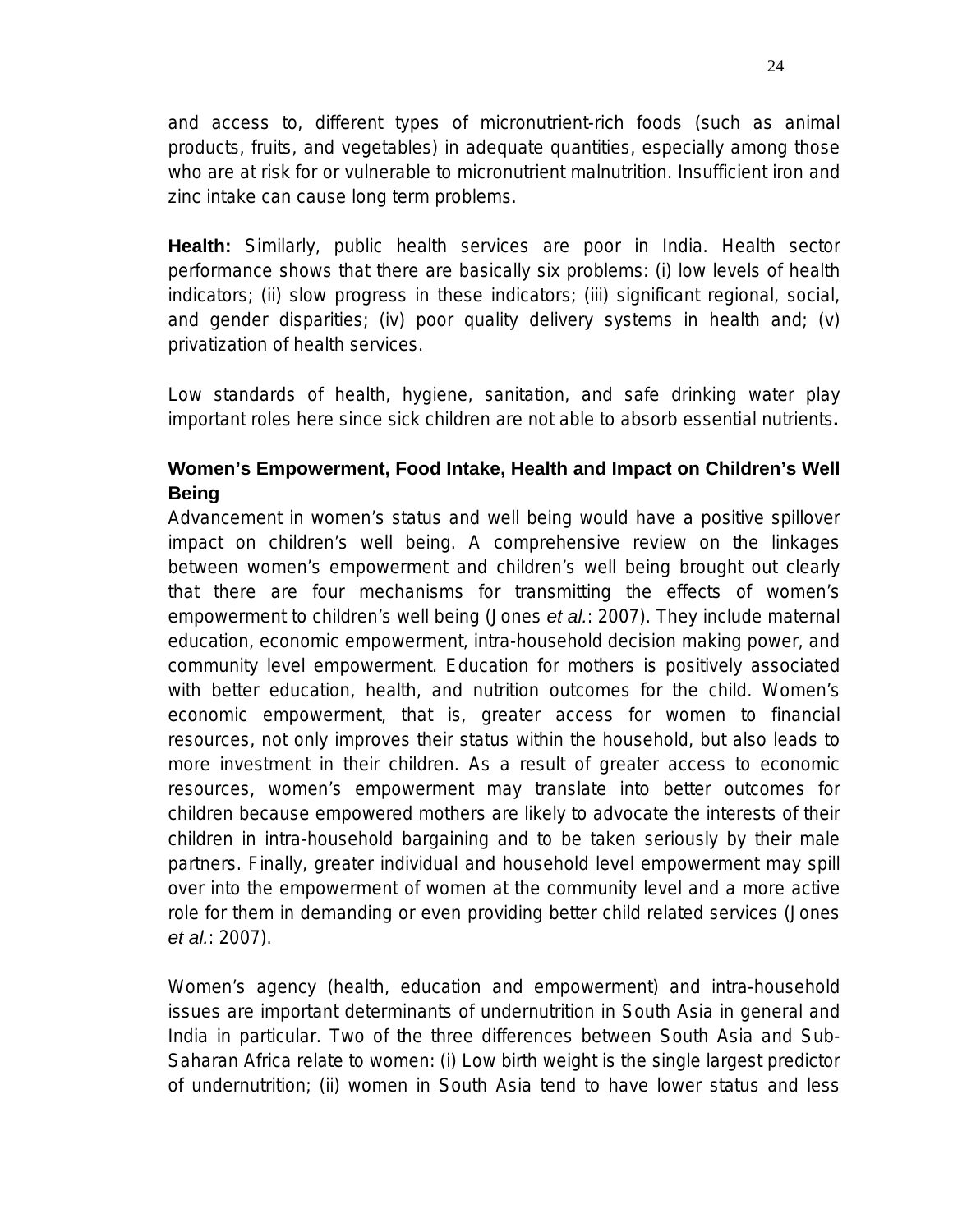and access to, different types of micronutrient-rich foods (such as animal products, fruits, and vegetables) in adequate quantities, especially among those who are at risk for or vulnerable to micronutrient malnutrition. Insufficient iron and zinc intake can cause long term problems.

**Health:** Similarly, public health services are poor in India. Health sector performance shows that there are basically six problems: (i) low levels of health indicators; (ii) slow progress in these indicators; (iii) significant regional, social, and gender disparities; (iv) poor quality delivery systems in health and; (v) privatization of health services.

Low standards of health, hygiene, sanitation, and safe drinking water play important roles here since sick children are not able to absorb essential nutrients**.** 

## **Women's Empowerment, Food Intake, Health and Impact on Children's Well Being**

Advancement in women's status and well being would have a positive spillover impact on children's well being. A comprehensive review on the linkages between women's empowerment and children's well being brought out clearly that there are four mechanisms for transmitting the effects of women's empowerment to children's well being (Jones *et al.*: 2007). They include maternal education, economic empowerment, intra-household decision making power, and community level empowerment. Education for mothers is positively associated with better education, health, and nutrition outcomes for the child. Women's economic empowerment, that is, greater access for women to financial resources, not only improves their status within the household, but also leads to more investment in their children. As a result of greater access to economic resources, women's empowerment may translate into better outcomes for children because empowered mothers are likely to advocate the interests of their children in intra-household bargaining and to be taken seriously by their male partners. Finally, greater individual and household level empowerment may spill over into the empowerment of women at the community level and a more active role for them in demanding or even providing better child related services (Jones *et al.*: 2007).

Women's agency (health, education and empowerment) and intra-household issues are important determinants of undernutrition in South Asia in general and India in particular. Two of the three differences between South Asia and Sub-Saharan Africa relate to women: (i) Low birth weight is the single largest predictor of undernutrition; (ii) women in South Asia tend to have lower status and less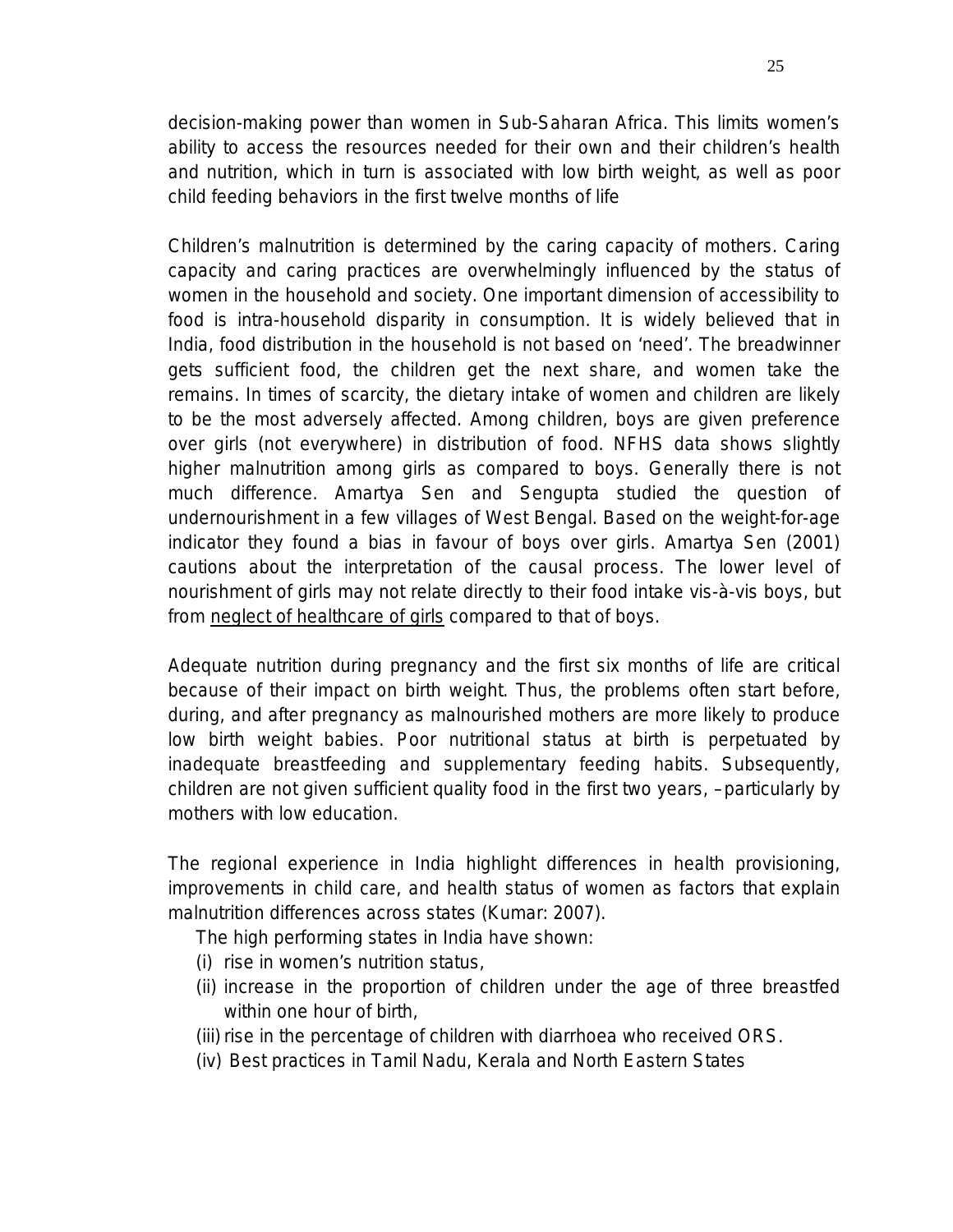decision-making power than women in Sub-Saharan Africa. This limits women's ability to access the resources needed for their own and their children's health and nutrition, which in turn is associated with low birth weight, as well as poor child feeding behaviors in the first twelve months of life

Children's malnutrition is determined by the caring capacity of mothers. Caring capacity and caring practices are overwhelmingly influenced by the status of women in the household and society. One important dimension of accessibility to food is intra-household disparity in consumption. It is widely believed that in India, food distribution in the household is not based on 'need'. The breadwinner gets sufficient food, the children get the next share, and women take the remains. In times of scarcity, the dietary intake of women and children are likely to be the most adversely affected. Among children, boys are given preference over girls (not everywhere) in distribution of food. NFHS data shows slightly higher malnutrition among girls as compared to boys. Generally there is not much difference. Amartya Sen and Sengupta studied the question of undernourishment in a few villages of West Bengal. Based on the weight-for-age indicator they found a bias in favour of boys over girls. Amartya Sen (2001) cautions about the interpretation of the causal process. The lower level of nourishment of girls may not relate directly to their food intake vis-à-vis boys, but from neglect of healthcare of girls compared to that of boys.

Adequate nutrition during pregnancy and the first six months of life are critical because of their impact on birth weight. Thus, the problems often start before, during, and after pregnancy as malnourished mothers are more likely to produce low birth weight babies. Poor nutritional status at birth is perpetuated by inadequate breastfeeding and supplementary feeding habits. Subsequently, children are not given sufficient quality food in the first two years, –particularly by mothers with low education.

The regional experience in India highlight differences in health provisioning, improvements in child care, and health status of women as factors that explain malnutrition differences across states (Kumar: 2007).

The high performing states in India have shown:

- (i) rise in women's nutrition status,
- (ii) increase in the proportion of children under the age of three breastfed within one hour of birth,
- (iii) rise in the percentage of children with diarrhoea who received ORS.
- (iv) Best practices in Tamil Nadu, Kerala and North Eastern States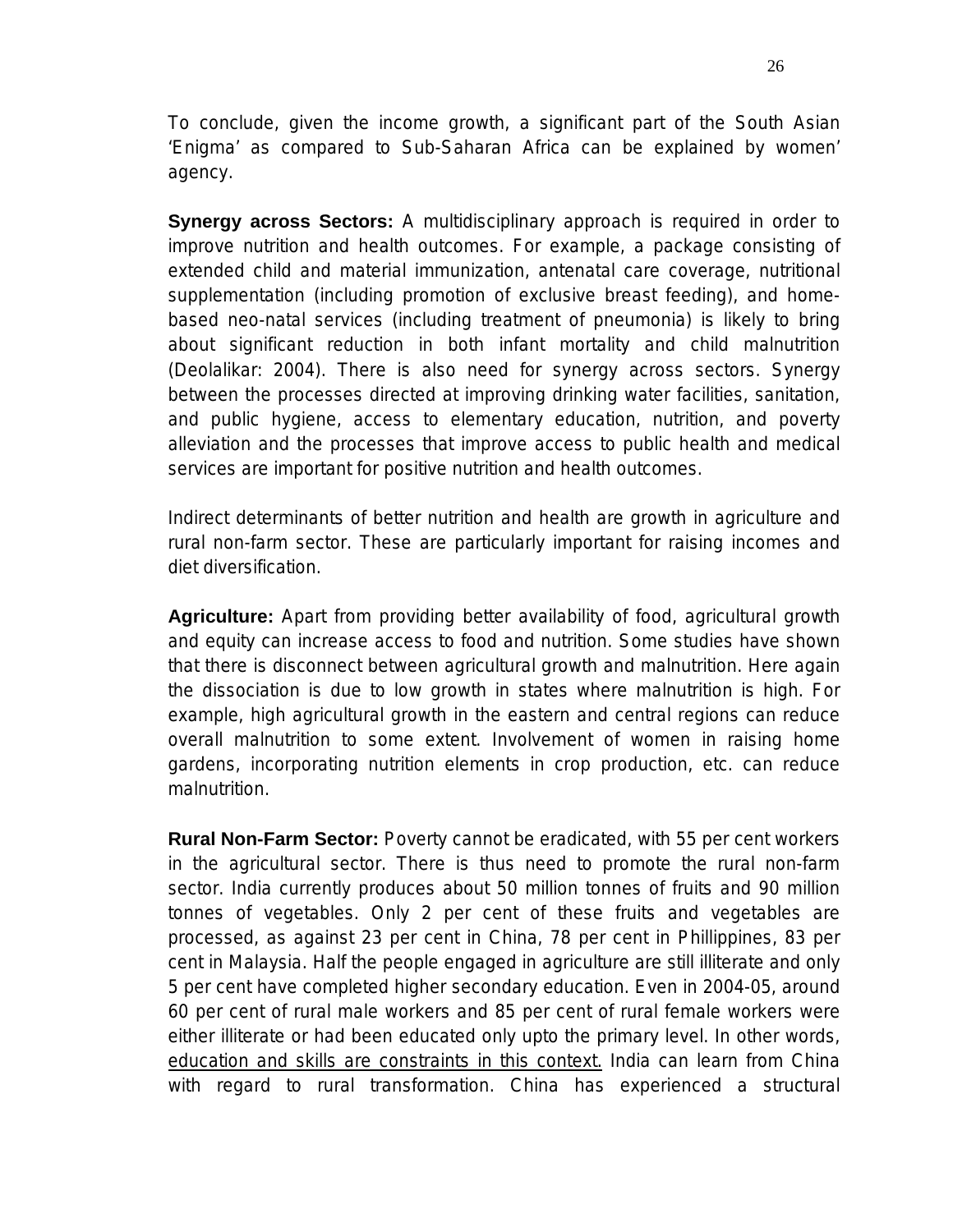To conclude, given the income growth, a significant part of the South Asian 'Enigma' as compared to Sub-Saharan Africa can be explained by women' agency.

**Synergy across Sectors:** A multidisciplinary approach is required in order to improve nutrition and health outcomes. For example, a package consisting of extended child and material immunization, antenatal care coverage, nutritional supplementation (including promotion of exclusive breast feeding), and homebased neo-natal services (including treatment of pneumonia) is likely to bring about significant reduction in both infant mortality and child malnutrition (Deolalikar: 2004). There is also need for synergy across sectors. Synergy between the processes directed at improving drinking water facilities, sanitation, and public hygiene, access to elementary education, nutrition, and poverty alleviation and the processes that improve access to public health and medical services are important for positive nutrition and health outcomes.

Indirect determinants of better nutrition and health are growth in agriculture and rural non-farm sector. These are particularly important for raising incomes and diet diversification.

**Agriculture:** Apart from providing better availability of food, agricultural growth and equity can increase access to food and nutrition. Some studies have shown that there is disconnect between agricultural growth and malnutrition. Here again the dissociation is due to low growth in states where malnutrition is high. For example, high agricultural growth in the eastern and central regions can reduce overall malnutrition to some extent. Involvement of women in raising home gardens, incorporating nutrition elements in crop production, etc. can reduce malnutrition.

**Rural Non-Farm Sector:** Poverty cannot be eradicated, with 55 per cent workers in the agricultural sector. There is thus need to promote the rural non-farm sector. India currently produces about 50 million tonnes of fruits and 90 million tonnes of vegetables. Only 2 per cent of these fruits and vegetables are processed, as against 23 per cent in China, 78 per cent in Phillippines, 83 per cent in Malaysia. Half the people engaged in agriculture are still illiterate and only 5 per cent have completed higher secondary education. Even in 2004-05, around 60 per cent of rural male workers and 85 per cent of rural female workers were either illiterate or had been educated only upto the primary level. In other words, education and skills are constraints in this context. India can learn from China with regard to rural transformation. China has experienced a structural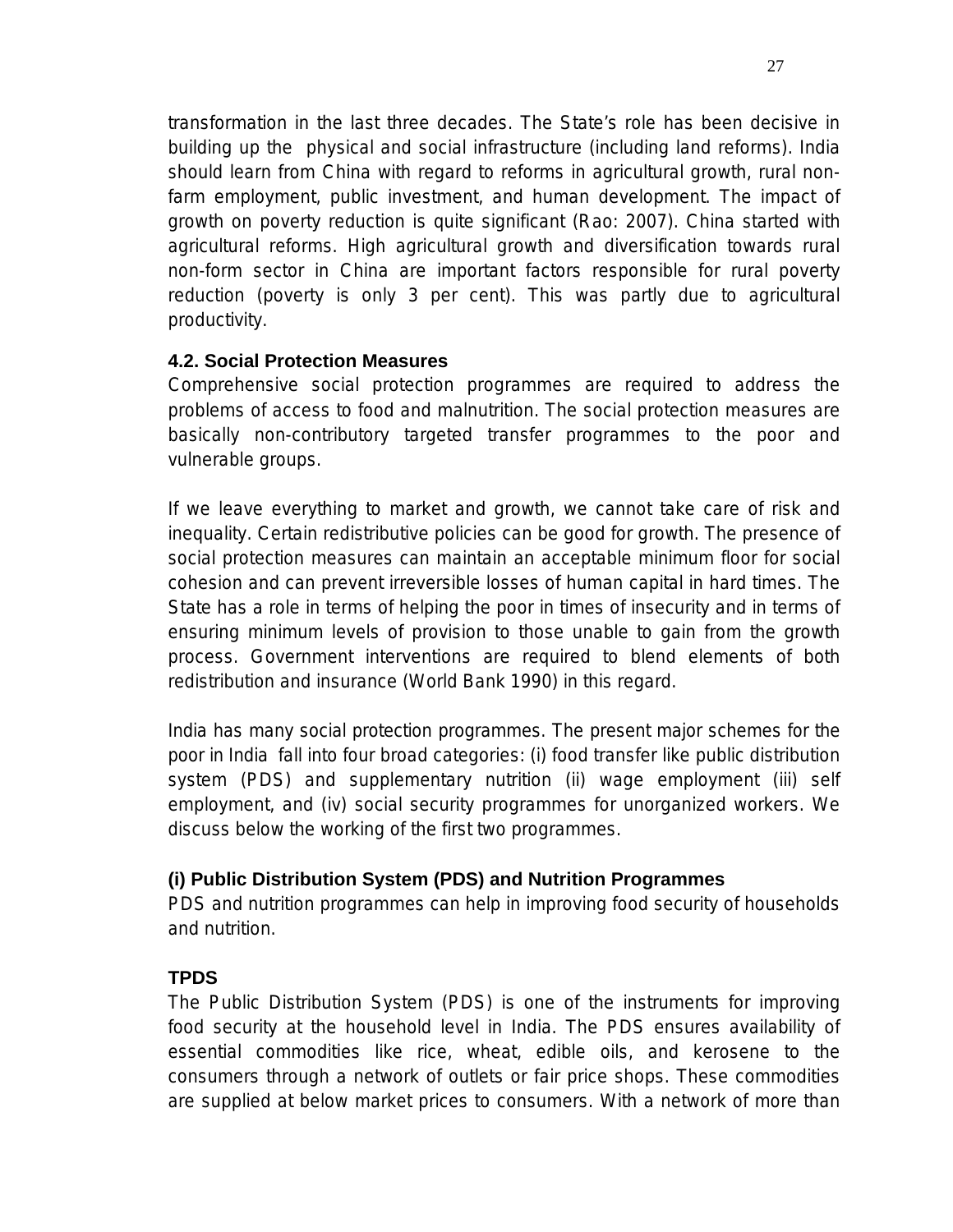transformation in the last three decades. The State's role has been decisive in building up the physical and social infrastructure (including land reforms). India should learn from China with regard to reforms in agricultural growth, rural nonfarm employment, public investment, and human development. The impact of growth on poverty reduction is quite significant (Rao: 2007). China started with agricultural reforms. High agricultural growth and diversification towards rural non-form sector in China are important factors responsible for rural poverty reduction (poverty is only 3 per cent). This was partly due to agricultural productivity.

## **4.2. Social Protection Measures**

Comprehensive social protection programmes are required to address the problems of access to food and malnutrition. The social protection measures are basically non-contributory targeted transfer programmes to the poor and vulnerable groups.

If we leave everything to market and growth, we cannot take care of risk and inequality. Certain redistributive policies can be good for growth. The presence of social protection measures can maintain an acceptable minimum floor for social cohesion and can prevent irreversible losses of human capital in hard times. The State has a role in terms of helping the poor in times of insecurity and in terms of ensuring minimum levels of provision to those unable to gain from the growth process. Government interventions are required to blend elements of both redistribution and insurance (World Bank 1990) in this regard.

India has many social protection programmes. The present major schemes for the poor in India fall into four broad categories: (i) food transfer like public distribution system (PDS) and supplementary nutrition (ii) wage employment (iii) self employment, and (iv) social security programmes for unorganized workers. We discuss below the working of the first two programmes.

## **(i) Public Distribution System (PDS) and Nutrition Programmes**

PDS and nutrition programmes can help in improving food security of households and nutrition.

## **TPDS**

The Public Distribution System (PDS) is one of the instruments for improving food security at the household level in India. The PDS ensures availability of essential commodities like rice, wheat, edible oils, and kerosene to the consumers through a network of outlets or fair price shops. These commodities are supplied at below market prices to consumers. With a network of more than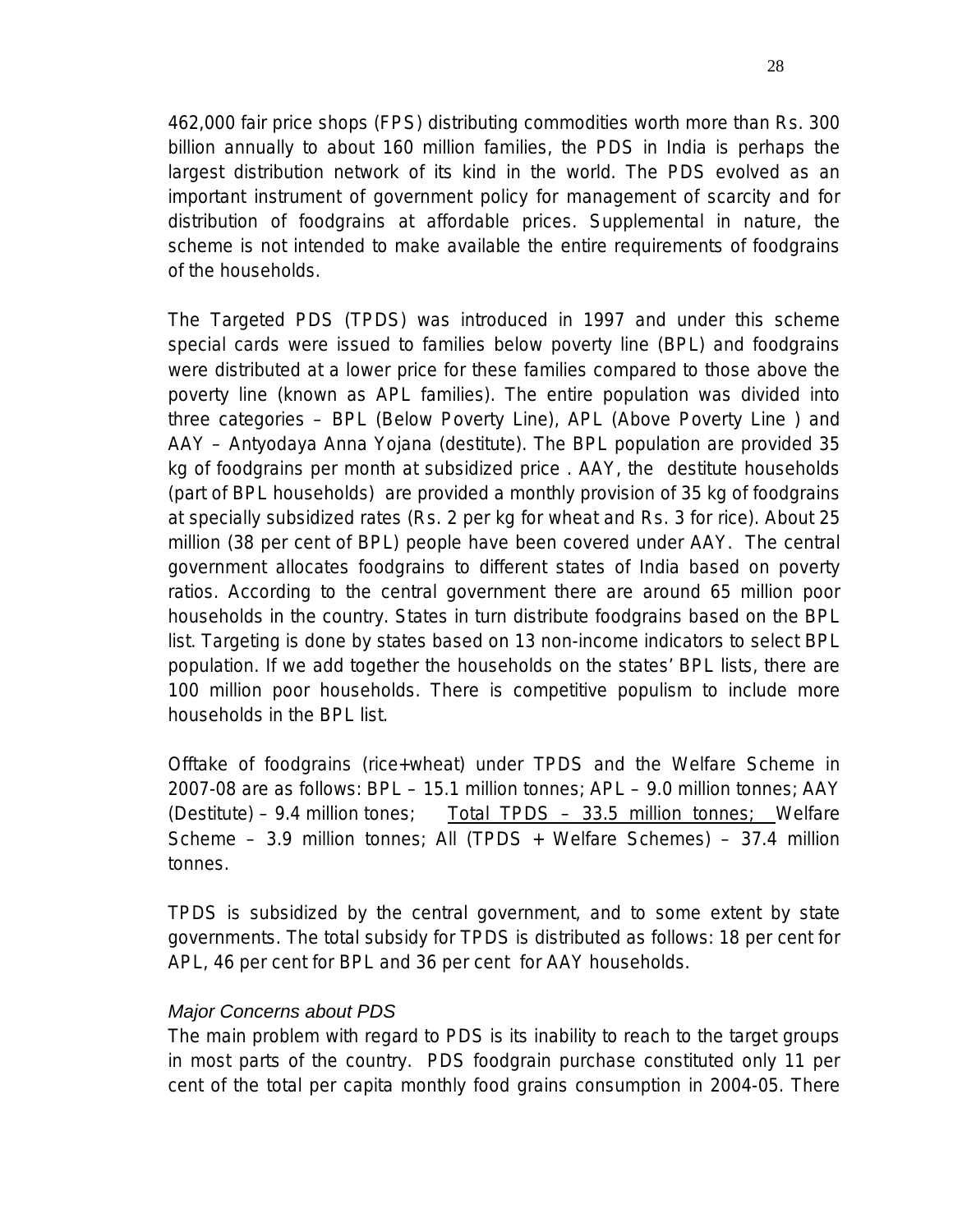462,000 fair price shops (FPS) distributing commodities worth more than Rs. 300 billion annually to about 160 million families, the PDS in India is perhaps the largest distribution network of its kind in the world. The PDS evolved as an important instrument of government policy for management of scarcity and for distribution of foodgrains at affordable prices. Supplemental in nature, the scheme is not intended to make available the entire requirements of foodgrains of the households.

The Targeted PDS (TPDS) was introduced in 1997 and under this scheme special cards were issued to families below poverty line (BPL) and foodgrains were distributed at a lower price for these families compared to those above the poverty line (known as APL families). The entire population was divided into three categories – BPL (Below Poverty Line), APL (Above Poverty Line ) and AAY – Antyodaya Anna Yojana (destitute). The BPL population are provided 35 kg of foodgrains per month at subsidized price . AAY, the destitute households (part of BPL households) are provided a monthly provision of 35 kg of foodgrains at specially subsidized rates (Rs. 2 per kg for wheat and Rs. 3 for rice). About 25 million (38 per cent of BPL) people have been covered under AAY. The central government allocates foodgrains to different states of India based on poverty ratios. According to the central government there are around 65 million poor households in the country. States in turn distribute foodgrains based on the BPL list. Targeting is done by states based on 13 non-income indicators to select BPL population. If we add together the households on the states' BPL lists, there are 100 million poor households. There is competitive populism to include more households in the BPL list.

Offtake of foodgrains (rice+wheat) under TPDS and the Welfare Scheme in 2007-08 are as follows: BPL – 15.1 million tonnes; APL – 9.0 million tonnes; AAY (Destitute) – 9.4 million tones; Total TPDS – 33.5 million tonnes; Welfare Scheme – 3.9 million tonnes; All (TPDS + Welfare Schemes) – 37.4 million tonnes.

TPDS is subsidized by the central government, and to some extent by state governments. The total subsidy for TPDS is distributed as follows: 18 per cent for APL, 46 per cent for BPL and 36 per cent for AAY households.

#### *Major Concerns about PDS*

The main problem with regard to PDS is its inability to reach to the target groups in most parts of the country. PDS foodgrain purchase constituted only 11 per cent of the total per capita monthly food grains consumption in 2004-05. There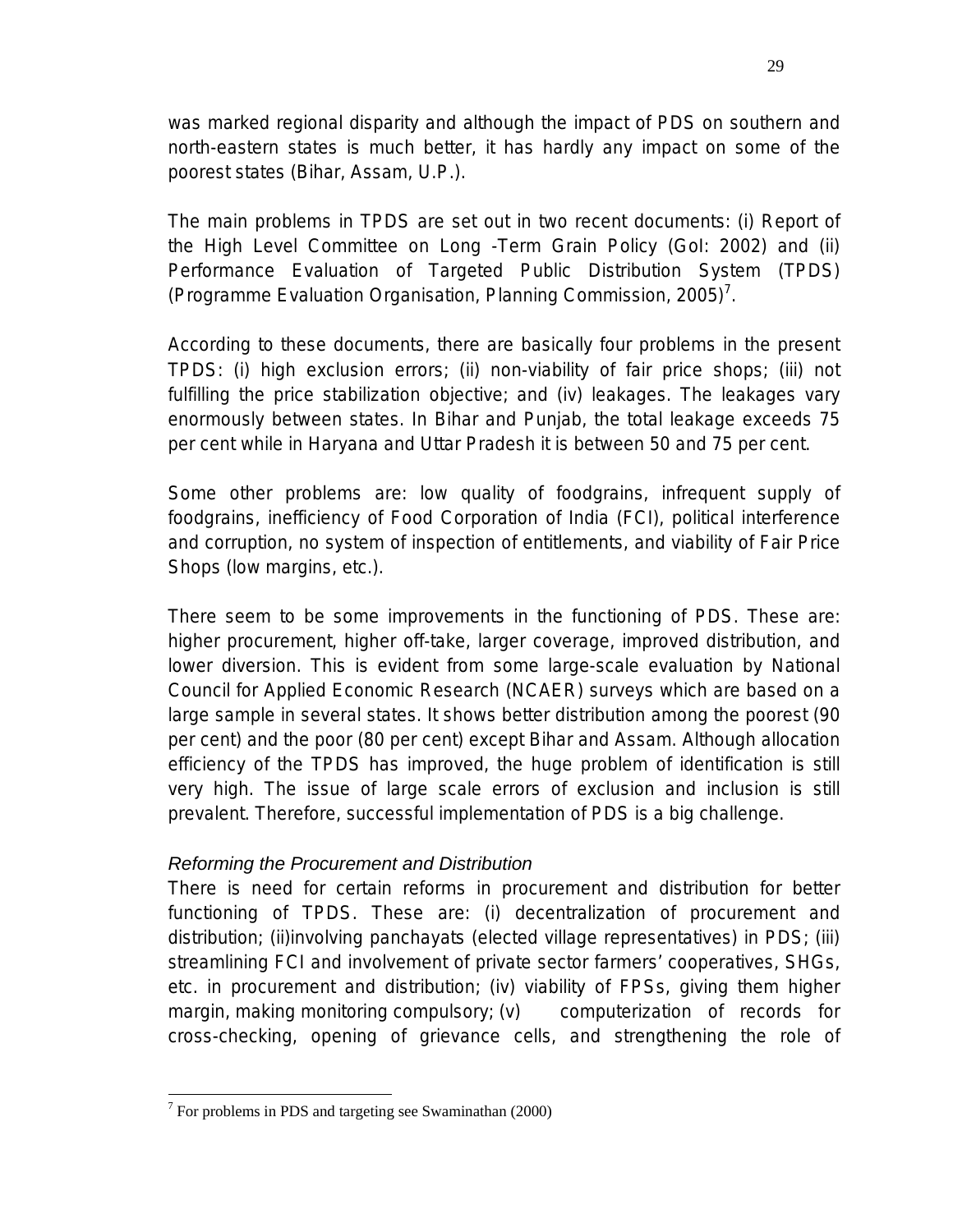was marked regional disparity and although the impact of PDS on southern and north-eastern states is much better, it has hardly any impact on some of the poorest states (Bihar, Assam, U.P.).

The main problems in TPDS are set out in two recent documents: (i) Report of the High Level Committee on Long -Term Grain Policy (GoI: 2002) and (ii) Performance Evaluation of Targeted Public Distribution System (TPDS) (Programme Evaluation Organisation, Planning Commission, 2005)<sup>7</sup>.

According to these documents, there are basically four problems in the present TPDS: (i) high exclusion errors; (ii) non-viability of fair price shops; (iii) not fulfilling the price stabilization objective; and (iv) leakages. The leakages vary enormously between states. In Bihar and Punjab, the total leakage exceeds 75 per cent while in Haryana and Uttar Pradesh it is between 50 and 75 per cent.

Some other problems are: low quality of foodgrains, infrequent supply of foodgrains, inefficiency of Food Corporation of India (FCI), political interference and corruption, no system of inspection of entitlements, and viability of Fair Price Shops (low margins, etc.).

There seem to be some improvements in the functioning of PDS. These are: higher procurement, higher off-take, larger coverage, improved distribution, and lower diversion. This is evident from some large-scale evaluation by National Council for Applied Economic Research (NCAER) surveys which are based on a large sample in several states. It shows better distribution among the poorest (90 per cent) and the poor (80 per cent) except Bihar and Assam. Although allocation efficiency of the TPDS has improved, the huge problem of identification is still very high. The issue of large scale errors of exclusion and inclusion is still prevalent. Therefore, successful implementation of PDS is a big challenge.

### *Reforming the Procurement and Distribution*

There is need for certain reforms in procurement and distribution for better functioning of TPDS. These are: (i) decentralization of procurement and distribution; (ii)involving panchayats (elected village representatives) in PDS; (iii) streamlining FCI and involvement of private sector farmers' cooperatives, SHGs, etc. in procurement and distribution; (iv) viability of FPSs, giving them higher margin, making monitoring compulsory; (v) computerization of records for cross-checking, opening of grievance cells, and strengthening the role of

l

 $7$  For problems in PDS and targeting see Swaminathan (2000)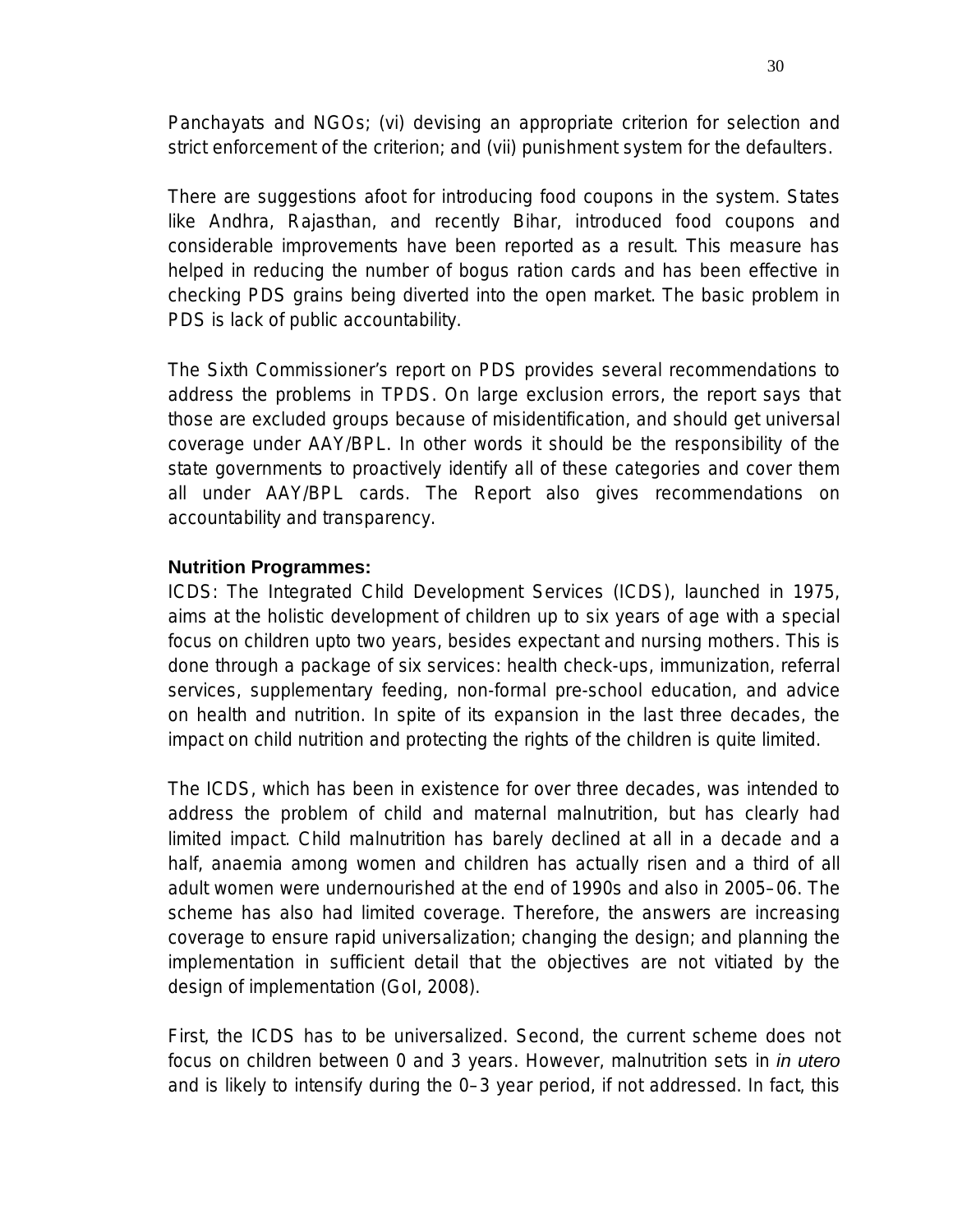Panchayats and NGOs; (vi) devising an appropriate criterion for selection and strict enforcement of the criterion; and (vii) punishment system for the defaulters.

There are suggestions afoot for introducing food coupons in the system. States like Andhra, Rajasthan, and recently Bihar, introduced food coupons and considerable improvements have been reported as a result. This measure has helped in reducing the number of bogus ration cards and has been effective in checking PDS grains being diverted into the open market. The basic problem in PDS is lack of public accountability.

The Sixth Commissioner's report on PDS provides several recommendations to address the problems in TPDS. On large exclusion errors, the report says that those are excluded groups because of misidentification, and should get universal coverage under AAY/BPL. In other words it should be the responsibility of the state governments to proactively identify all of these categories and cover them all under AAY/BPL cards. The Report also gives recommendations on accountability and transparency.

#### **Nutrition Programmes:**

ICDS: The Integrated Child Development Services (ICDS), launched in 1975, aims at the holistic development of children up to six years of age with a special focus on children upto two years, besides expectant and nursing mothers. This is done through a package of six services: health check-ups, immunization, referral services, supplementary feeding, non-formal pre-school education, and advice on health and nutrition. In spite of its expansion in the last three decades, the impact on child nutrition and protecting the rights of the children is quite limited.

The ICDS, which has been in existence for over three decades, was intended to address the problem of child and maternal malnutrition, but has clearly had limited impact. Child malnutrition has barely declined at all in a decade and a half, anaemia among women and children has actually risen and a third of all adult women were undernourished at the end of 1990s and also in 2005–06. The scheme has also had limited coverage. Therefore, the answers are increasing coverage to ensure rapid universalization; changing the design; and planning the implementation in sufficient detail that the objectives are not vitiated by the design of implementation (GoI, 2008).

First, the ICDS has to be universalized. Second, the current scheme does not focus on children between 0 and 3 years. However, malnutrition sets in *in utero* and is likely to intensify during the 0–3 year period, if not addressed. In fact, this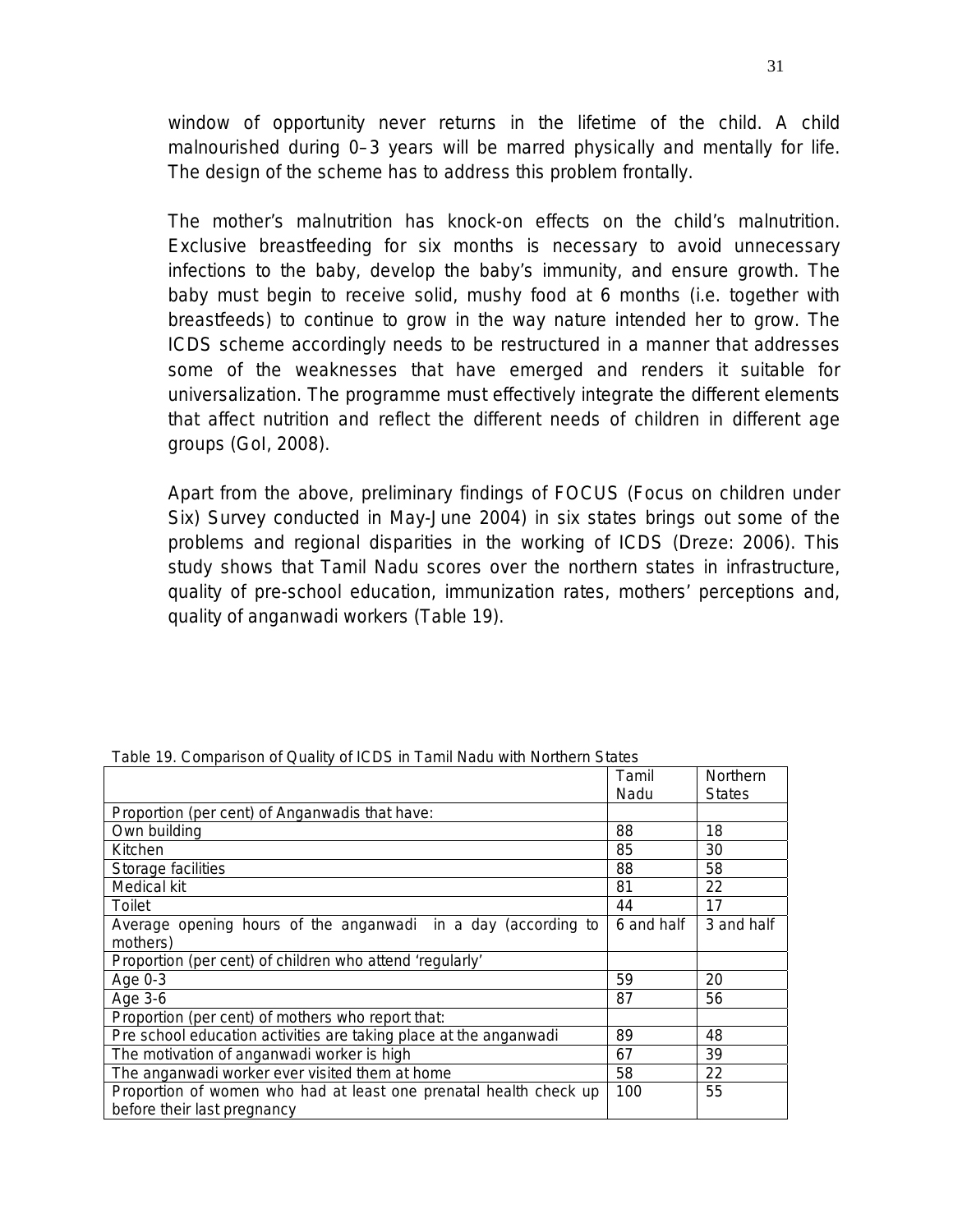window of opportunity never returns in the lifetime of the child. A child malnourished during 0–3 years will be marred physically and mentally for life. The design of the scheme has to address this problem frontally.

The mother's malnutrition has knock-on effects on the child's malnutrition. Exclusive breastfeeding for six months is necessary to avoid unnecessary infections to the baby, develop the baby's immunity, and ensure growth. The baby must begin to receive solid, mushy food at 6 months (i.e. together with breastfeeds) to continue to grow in the way nature intended her to grow. The ICDS scheme accordingly needs to be restructured in a manner that addresses some of the weaknesses that have emerged and renders it suitable for universalization. The programme must effectively integrate the different elements that affect nutrition and reflect the different needs of children in different age groups (GoI, 2008).

Apart from the above, preliminary findings of FOCUS (Focus on children under Six) Survey conducted in May-June 2004) in six states brings out some of the problems and regional disparities in the working of ICDS (Dreze: 2006). This study shows that Tamil Nadu scores over the northern states in infrastructure, quality of pre-school education, immunization rates, mothers' perceptions and, quality of anganwadi workers (Table 19).

|                                                                   |            | rable 19. Companson of Quality of ICDS in Tamil Nadu with Northern States |  |  |  |  |
|-------------------------------------------------------------------|------------|---------------------------------------------------------------------------|--|--|--|--|
|                                                                   | Tamil      | <b>Northern</b>                                                           |  |  |  |  |
|                                                                   | Nadu       | <b>States</b>                                                             |  |  |  |  |
| Proportion (per cent) of Anganwadis that have:                    |            |                                                                           |  |  |  |  |
| Own building                                                      | 88         | 18                                                                        |  |  |  |  |
| Kitchen                                                           | 85         | 30                                                                        |  |  |  |  |
| Storage facilities                                                | 88         | 58                                                                        |  |  |  |  |
| Medical kit                                                       | 81         | 22                                                                        |  |  |  |  |
| Toilet                                                            | 44         | 17                                                                        |  |  |  |  |
| Average opening hours of the anganwadi in a day (according to     | 6 and half | 3 and half                                                                |  |  |  |  |
| mothers)                                                          |            |                                                                           |  |  |  |  |
| Proportion (per cent) of children who attend 'regularly'          |            |                                                                           |  |  |  |  |
| Age 0-3                                                           | 59         | 20                                                                        |  |  |  |  |
| Age 3-6                                                           | 87         | 56                                                                        |  |  |  |  |
| Proportion (per cent) of mothers who report that:                 |            |                                                                           |  |  |  |  |
| Pre school education activities are taking place at the anganwadi | 89         | 48                                                                        |  |  |  |  |
| The motivation of anganwadi worker is high                        | 67         | 39                                                                        |  |  |  |  |
| The anganwadi worker ever visited them at home                    | 58         | 22                                                                        |  |  |  |  |
| Proportion of women who had at least one prenatal health check up | 100        | 55                                                                        |  |  |  |  |
| before their last pregnancy                                       |            |                                                                           |  |  |  |  |

Table 19. Comparison of Quality of ICDS in Tamil Nadu with Northern States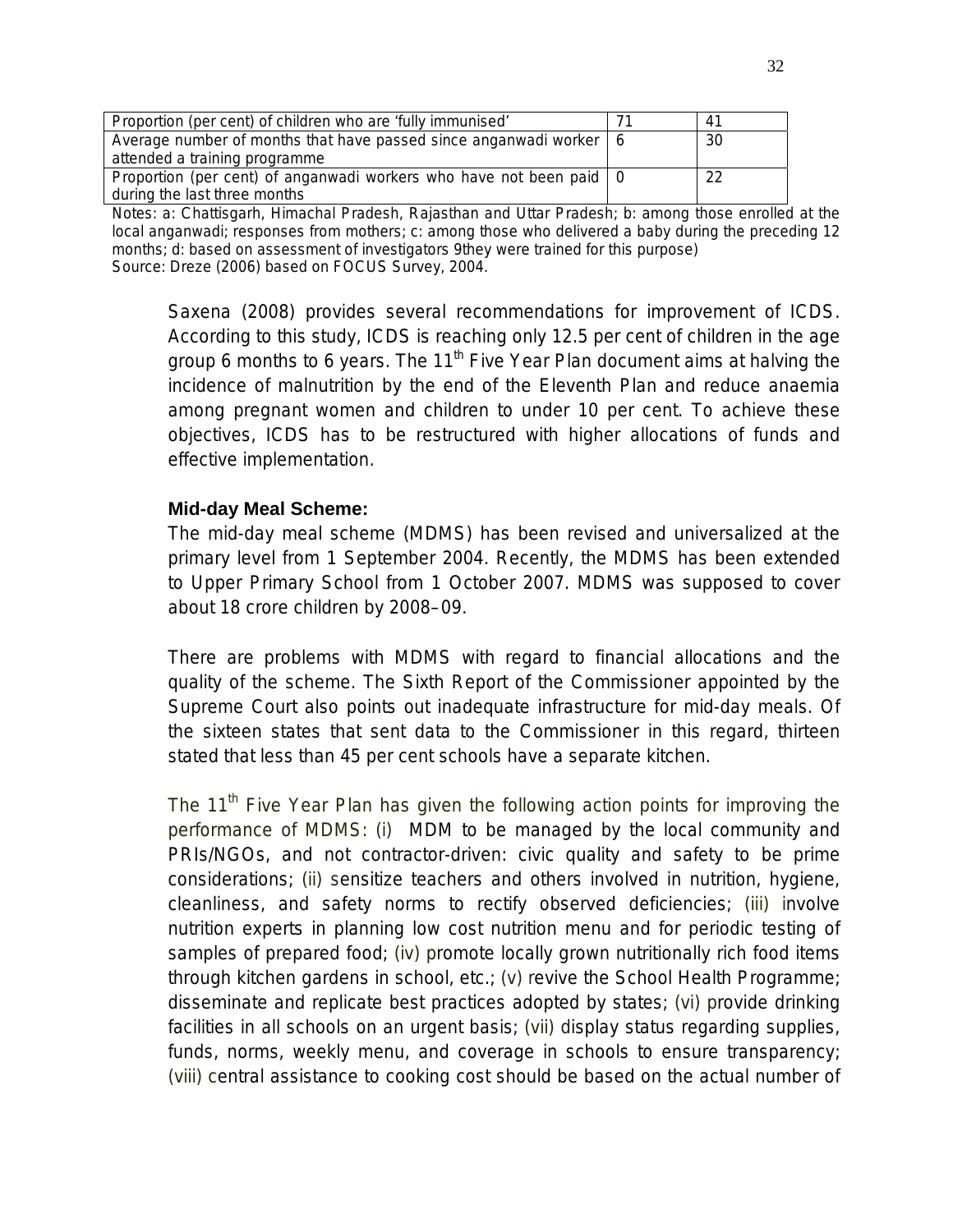| Proportion (per cent) of children who are 'fully immunised'           |  | -41 |
|-----------------------------------------------------------------------|--|-----|
| Average number of months that have passed since anganwadi worker   6  |  | 30  |
| attended a training programme                                         |  |     |
| Proportion (per cent) of anganwadi workers who have not been paid   0 |  | 22  |
| during the last three months                                          |  |     |

Notes: a: Chattisgarh, Himachal Pradesh, Rajasthan and Uttar Pradesh; b: among those enrolled at the local anganwadi; responses from mothers; c: among those who delivered a baby during the preceding 12 months; d: based on assessment of investigators 9they were trained for this purpose) Source: Dreze (2006) based on FOCUS Survey, 2004.

Saxena (2008) provides several recommendations for improvement of ICDS. According to this study, ICDS is reaching only 12.5 per cent of children in the age group 6 months to 6 years. The 11<sup>th</sup> Five Year Plan document aims at halving the incidence of malnutrition by the end of the Eleventh Plan and reduce anaemia among pregnant women and children to under 10 per cent. To achieve these objectives, ICDS has to be restructured with higher allocations of funds and effective implementation.

## **Mid-day Meal Scheme:**

The mid-day meal scheme (MDMS) has been revised and universalized at the primary level from 1 September 2004. Recently, the MDMS has been extended to Upper Primary School from 1 October 2007. MDMS was supposed to cover about 18 crore children by 2008–09.

There are problems with MDMS with regard to financial allocations and the quality of the scheme. The Sixth Report of the Commissioner appointed by the Supreme Court also points out inadequate infrastructure for mid-day meals. Of the sixteen states that sent data to the Commissioner in this regard, thirteen stated that less than 45 per cent schools have a separate kitchen.

The 11<sup>th</sup> Five Year Plan has given the following action points for improving the performance of MDMS: (i) MDM to be managed by the local community and PRIs/NGOs, and not contractor-driven: civic quality and safety to be prime considerations; (ii) sensitize teachers and others involved in nutrition, hygiene, cleanliness, and safety norms to rectify observed deficiencies; (iii) involve nutrition experts in planning low cost nutrition menu and for periodic testing of samples of prepared food; (iv) promote locally grown nutritionally rich food items through kitchen gardens in school, etc.; (v) revive the School Health Programme; disseminate and replicate best practices adopted by states; (vi) provide drinking facilities in all schools on an urgent basis; (vii) display status regarding supplies, funds, norms, weekly menu, and coverage in schools to ensure transparency; (viii) central assistance to cooking cost should be based on the actual number of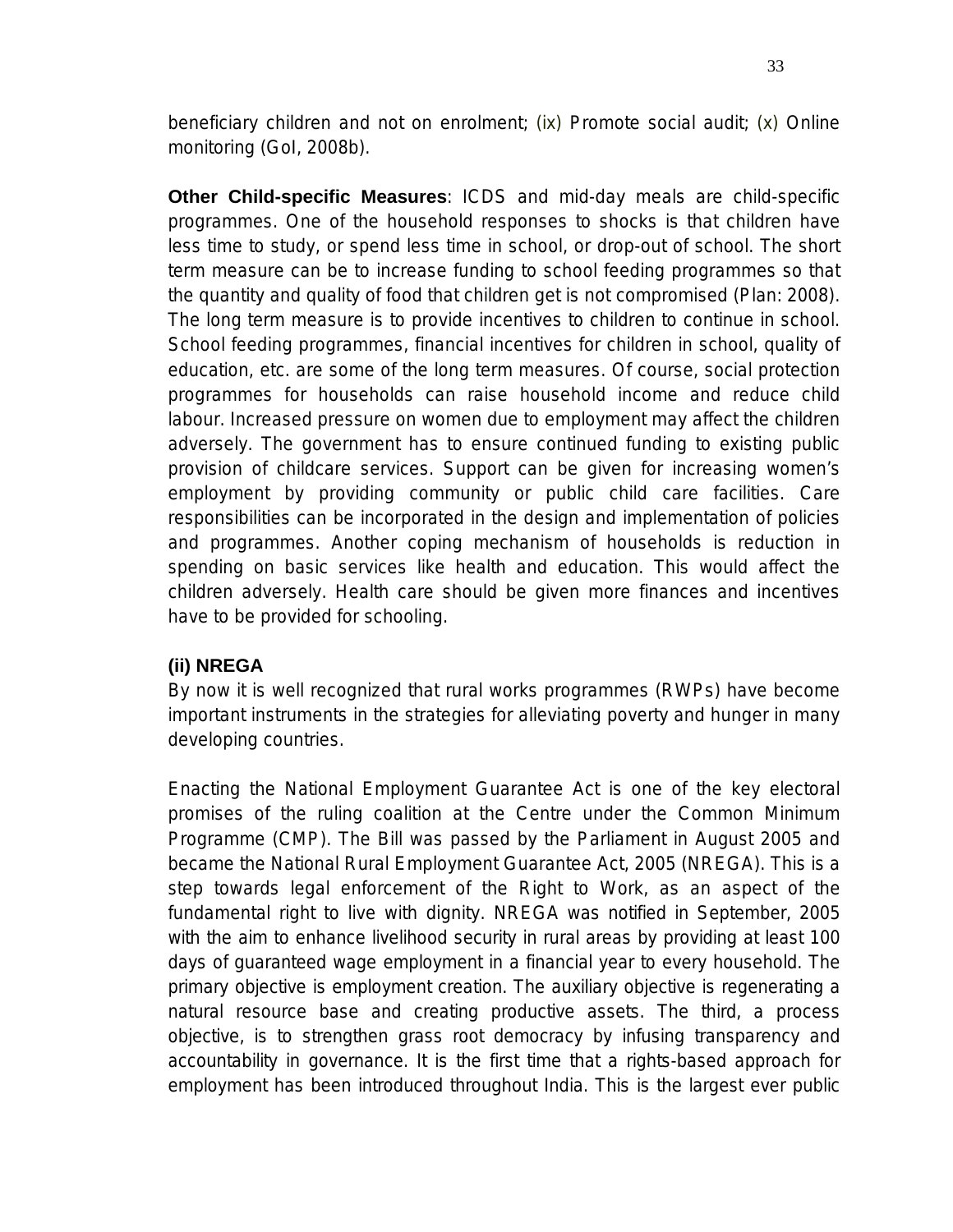beneficiary children and not on enrolment; (ix) Promote social audit; (x) Online monitoring (GoI, 2008b).

**Other Child-specific Measures**: ICDS and mid-day meals are child-specific programmes. One of the household responses to shocks is that children have less time to study, or spend less time in school, or drop-out of school. The short term measure can be to increase funding to school feeding programmes so that the quantity and quality of food that children get is not compromised (Plan: 2008). The long term measure is to provide incentives to children to continue in school. School feeding programmes, financial incentives for children in school, quality of education, etc. are some of the long term measures. Of course, social protection programmes for households can raise household income and reduce child labour. Increased pressure on women due to employment may affect the children adversely. The government has to ensure continued funding to existing public provision of childcare services. Support can be given for increasing women's employment by providing community or public child care facilities. Care responsibilities can be incorporated in the design and implementation of policies and programmes. Another coping mechanism of households is reduction in spending on basic services like health and education. This would affect the children adversely. Health care should be given more finances and incentives have to be provided for schooling.

## **(ii) NREGA**

By now it is well recognized that rural works programmes (RWPs) have become important instruments in the strategies for alleviating poverty and hunger in many developing countries.

Enacting the National Employment Guarantee Act is one of the key electoral promises of the ruling coalition at the Centre under the Common Minimum Programme (CMP). The Bill was passed by the Parliament in August 2005 and became the National Rural Employment Guarantee Act, 2005 (NREGA). This is a step towards legal enforcement of the Right to Work, as an aspect of the fundamental right to live with dignity. NREGA was notified in September, 2005 with the aim to enhance livelihood security in rural areas by providing at least 100 days of guaranteed wage employment in a financial year to every household. The primary objective is employment creation. The auxiliary objective is regenerating a natural resource base and creating productive assets. The third, a process objective, is to strengthen grass root democracy by infusing transparency and accountability in governance. It is the first time that a rights-based approach for employment has been introduced throughout India. This is the largest ever public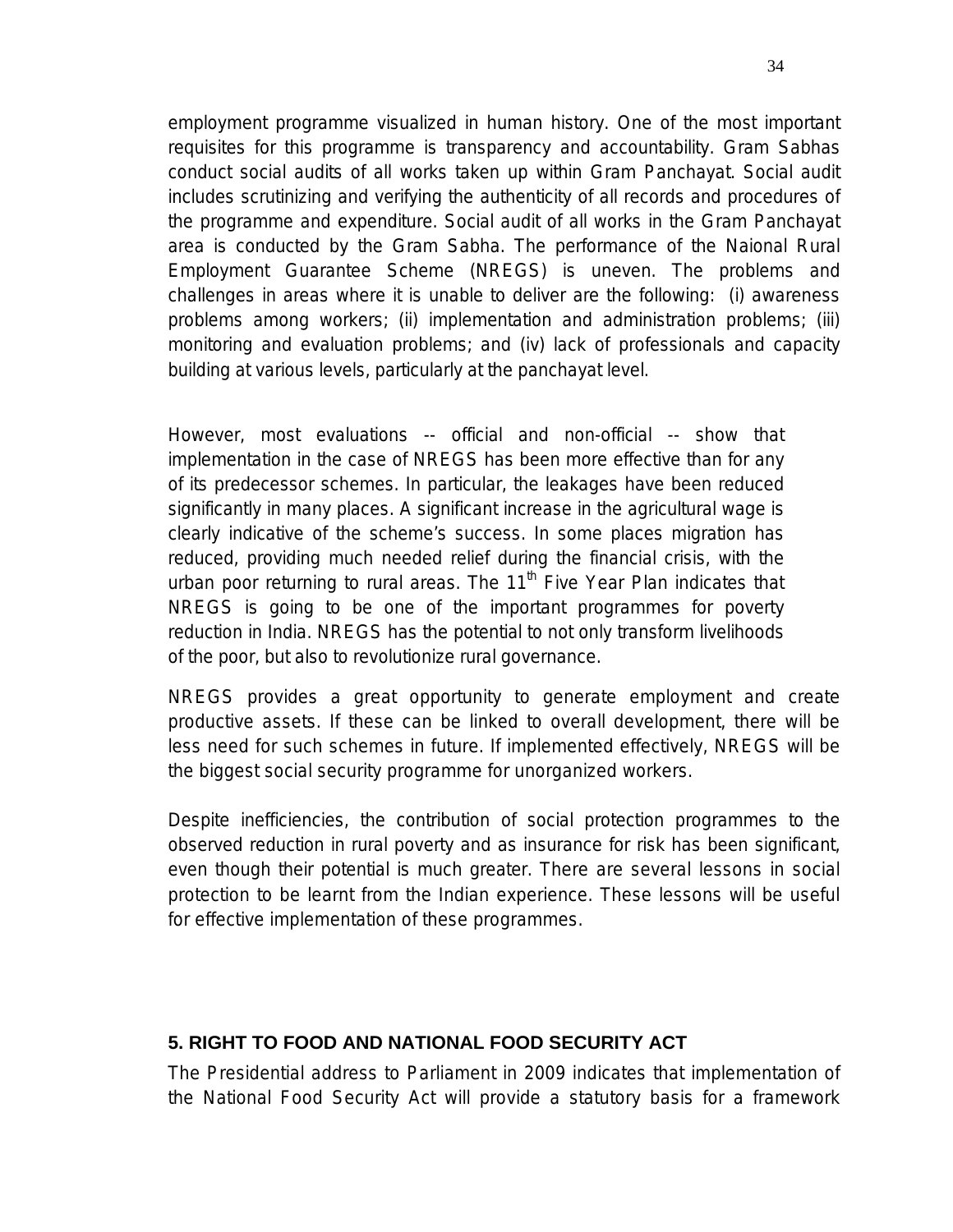employment programme visualized in human history. One of the most important requisites for this programme is transparency and accountability. Gram Sabhas conduct social audits of all works taken up within Gram Panchayat. Social audit includes scrutinizing and verifying the authenticity of all records and procedures of the programme and expenditure. Social audit of all works in the Gram Panchayat area is conducted by the Gram Sabha. The performance of the Naional Rural Employment Guarantee Scheme (NREGS) is uneven. The problems and challenges in areas where it is unable to deliver are the following: (i) awareness problems among workers; (ii) implementation and administration problems; (iii) monitoring and evaluation problems; and (iv) lack of professionals and capacity building at various levels, particularly at the panchayat level.

However, most evaluations -- official and non-official -- show that implementation in the case of NREGS has been more effective than for any of its predecessor schemes. In particular, the leakages have been reduced significantly in many places. A significant increase in the agricultural wage is clearly indicative of the scheme's success. In some places migration has reduced, providing much needed relief during the financial crisis, with the urban poor returning to rural areas. The  $11<sup>th</sup>$  Five Year Plan indicates that NREGS is going to be one of the important programmes for poverty reduction in India. NREGS has the potential to not only transform livelihoods of the poor, but also to revolutionize rural governance.

NREGS provides a great opportunity to generate employment and create productive assets. If these can be linked to overall development, there will be less need for such schemes in future. If implemented effectively, NREGS will be the biggest social security programme for unorganized workers.

Despite inefficiencies, the contribution of social protection programmes to the observed reduction in rural poverty and as insurance for risk has been significant, even though their potential is much greater. There are several lessons in social protection to be learnt from the Indian experience. These lessons will be useful for effective implementation of these programmes.

### **5. RIGHT TO FOOD AND NATIONAL FOOD SECURITY ACT**

The Presidential address to Parliament in 2009 indicates that implementation of the National Food Security Act will provide a statutory basis for a framework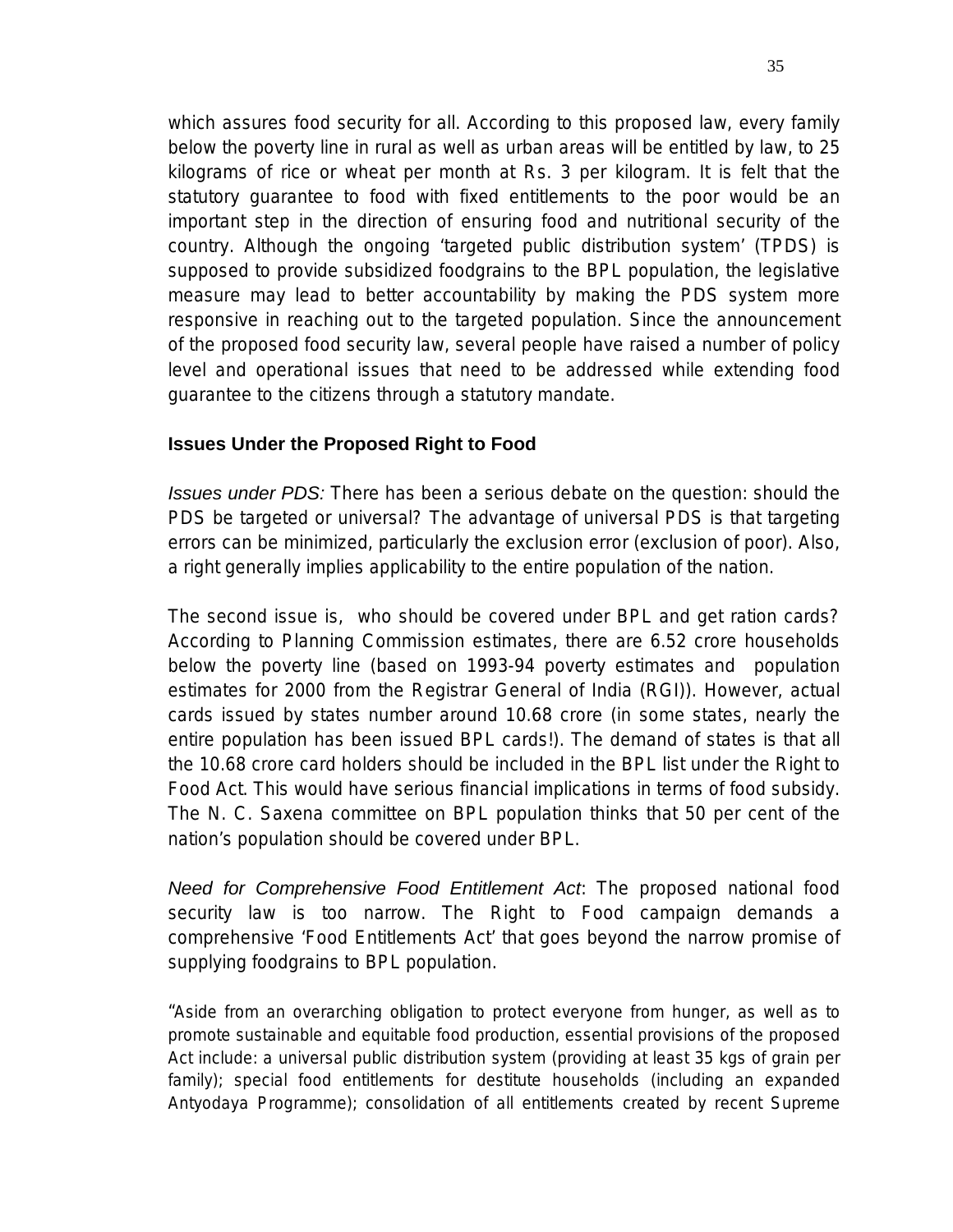which assures food security for all. According to this proposed law, every family below the poverty line in rural as well as urban areas will be entitled by law, to 25 kilograms of rice or wheat per month at Rs. 3 per kilogram. It is felt that the statutory guarantee to food with fixed entitlements to the poor would be an important step in the direction of ensuring food and nutritional security of the country. Although the ongoing 'targeted public distribution system' (TPDS) is supposed to provide subsidized foodgrains to the BPL population, the legislative measure may lead to better accountability by making the PDS system more responsive in reaching out to the targeted population. Since the announcement of the proposed food security law, several people have raised a number of policy level and operational issues that need to be addressed while extending food guarantee to the citizens through a statutory mandate.

### **Issues Under the Proposed Right to Food**

*Issues under PDS:* There has been a serious debate on the question: should the PDS be targeted or universal? The advantage of universal PDS is that targeting errors can be minimized, particularly the exclusion error (exclusion of poor). Also, a right generally implies applicability to the entire population of the nation.

The second issue is, who should be covered under BPL and get ration cards? According to Planning Commission estimates, there are 6.52 crore households below the poverty line (based on 1993-94 poverty estimates and population estimates for 2000 from the Registrar General of India (RGI)). However, actual cards issued by states number around 10.68 crore (in some states, nearly the entire population has been issued BPL cards!). The demand of states is that all the 10.68 crore card holders should be included in the BPL list under the Right to Food Act. This would have serious financial implications in terms of food subsidy. The N. C. Saxena committee on BPL population thinks that 50 per cent of the nation's population should be covered under BPL.

*Need for Comprehensive Food Entitlement Act*: The proposed national food security law is too narrow. The Right to Food campaign demands a comprehensive 'Food Entitlements Act' that goes beyond the narrow promise of supplying foodgrains to BPL population.

"Aside from an overarching obligation to protect everyone from hunger, as well as to promote sustainable and equitable food production, essential provisions of the proposed Act include: a universal public distribution system (providing at least 35 kgs of grain per family); special food entitlements for destitute households (including an expanded Antyodaya Programme); consolidation of all entitlements created by recent Supreme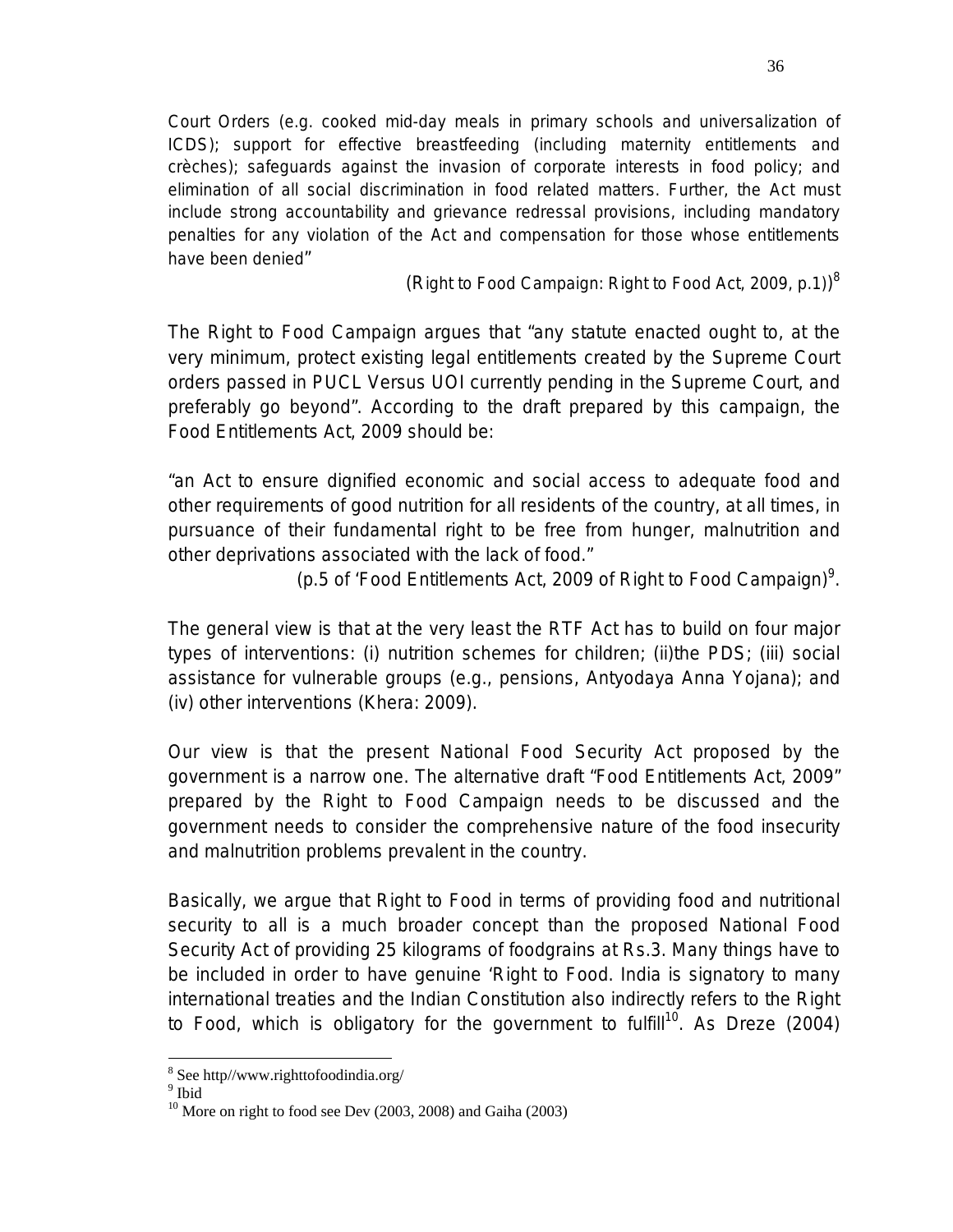Court Orders (e.g. cooked mid-day meals in primary schools and universalization of ICDS); support for effective breastfeeding (including maternity entitlements and crèches); safeguards against the invasion of corporate interests in food policy; and elimination of all social discrimination in food related matters. Further, the Act must include strong accountability and grievance redressal provisions, including mandatory penalties for any violation of the Act and compensation for those whose entitlements have been denied"

(Right to Food Campaign: Right to Food Act, 2009, p.1)) $^8$ 

The Right to Food Campaign argues that "any statute enacted ought to, at the very minimum, protect existing legal entitlements created by the Supreme Court orders passed in PUCL Versus UOI currently pending in the Supreme Court, and preferably go beyond". According to the draft prepared by this campaign, the Food Entitlements Act, 2009 should be:

"an Act to ensure dignified economic and social access to adequate food and other requirements of good nutrition for all residents of the country, at all times, in pursuance of their fundamental right to be free from hunger, malnutrition and other deprivations associated with the lack of food."

(p.5 of 'Food Entitlements Act, 2009 of Right to Food Campaign)<sup>9</sup>.

The general view is that at the very least the RTF Act has to build on four major types of interventions: (i) nutrition schemes for children; (ii)the PDS; (iii) social assistance for vulnerable groups (e.g., pensions, Antyodaya Anna Yojana); and (iv) other interventions (Khera: 2009).

Our view is that the present National Food Security Act proposed by the government is a narrow one. The alternative draft "Food Entitlements Act, 2009" prepared by the Right to Food Campaign needs to be discussed and the government needs to consider the comprehensive nature of the food insecurity and malnutrition problems prevalent in the country.

Basically, we argue that Right to Food in terms of providing food and nutritional security to all is a much broader concept than the proposed National Food Security Act of providing 25 kilograms of foodgrains at Rs.3. Many things have to be included in order to have genuine 'Right to Food. India is signatory to many international treaties and the Indian Constitution also indirectly refers to the Right to Food, which is obligatory for the government to fulfill<sup>10</sup>. As Dreze (2004)

 8 See http//www.righttofoodindia.org/

<sup>&</sup>lt;sup>9</sup> Ibid

 $10$  More on right to food see Dev (2003, 2008) and Gaiha (2003)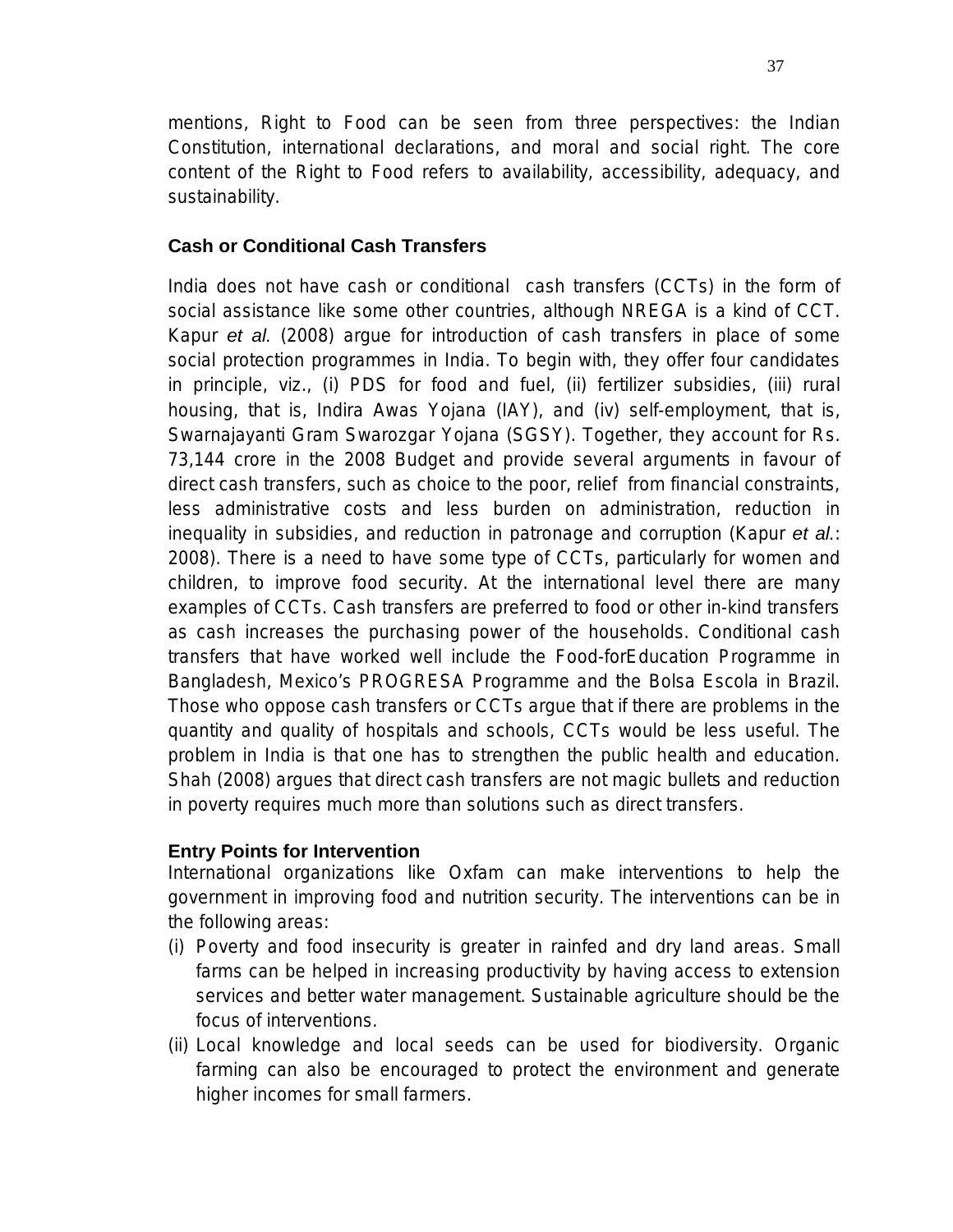mentions, Right to Food can be seen from three perspectives: the Indian Constitution, international declarations, and moral and social right. The core content of the Right to Food refers to availability, accessibility, adequacy, and sustainability.

## **Cash or Conditional Cash Transfers**

India does not have cash or conditional cash transfers (CCTs) in the form of social assistance like some other countries, although NREGA is a kind of CCT. Kapur *et al.* (2008) argue for introduction of cash transfers in place of some social protection programmes in India. To begin with, they offer four candidates in principle, viz., (i) PDS for food and fuel, (ii) fertilizer subsidies, (iii) rural housing, that is, Indira Awas Yojana (IAY), and (iv) self-employment, that is, Swarnajayanti Gram Swarozgar Yojana (SGSY). Together, they account for Rs. 73,144 crore in the 2008 Budget and provide several arguments in favour of direct cash transfers, such as choice to the poor, relief from financial constraints, less administrative costs and less burden on administration, reduction in inequality in subsidies, and reduction in patronage and corruption (Kapur *et al.*: 2008). There is a need to have some type of CCTs, particularly for women and children, to improve food security. At the international level there are many examples of CCTs. Cash transfers are preferred to food or other in-kind transfers as cash increases the purchasing power of the households. Conditional cash transfers that have worked well include the Food-forEducation Programme in Bangladesh, Mexico's PROGRESA Programme and the Bolsa Escola in Brazil. Those who oppose cash transfers or CCTs argue that if there are problems in the quantity and quality of hospitals and schools, CCTs would be less useful. The problem in India is that one has to strengthen the public health and education. Shah (2008) argues that direct cash transfers are not magic bullets and reduction in poverty requires much more than solutions such as direct transfers.

### **Entry Points for Intervention**

International organizations like Oxfam can make interventions to help the government in improving food and nutrition security. The interventions can be in the following areas:

- (i) Poverty and food insecurity is greater in rainfed and dry land areas. Small farms can be helped in increasing productivity by having access to extension services and better water management. Sustainable agriculture should be the focus of interventions.
- (ii) Local knowledge and local seeds can be used for biodiversity. Organic farming can also be encouraged to protect the environment and generate higher incomes for small farmers.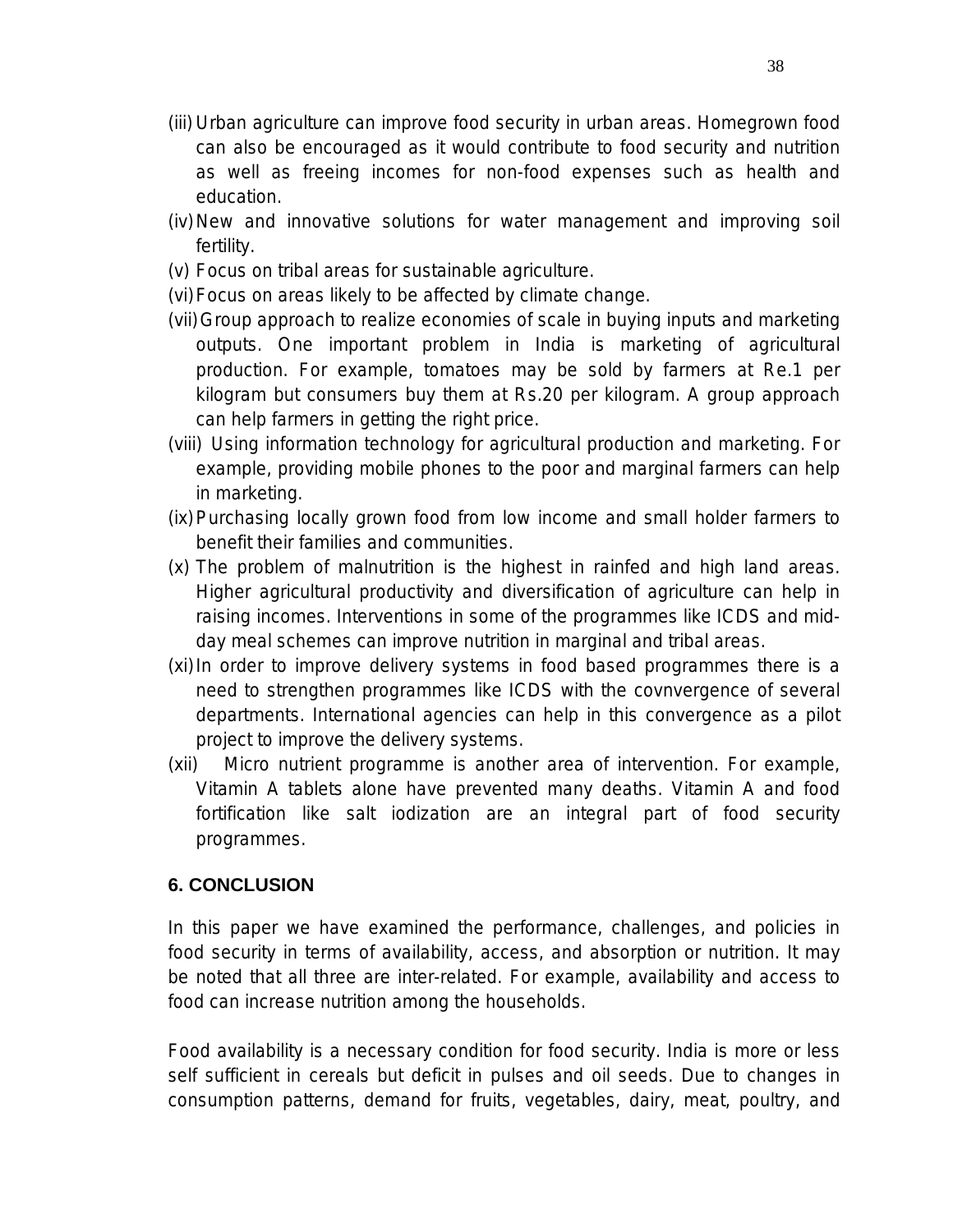- (iii) Urban agriculture can improve food security in urban areas. Homegrown food can also be encouraged as it would contribute to food security and nutrition as well as freeing incomes for non-food expenses such as health and education.
- (iv) New and innovative solutions for water management and improving soil fertility.
- (v) Focus on tribal areas for sustainable agriculture.
- (vi) Focus on areas likely to be affected by climate change.
- (vii) Group approach to realize economies of scale in buying inputs and marketing outputs. One important problem in India is marketing of agricultural production. For example, tomatoes may be sold by farmers at Re.1 per kilogram but consumers buy them at Rs.20 per kilogram. A group approach can help farmers in getting the right price.
- (viii) Using information technology for agricultural production and marketing. For example, providing mobile phones to the poor and marginal farmers can help in marketing.
- (ix) Purchasing locally grown food from low income and small holder farmers to benefit their families and communities.
- (x) The problem of malnutrition is the highest in rainfed and high land areas. Higher agricultural productivity and diversification of agriculture can help in raising incomes. Interventions in some of the programmes like ICDS and midday meal schemes can improve nutrition in marginal and tribal areas.
- (xi) In order to improve delivery systems in food based programmes there is a need to strengthen programmes like ICDS with the covnvergence of several departments. International agencies can help in this convergence as a pilot project to improve the delivery systems.
- (xii) Micro nutrient programme is another area of intervention. For example, Vitamin A tablets alone have prevented many deaths. Vitamin A and food fortification like salt iodization are an integral part of food security programmes.

### **6. CONCLUSION**

In this paper we have examined the performance, challenges, and policies in food security in terms of availability, access, and absorption or nutrition. It may be noted that all three are inter-related. For example, availability and access to food can increase nutrition among the households.

Food availability is a necessary condition for food security. India is more or less self sufficient in cereals but deficit in pulses and oil seeds. Due to changes in consumption patterns, demand for fruits, vegetables, dairy, meat, poultry, and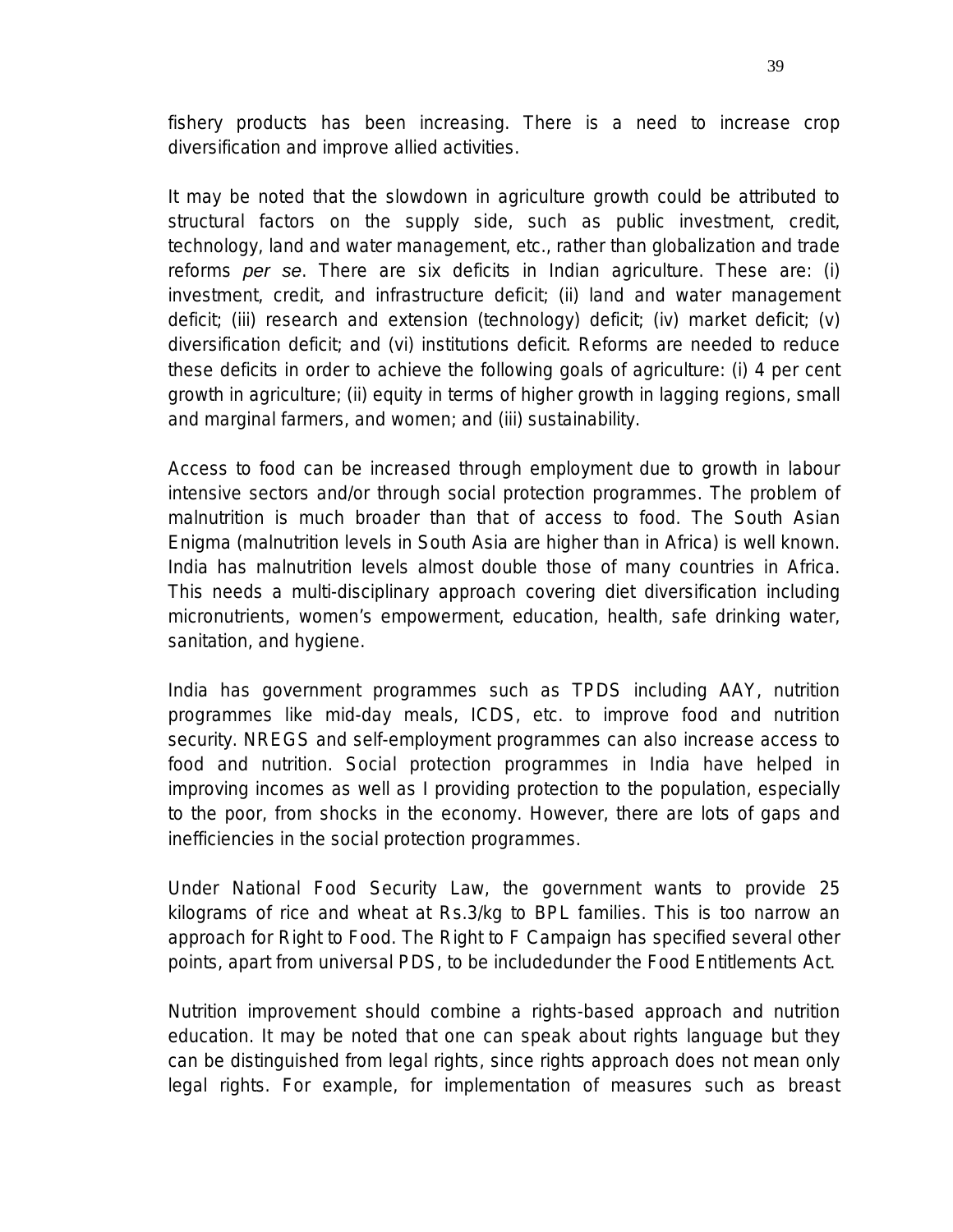fishery products has been increasing. There is a need to increase crop diversification and improve allied activities.

It may be noted that the slowdown in agriculture growth could be attributed to structural factors on the supply side, such as public investment, credit, technology, land and water management, etc., rather than globalization and trade reforms *per se*. There are six deficits in Indian agriculture. These are: (i) investment, credit, and infrastructure deficit; (ii) land and water management deficit; (iii) research and extension (technology) deficit; (iv) market deficit; (v) diversification deficit; and (vi) institutions deficit. Reforms are needed to reduce these deficits in order to achieve the following goals of agriculture: (i) 4 per cent growth in agriculture; (ii) equity in terms of higher growth in lagging regions, small and marginal farmers, and women; and (iii) sustainability.

Access to food can be increased through employment due to growth in labour intensive sectors and/or through social protection programmes. The problem of malnutrition is much broader than that of access to food. The South Asian Enigma (malnutrition levels in South Asia are higher than in Africa) is well known. India has malnutrition levels almost double those of many countries in Africa. This needs a multi-disciplinary approach covering diet diversification including micronutrients, women's empowerment, education, health, safe drinking water, sanitation, and hygiene.

India has government programmes such as TPDS including AAY, nutrition programmes like mid-day meals, ICDS, etc. to improve food and nutrition security. NREGS and self-employment programmes can also increase access to food and nutrition. Social protection programmes in India have helped in improving incomes as well as I providing protection to the population, especially to the poor, from shocks in the economy. However, there are lots of gaps and inefficiencies in the social protection programmes.

Under National Food Security Law, the government wants to provide 25 kilograms of rice and wheat at Rs.3/kg to BPL families. This is too narrow an approach for Right to Food. The Right to F Campaign has specified several other points, apart from universal PDS, to be includedunder the Food Entitlements Act.

Nutrition improvement should combine a rights-based approach and nutrition education. It may be noted that one can speak about rights language but they can be distinguished from legal rights, since rights approach does not mean only legal rights. For example, for implementation of measures such as breast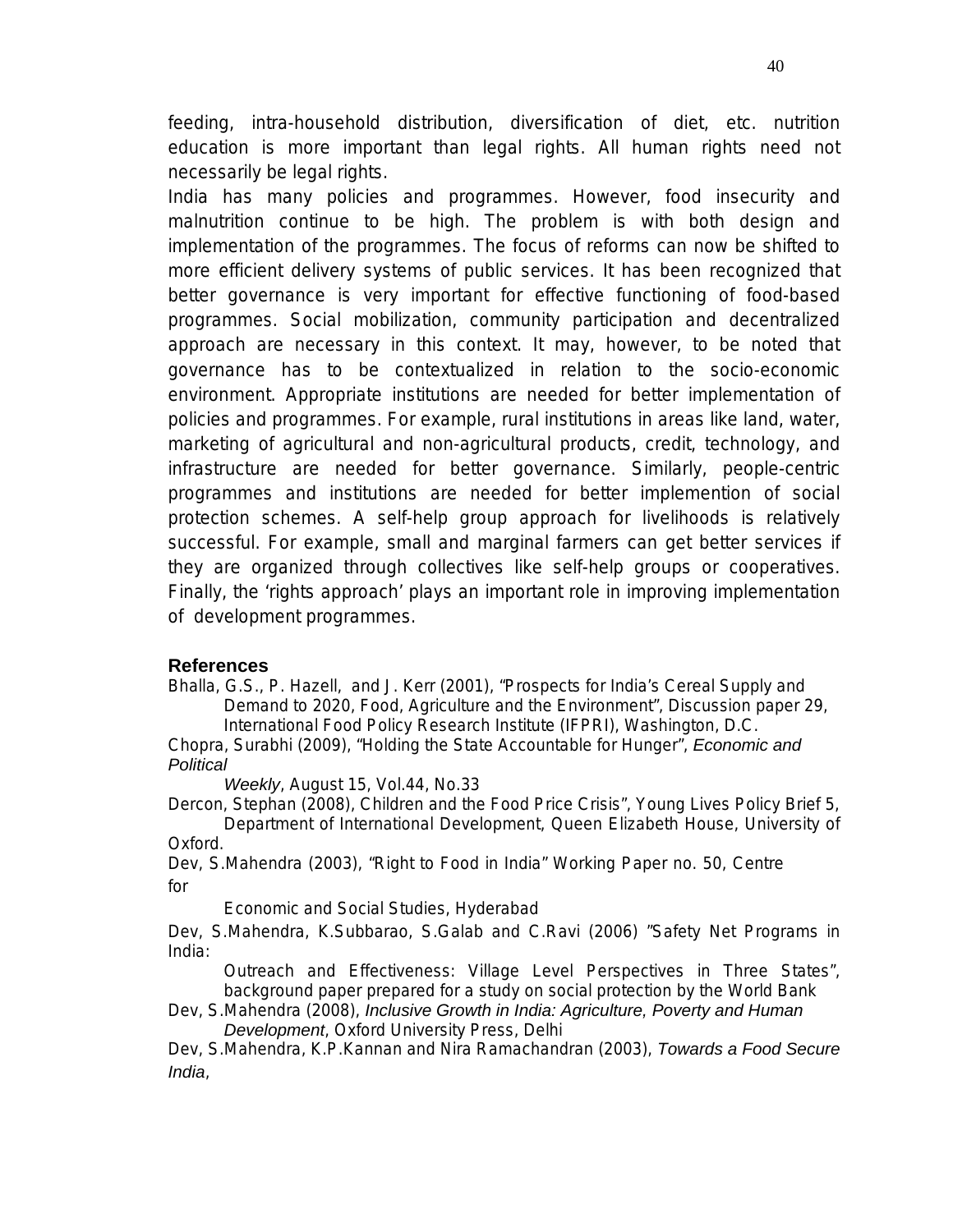feeding, intra-household distribution, diversification of diet, etc. nutrition education is more important than legal rights. All human rights need not necessarily be legal rights.

India has many policies and programmes. However, food insecurity and malnutrition continue to be high. The problem is with both design and implementation of the programmes. The focus of reforms can now be shifted to more efficient delivery systems of public services. It has been recognized that better governance is very important for effective functioning of food-based programmes. Social mobilization, community participation and decentralized approach are necessary in this context. It may, however, to be noted that governance has to be contextualized in relation to the socio-economic environment. Appropriate institutions are needed for better implementation of policies and programmes. For example, rural institutions in areas like land, water, marketing of agricultural and non-agricultural products, credit, technology, and infrastructure are needed for better governance. Similarly, people-centric programmes and institutions are needed for better implemention of social protection schemes. A self-help group approach for livelihoods is relatively successful. For example, small and marginal farmers can get better services if they are organized through collectives like self-help groups or cooperatives. Finally, the 'rights approach' plays an important role in improving implementation of development programmes.

#### **References**

Bhalla, G.S., P. Hazell, and J. Kerr (2001), "Prospects for India's Cereal Supply and Demand to 2020, Food, Agriculture and the Environment", Discussion paper 29, International Food Policy Research Institute (IFPRI), Washington, D.C.

Chopra, Surabhi (2009), "Holding the State Accountable for Hunger", *Economic and Political* 

*Weekly*, August 15, Vol.44, No.33

Dercon, Stephan (2008), Children and the Food Price Crisis", Young Lives Policy Brief 5, Department of International Development, Queen Elizabeth House, University of Oxford.

Dev, S.Mahendra (2003), "Right to Food in India" Working Paper no. 50, Centre for

Economic and Social Studies, Hyderabad

Dev, S.Mahendra, K.Subbarao, S.Galab and C.Ravi (2006) "Safety Net Programs in India:

Outreach and Effectiveness: Village Level Perspectives in Three States", background paper prepared for a study on social protection by the World Bank

Dev, S.Mahendra (2008), *Inclusive Growth in India: Agriculture, Poverty and Human Development*, Oxford University Press, Delhi

Dev, S.Mahendra, K.P.Kannan and Nira Ramachandran (2003), *Towards a Food Secure India*,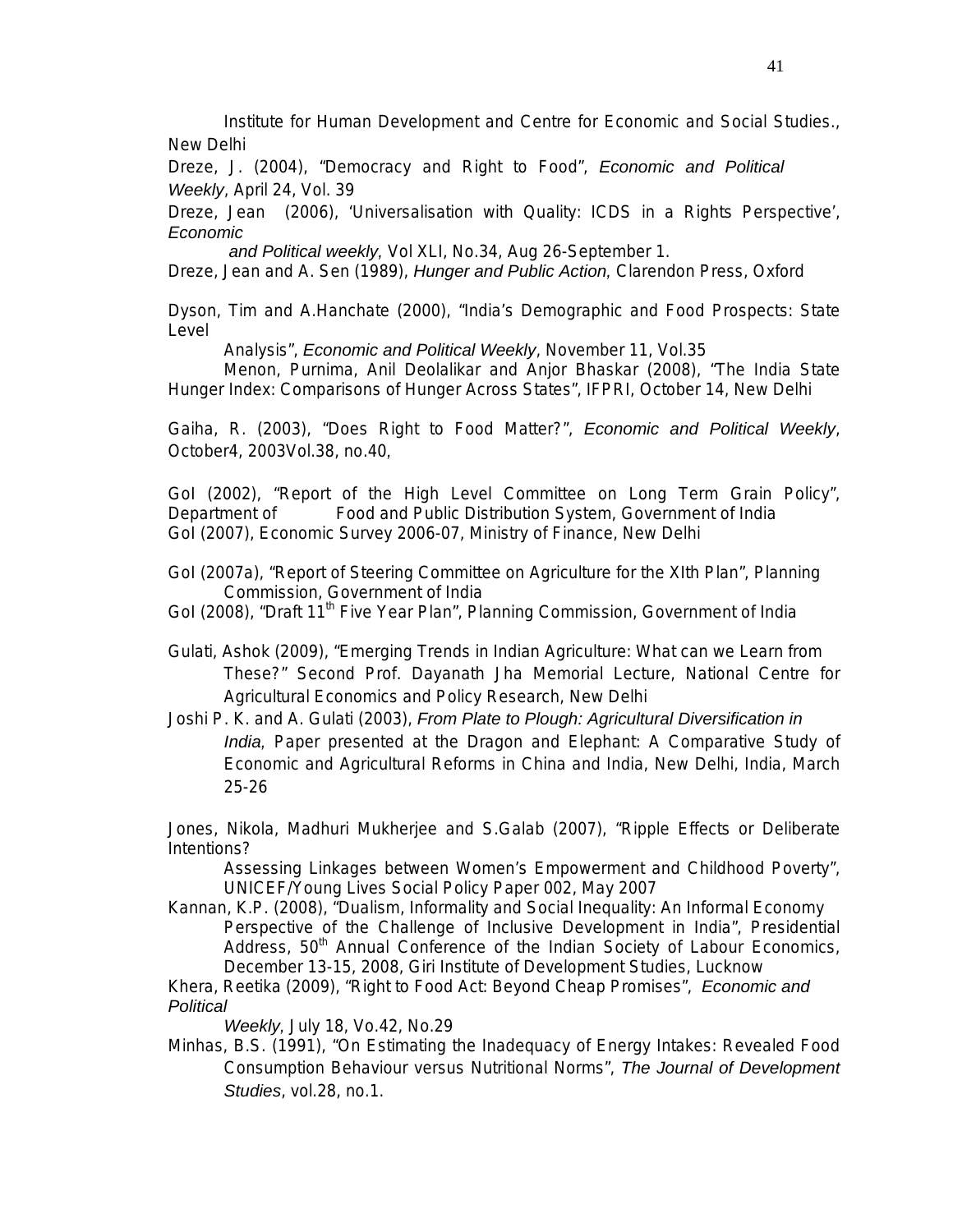Institute for Human Development and Centre for Economic and Social Studies., New Delhi

Dreze, J. (2004), "Democracy and Right to Food", *Economic and Political Weekly*, April 24, Vol. 39

Dreze, Jean (2006), 'Universalisation with Quality: ICDS in a Rights Perspective', *Economic* 

 *and Political weekly,* Vol XLI, No.34, Aug 26-September 1.

Dreze, Jean and A. Sen (1989), *Hunger and Public Action,* Clarendon Press, Oxford

Dyson, Tim and A.Hanchate (2000), "India's Demographic and Food Prospects: State Level

Analysis", *Economic and Political Weekly*, November 11, Vol.35

Menon, Purnima, Anil Deolalikar and Anjor Bhaskar (2008), "The India State Hunger Index: Comparisons of Hunger Across States", IFPRI, October 14, New Delhi

Gaiha, R. (2003), "Does Right to Food Matter?", *Economic and Political Weekly*, October4, 2003Vol.38, no.40*,* 

GoI (2002), "Report of the High Level Committee on Long Term Grain Policy", Department of Food and Public Distribution System, Government of India GoI (2007), Economic Survey 2006-07, Ministry of Finance, New Delhi

GoI (2007a), "Report of Steering Committee on Agriculture for the XIth Plan", Planning Commission, Government of India

Gol (2008), "Draft 11<sup>th</sup> Five Year Plan", Planning Commission, Government of India

Gulati, Ashok (2009), "Emerging Trends in Indian Agriculture: What can we Learn from These?" Second Prof. Dayanath Jha Memorial Lecture, National Centre for Agricultural Economics and Policy Research, New Delhi

Joshi P. K. and A. Gulati (2003), *From Plate to Plough: Agricultural Diversification in India,* Paper presented at the Dragon and Elephant: A Comparative Study of Economic and Agricultural Reforms in China and India, New Delhi, India, March 25-26

Jones, Nikola, Madhuri Mukherjee and S.Galab (2007), "Ripple Effects or Deliberate Intentions?

Assessing Linkages between Women's Empowerment and Childhood Poverty", UNICEF/Young Lives Social Policy Paper 002, May 2007

Kannan, K.P. (2008), "Dualism, Informality and Social Inequality: An Informal Economy Perspective of the Challenge of Inclusive Development in India", Presidential Address, 50<sup>th</sup> Annual Conference of the Indian Society of Labour Economics, December 13-15, 2008, Giri Institute of Development Studies, Lucknow

Khera, Reetika (2009), "Right to Food Act: Beyond Cheap Promises", *Economic and Political* 

*Weekly,* July 18, Vo.42, No.29

Minhas, B.S. (1991), "On Estimating the Inadequacy of Energy Intakes: Revealed Food Consumption Behaviour versus Nutritional Norms", *The Journal of Development Studies*, vol.28, no.1.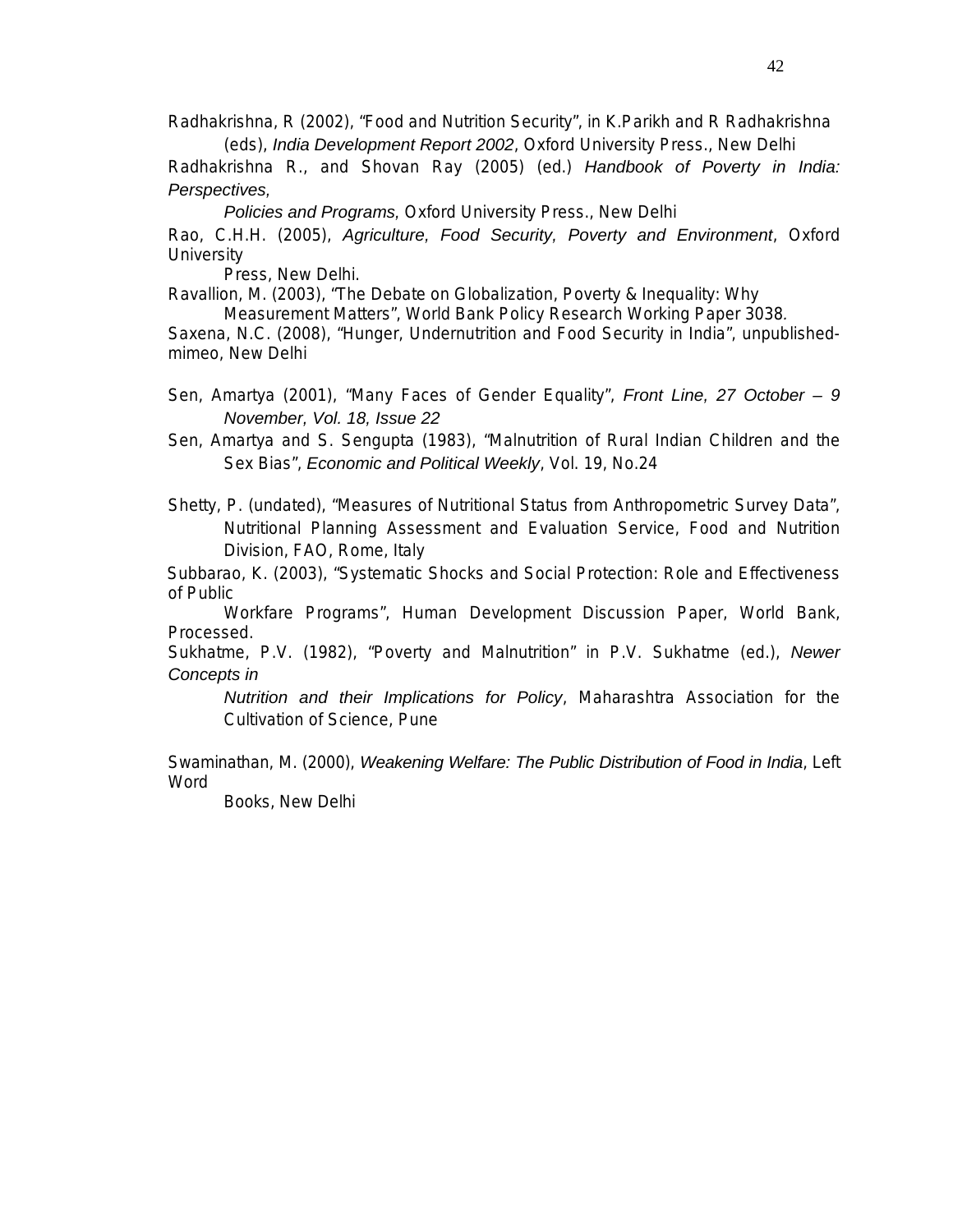Radhakrishna, R (2002), "Food and Nutrition Security", in K.Parikh and R Radhakrishna (eds), *India Development Report 2002*, Oxford University Press., New Delhi

Radhakrishna R., and Shovan Ray (2005) (ed.) *Handbook of Poverty in India: Perspectives,* 

 *Policies and Programs,* Oxford University Press., New Delhi

Rao, C.H.H. (2005), *Agriculture, Food Security, Poverty and Environment*, Oxford **University** 

Press, New Delhi.

Ravallion, M. (2003), "The Debate on Globalization, Poverty & Inequality: Why

Measurement Matters", World Bank Policy Research Working Paper 3038*.* 

 Saxena, N.C. (2008), "Hunger, Undernutrition and Food Security in India", unpublishedmimeo, New Delhi

- Sen, Amartya (2001), "Many Faces of Gender Equality", *Front Line, 27 October 9 November, Vol. 18, Issue 22*
- Sen, Amartya and S. Sengupta (1983), "Malnutrition of Rural Indian Children and the Sex Bias", *Economic and Political Weekly*, Vol. 19, No.24
- Shetty, P. (undated), "Measures of Nutritional Status from Anthropometric Survey Data", Nutritional Planning Assessment and Evaluation Service, Food and Nutrition Division, FAO, Rome, Italy

Subbarao, K. (2003), "Systematic Shocks and Social Protection: Role and Effectiveness of Public

Workfare Programs", Human Development Discussion Paper, World Bank, Processed.

Sukhatme, P.V. (1982), "Poverty and Malnutrition" in P.V. Sukhatme (ed.), *Newer Concepts in* 

*Nutrition and their Implications for Policy*, Maharashtra Association for the Cultivation of Science, Pune

Swaminathan, M. (2000), *Weakening Welfare: The Public Distribution of Food in India*, Left **Word** 

Books, New Delhi